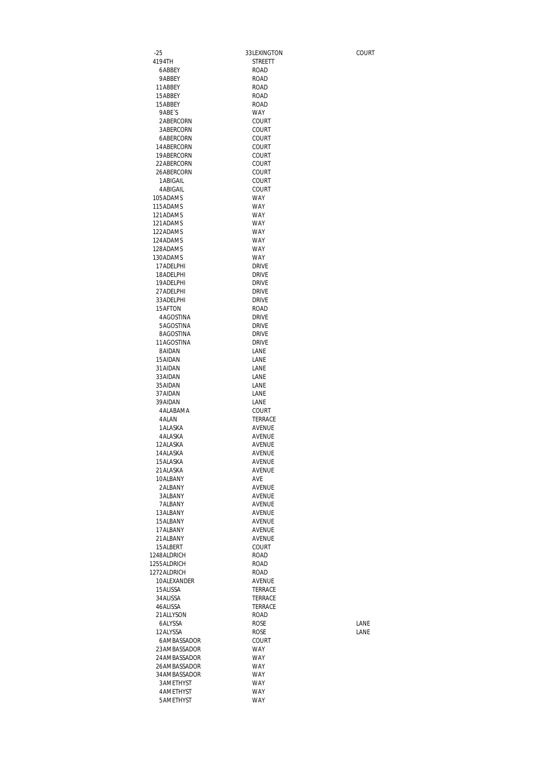-25 33LEXINGTON COURT STREETT 6ABBEY ROAD 9ABBEY ROAD<br>1ABBEY ROAD 11ABBEY ROAD<br>15ABBEY ROAD 15ABBEY ROAD 15ABBEY PABE`S WAY<br>
2ABERCORN COURT 2ABERCORN 3ABERCORN COURT<br>6ABERCORN COURT 6ABERCORN COURT<br>14ABERCORN COURT 14ABERCORN COURT<br>19ABERCORN COURT 19ABERCORN COURT<br>22ABERCORN COURT 22ABERCORN COURT<br>26ABERCORN COURT 26ABERCORN COURT<br>1ABIGAIL COURT 1ABIGAIL COURT<br>4ABIGAIL COURT 4ABIGAIL COUF<br>15ADAMS WAY 105ADAMS 115ADAMS WAY 121ADAMS 121ADAMS WAY<br>122ADAMS WAY 122ADAMS WAY<br>124ADAMS WAY 124ADAMS 128ADAMS WAY 130ADAMS WAY<br>17ADELPHI DRIVE 17ADELPHI DRIVE 18ADELPHI DRIVE<br>19ADELPHI DRIVE 19ADELPHI<br>27ADELPHI 27ADELPHI 27ADELPHI<br>33ADELPHI DRIVE 33ADELPHI<br>15AFTON ROAD 15AFTON ROAD<br>4AGOSTINA DRIVE 4AGOSTINA 5AGOSTINA DRIVE<br>8AGOSTINA DRIVE 8AGOSTINA<br>11AGOSTINA DRIVE 11AGOSTINA DRIVE<br>8AIDAN LANE 8AIDAN LANE<br>15AIDAN LANE 15AIDAN LANE<br>31AIDAN LANE 31 AIDAN LANE<br>33 AIDAN LANE 33AIDAN LANE<br>35AIDAN LANE 35AIDAN 37AIDAN LANE<br>39AIDAN LANE 39AIDAN LANE<br>4ALABAMA COURT 4 ALABAMA<br>4 ALAN TERRACE<br>AVENUE 1 ALASKA 4ALASKA AVENUE 12ALASKA AVENUE<br>14ALASKA AVENUE 14ALASKA 15ALASKA AVENUE 21 ALASKA 10ALBANY AVE 2ALBANY AVENUE 3ALBANY 7ALBANY AVENUE 13ALBANY AVENUE 15ALBANY 17ALBANY AVENUE 21 ALBANY 15ALBERT COURT<br>248ALDRICH ROAD 1248ALDRICH ROAD<br>1255ALDRICH ROAD 1255ALDRICH 1272ALDRICH ROAD<br>10ALEXANDER AVENUE 10ALEXANDER AVENUE 15 ALISSA 34ALISSA TERRACE 46ALISSA 21ALLYSON ROAD 6ALYSSA ROSE LANE 12ALYSSA 6AMBASSADOR COURT<br>23AMBASSADOR WAY 23AMBASSADOR WAY<br>24AMBASSADOR WAY 24AMBASSADOR 26AMBASSADOR WAY 34AMBASSADOR WAY<br>3AMETHYST WAY 3AMETHYST 4AMETHYST WAY 5AMETHYST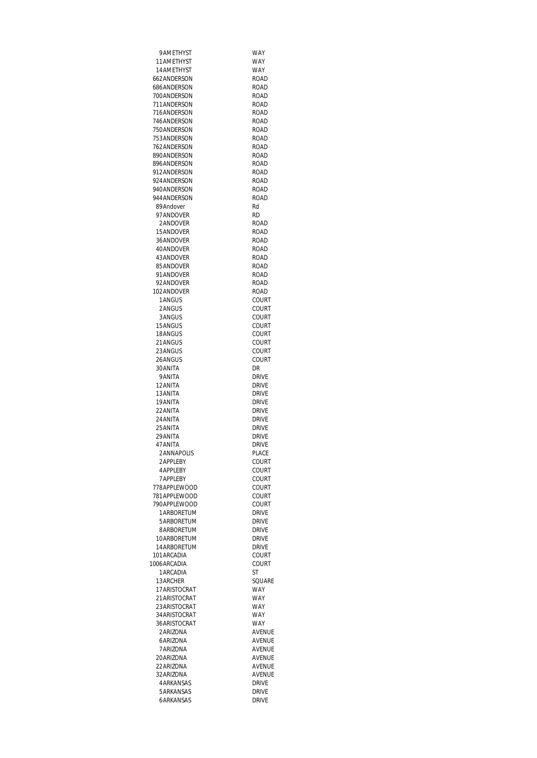| 9 AMETHYST                     | WAY                          |
|--------------------------------|------------------------------|
| 11 AMETHYST                    | WAY                          |
| 14 AMETHYST                    | <b>WAY</b>                   |
| 662ANDERSON                    | <b>ROAD</b>                  |
| 686ANDERSON                    | ROAD                         |
| 700 ANDERSON                   | ROAD                         |
| 711 ANDERSON                   | ROAD                         |
| 716ANDERSON                    | <b>ROAD</b>                  |
| 746ANDERSON                    |                              |
|                                | ROAD                         |
| 750ANDERSON                    | <b>ROAD</b>                  |
| 753ANDERSON                    | <b>ROAD</b>                  |
| 762 ANDERSON                   | <b>ROAD</b>                  |
| 890ANDERSON                    | ROAD                         |
| 896ANDERSON                    | ROAD                         |
| 912ANDERSON                    | ROAD                         |
| 924 ANDERSON                   | ROAD                         |
| 940ANDERSON                    | ROAD                         |
| 944 ANDERSON                   | <b>ROAD</b>                  |
| 89Andover                      | Rd                           |
| 97ANDOVER                      | RD                           |
|                                |                              |
| 2ANDOVER                       | ROAD                         |
| 15ANDOVER                      | ROAD                         |
| 36ANDOVER                      | ROAD                         |
| 40ANDOVFR                      | <b>ROAD</b>                  |
| 43ANDOVER                      | ROAD                         |
| 85ANDOVER                      | ROAD                         |
| 91ANDOVER                      | <b>ROAD</b>                  |
| 92ANDOVER                      | ROAD                         |
| 102 ANDOVER                    | ROAD                         |
| 1 ANGUS                        | COURT                        |
| 2ANGUS                         | COURT                        |
| 3ANGUS                         | COURT                        |
| 15ANGUS                        | COURT                        |
|                                |                              |
| 18ANGUS                        | COURT                        |
| 21ANGUS                        | COURT                        |
| 23ANGUS                        | COURT                        |
| 26ANGUS                        | COURT                        |
| 30 ANITA                       | DR                           |
| 9 ANITA                        | DRIVE                        |
| 12 ANITA                       | DRIVE                        |
| 13 ANITA                       | DRIVE                        |
| 19 ANITA                       | DRIVE                        |
| 22 ANITA                       | <b>DRIVE</b>                 |
| 24 ANITA                       | <b>DRIVE</b>                 |
| 25 ANITA                       | <b>DRIVE</b>                 |
| 29 ANITA                       | <b>DRIVE</b>                 |
|                                |                              |
| 47 ANITA                       | <b>DRIVE</b>                 |
| 2ANNAPOLIS                     | PLACE                        |
| 2 APPI FBY                     | COURT                        |
| <b>4 APPI FBY</b>              | COURT                        |
| <b>7 APPI FBY</b>              | COURT                        |
| 778APPLEWOOD                   | COURT                        |
| 781 APPLEWOOD                  | COURT                        |
| 790APPLEWOOD                   | COURT                        |
| 1ARBORETUM                     | <b>DRIVF</b>                 |
| 5ARBORETUM                     | DRIVE                        |
| 8ARBORETUM                     | <b>DRIVE</b>                 |
| 10ARBORETUM                    | <b>DRIVE</b>                 |
| 14ARBORETUM                    | <b>DRIVE</b>                 |
| 101 ARCADIA                    | COURT                        |
| 1006 ARCADIA                   | COURT                        |
| 1 ARCADIA                      | ST                           |
|                                |                              |
| 13ARCHER                       |                              |
| 17 ARISTOCRAT                  | SQUARE                       |
|                                | <b>WAY</b>                   |
| 21 ARISTOCRAT                  | <b>WAY</b>                   |
| 23 ARISTOCRAT                  | <b>WAY</b>                   |
| 34 ARISTOCRAT                  | WAY                          |
| 36 ARISTOCRAT                  | WAY                          |
| 2ARIZONA                       | AVENUE                       |
| 6ARIZONA                       | AVENUE                       |
| 7 ARIZONA                      | <b>AVENUE</b>                |
|                                |                              |
| 20ARIZONA                      | <b>AVENUE</b>                |
| 22 ARIZONA                     | <b>AVENUE</b>                |
| 32 ARIZONA                     | AVENUE                       |
| <b>4 ARKANSAS</b>              | <b>DRIVE</b>                 |
| 5 ARKANSAS<br><b>6ARKANSAS</b> | <b>DRIVE</b><br><b>DRIVE</b> |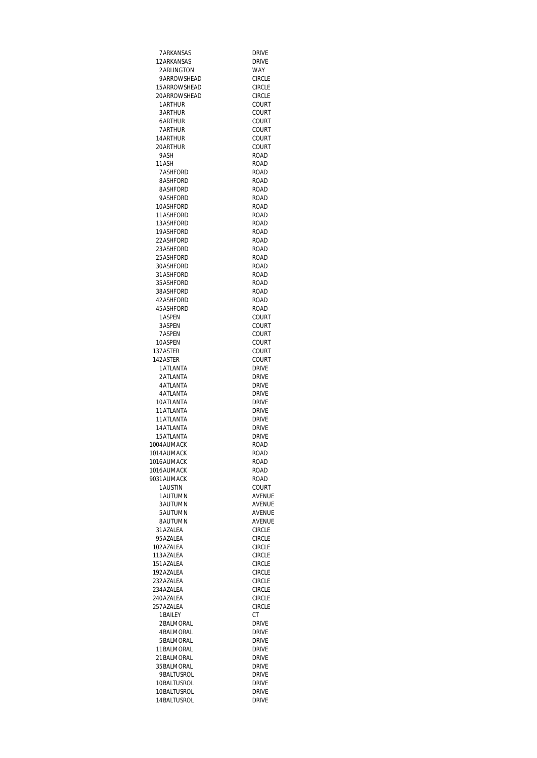| 7 ARKANSAS      | <b>DRIVE</b>                 |
|-----------------|------------------------------|
| 12 ARKANSAS     | <b>DRIVF</b>                 |
|                 |                              |
| 2ARLINGTON      | <b>WAY</b>                   |
| 9ARROWSHEAD     | <b>CIRCLE</b>                |
| 15 ARROWSHEAD   | <b>CIRCLE</b>                |
| 20ARROWSHEAD    | <b>CIRCLE</b>                |
| 1 ARTHUR        | COURT                        |
| 3 ARTHUR        | COURT                        |
| 6ARTHUR         | COURT                        |
| 7 ARTHUR        | COURT                        |
| 14 ARTHUR       | COURT                        |
| 20 ARTHUR       | COURT                        |
| 9ASH            | <b>ROAD</b>                  |
| 11ASH           | ROAD                         |
| <b>7ASHFORD</b> | ROAD                         |
| 8ASHFORD        | <b>ROAD</b>                  |
| 8ASHFORD        | <b>ROAD</b>                  |
| 9ASHFORD        | <b>ROAD</b>                  |
| 10ASHFORD       | <b>ROAD</b>                  |
| 11ASHFORD       | <b>ROAD</b>                  |
| 13ASHFORD       | ROAD                         |
|                 |                              |
| 19ASHFORD       | <b>ROAD</b>                  |
| 22ASHFORD       | ROAD                         |
| 23ASHFORD       | <b>ROAD</b>                  |
| 25 ASHEORD      | <b>ROAD</b>                  |
| 30ASHFORD       | <b>ROAD</b>                  |
| 31 ASHFORD      | <b>ROAD</b>                  |
| 35 ASHFORD      | ROAD                         |
| 38ASHFORD       | <b>ROAD</b>                  |
| 42 ASHFORD      | ROAD                         |
| 45 ASHFORD      | <b>ROAD</b>                  |
| 1ASPEN          | COURT                        |
| 3ASPEN          | COURT                        |
| 7ASPEN          | COURT                        |
| 10ASPEN         | COURT                        |
| 137ASTER        | COURT                        |
| 142ASTER        | COURT                        |
| <b>1ATLANTA</b> | <b>DRIVE</b>                 |
| 2ATLANTA        | <b>DRIVE</b>                 |
| <b>4ATLANTA</b> | <b>DRIVE</b>                 |
| <b>4ATLANTA</b> |                              |
|                 | <b>DRIVE</b><br><b>DRIVE</b> |
| 10ATLANTA       |                              |
| 11ATLANTA       | <b>DRIVE</b>                 |
| 11 ATLANTA      | <b>DRIVF</b>                 |
| 14 ATLANTA      | <b>DRIVE</b>                 |
| 15 ATLANTA      | <b>DRIVE</b>                 |
| 1004 AUMACK     | <b>ROAD</b>                  |
| 1014 AUMACK     | <b>ROAD</b>                  |
| 1016AUMACK      | ROAD                         |
| 1016AUMACK      | ROAD                         |
| 9031AUMACK      | ROAD                         |
| <b>1AUSTIN</b>  | COURT                        |
| 1 AUTUMN        | AVENUE                       |
| 3 AUTUMN        | AVENUE                       |
| 5AUTUMN         | AVENUE                       |
| 8AUTUMN         | AVENUE                       |
| 31AZALEA        | <b>CIRCLE</b>                |
| 95AZALEA        | <b>CIRCLE</b>                |
| 102AZALEA       | <b>CIRCLE</b>                |
| 113AZALEA       | <b>CIRCLE</b>                |
| 151AZALEA       | <b>CIRCIF</b>                |
| 192AZALEA       | <b>CIRCLE</b>                |
| 232AZALEA       | <b>CIRCLE</b>                |
| 234AZALEA       | <b>CIRCLE</b>                |
| 240AZALEA       | <b>CIRCLE</b>                |
|                 |                              |
| 257 AZALEA      | <b>CIRCLE</b>                |
| 1 BAILEY        | СT                           |
| 2BALMORAL       | <b>DRIVE</b>                 |
| 4BALMORAL       | <b>DRIVE</b>                 |
| 5BALMORAL       | <b>DRIVE</b>                 |
| 11 BALMORAL     | <b>DRIVE</b>                 |
| 21BALMORAL      | <b>DRIVE</b>                 |
| 35 BALMORAL     | <b>DRIVE</b>                 |
| 9BALTUSROL      | <b>DRIVE</b>                 |
| 10BALTUSROL     | <b>DRIVE</b>                 |
| 10BALTUSROL     | <b>DRIVE</b>                 |
|                 |                              |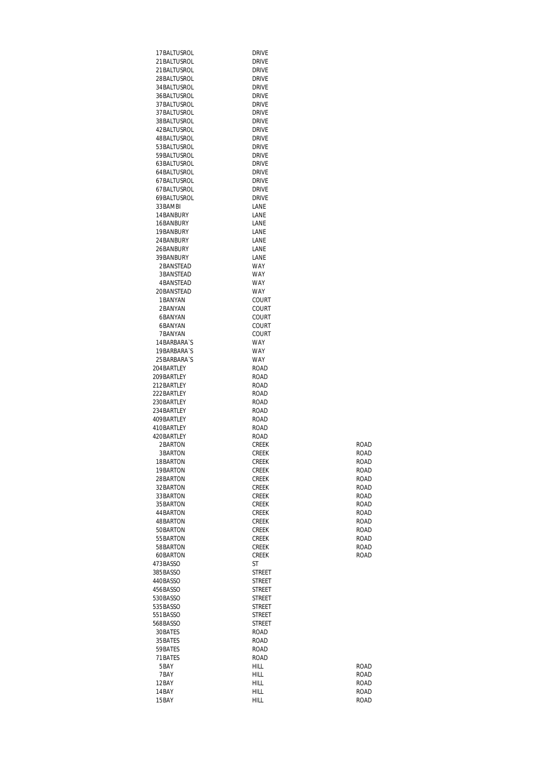| 17BALTUSROL          | <b>DRIVE</b>                   |             |
|----------------------|--------------------------------|-------------|
| 21 BALTUSROL         | <b>DRIVE</b>                   |             |
| 21 BALTUSROL         | <b>DRIVE</b>                   |             |
| 28 BALTUSROL         | <b>DRIVE</b>                   |             |
| 34 BALTUSROL         | <b>DRIVE</b>                   |             |
| 36 BALTUSROL         | <b>DRIVE</b>                   |             |
| 37BALTUSROL          | <b>DRIVE</b>                   |             |
| 37BALTUSROL          | <b>DRIVE</b>                   |             |
| 38 BALTUSROL         | <b>DRIVE</b>                   |             |
| 42BALTUSROL          | <b>DRIVE</b>                   |             |
| 48BALTUSROL          | <b>DRIVE</b>                   |             |
| 53BALTUSROL          | <b>DRIVE</b>                   |             |
| 59 BALTUSROL         | <b>DRIVE</b>                   |             |
| 63BALTUSROL          | <b>DRIVE</b>                   |             |
| 64 BAI TUSROI        | <b>DRIVE</b>                   |             |
| 67BALTUSROL          | <b>DRIVE</b>                   |             |
| 67BALTUSROL          | <b>DRIVE</b>                   |             |
| 69BALTUSROL          | <b>DRIVE</b>                   |             |
| 33BAMBI              | LANE                           |             |
| 14BANBURY            | LANE                           |             |
| 16BANBURY            | LANE                           |             |
| 19BANBURY            | LANE                           |             |
| 24BANBURY            | LANE                           |             |
| 26BANBURY            | LANE                           |             |
| 39BANBURY            | LANE                           |             |
| 2BANSTEAD            | WAY                            |             |
| 3BANSTEAD            | WAY                            |             |
| 4BANSTEAD            | WAY                            |             |
| 20BANSTEAD           | <b>WAY</b>                     |             |
| 1BANYAN              | COURT                          |             |
| 2BANYAN              | COURT                          |             |
| 6BANYAN              | COURT                          |             |
| 6BANYAN              | COURT                          |             |
| 7BANYAN              | COURT                          |             |
| 14 BARBARA'S         | WAY                            |             |
| 19BARBARA'S          | WAY                            |             |
| 25 BARBARA'S         | WAY                            |             |
| 204BARTLEY           | ROAD                           |             |
| 209BARTLEY           | <b>ROAD</b>                    |             |
| 212BARTLEY           | ROAD                           |             |
| 222BARTLEY           | <b>ROAD</b>                    |             |
| 230BARTLEY           | <b>ROAD</b>                    |             |
| 234BARTLEY           | <b>ROAD</b>                    |             |
| 409BARTLEY           | <b>ROAD</b>                    |             |
| 410BARTLEY           | ROAD                           |             |
| 420BARTLEY           | ROAD                           |             |
| 2BARTON              | <b>CREEK</b>                   | ROAD        |
| 3BARTON              | CREEK                          | ROAD        |
| 18BARTON             | <b>CREEK</b>                   | ROAD        |
| 19BARTON             | <b>CREEK</b>                   | ROAD        |
| 28BARTON             | <b>CREEK</b>                   | <b>ROAD</b> |
| 32BARTON             | <b>CREEK</b>                   | <b>ROAD</b> |
| 33 BARTON            | <b>CREEK</b>                   | ROAD        |
| 35 BARTON            | <b>CREEK</b>                   | <b>ROAD</b> |
| 44 BARTON            | <b>CREEK</b>                   | <b>ROAD</b> |
| 48BARTON             | <b>CREEK</b>                   | ROAD        |
| 50BARTON             | <b>CREEK</b>                   | ROAD        |
| 55 BARTON            | CREEK                          | <b>ROAD</b> |
| 58BARTON             | <b>CREEK</b>                   | ROAD        |
| 60BARTON             | <b>CREEK</b>                   | ROAD        |
| 473BASSO             | ST                             |             |
| 385BASSO             | <b>STREET</b>                  |             |
| 440BASSO<br>456BASSO | <b>STREET</b><br><b>STREET</b> |             |
|                      |                                |             |
| 530BASSO             | STREET                         |             |
| 535BASSO             | STREET                         |             |
| 551BASSO<br>568BASSO | STREET<br><b>STREET</b>        |             |
| 30BATES              | <b>ROAD</b>                    |             |
| 35 BATES             | <b>ROAD</b>                    |             |
| 59BATES              | <b>ROAD</b>                    |             |
| 71BATES              | <b>ROAD</b>                    |             |
| 5BAY                 | HILL                           | ROAD        |
| 7BAY                 | HILL                           | ROAD        |
| 12BAY                | HILL                           | <b>ROAD</b> |
| 14BAY                | HILL                           | ROAD        |
| 15BAY                | <b>HILL</b>                    | ROAD        |
|                      |                                |             |

| ROAD |  |
|------|--|
| ROAD |  |
| ROAD |  |
| ROAD |  |
| ROAD |  |
| ROAD |  |
| ROAD |  |
| ROAD |  |
| ROAD |  |
| ROAD |  |
| ROAD |  |
| ROAD |  |
| ROAD |  |
| ROAD |  |
|      |  |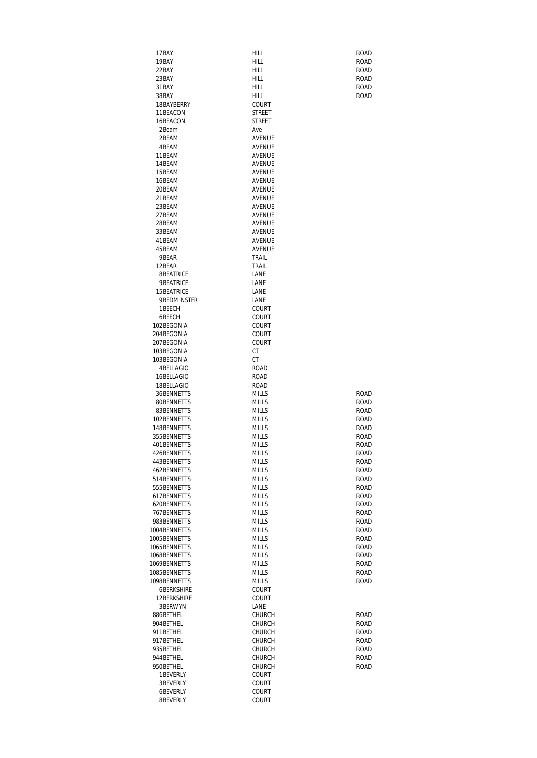| 17BAY             | HILL          | <b>ROAD</b> |
|-------------------|---------------|-------------|
| 19BAY             | HILL          | ROAD        |
| 22BAY             | HILL          | ROAD        |
| 23BAY             | HILL          | <b>ROAD</b> |
|                   |               |             |
| 31 BAY            | HILL          | ROAD        |
| 38BAY             | HILL          | ROAD        |
| 18BAYBERRY        | COURT         |             |
| 11 BEACON         | STREET        |             |
| 16BEACON          | STREET        |             |
|                   |               |             |
| 2Beam             | Ave           |             |
| 2BEAM             | <b>AVENUE</b> |             |
| 4BFAM             | AVENUE        |             |
| 11BEAM            | AVENUE        |             |
| 14 BEAM           | AVENUE        |             |
|                   |               |             |
| 15BEAM            | AVENUE        |             |
| 16BEAM            | AVENUE        |             |
| 20BEAM            | AVENUE        |             |
| 21BEAM            | AVENUE        |             |
| 23BEAM            | AVENUE        |             |
| 27BEAM            | AVENUE        |             |
|                   |               |             |
| 28BEAM            | AVENUE        |             |
| 33BEAM            | AVENUE        |             |
| 41BEAM            | <b>AVENUE</b> |             |
| 45BEAM            | AVENUE        |             |
| 9BEAR             | TRAIL         |             |
| 12BEAR            | TRAIL         |             |
| 8BEATRICE         | LANE          |             |
|                   |               |             |
| 9BEATRICE         | LANE          |             |
| 15 BEATRICE       | LANE          |             |
| 9BEDMINSTER       | LANE          |             |
| 1 BEECH           | COURT         |             |
| 6BEECH            | COURT         |             |
| 102BEGONIA        |               |             |
|                   | COURT         |             |
| 204BEGONIA        | <b>COURT</b>  |             |
| 207BEGONIA        | COURT         |             |
| 103BEGONIA        | СT            |             |
| 103BEGONIA        | СT            |             |
| 4 BELLAGIO        | ROAD          |             |
| 16BELLAGIO        | ROAD          |             |
|                   |               |             |
| 18BELLAGIO        | ROAD          |             |
| 36BENNETTS        | <b>MILLS</b>  | ROAD        |
| 80BENNETTS        | <b>MILLS</b>  | <b>ROAD</b> |
| 83BENNETTS        | <b>MILLS</b>  | ROAD        |
| 102BENNETTS       | <b>MILLS</b>  | ROAD        |
| 148 BENNETTS      | <b>MILLS</b>  | ROAD        |
|                   |               |             |
| 355 BENNETTS      | MILLS         | ROAD        |
| 401 BENNETTS      | <b>MILLS</b>  | ROAD        |
| 426BENNETTS       | <b>MILLS</b>  | ROAD        |
| 443BENNETTS       | <b>MILLS</b>  | ROAD        |
| 462BENNETTS       | <b>MILLS</b>  | ROAD        |
| 514 BENNETTS      | <b>MILLS</b>  | ROAD        |
| 555 BENNETTS      | <b>MILLS</b>  | ROAD        |
|                   |               |             |
| 617 BENNETTS      | <b>MILLS</b>  | ROAD        |
| 620BENNETTS       | <b>MILLS</b>  | <b>ROAD</b> |
| 767 BENNETTS      | <b>MILLS</b>  | ROAD        |
| 983BENNETTS       | <b>MILLS</b>  | ROAD        |
| 1004BENNETTS      | <b>MILLS</b>  | ROAD        |
| 1005BENNETTS      | <b>MILLS</b>  | ROAD        |
|                   |               |             |
| 1065BENNETTS      | <b>MILLS</b>  | ROAD        |
| 1068BENNETTS      | <b>MILLS</b>  | <b>ROAD</b> |
| 1069BENNETTS      | <b>MILLS</b>  | ROAD        |
| 1085BENNETTS      | <b>MILLS</b>  | ROAD        |
| 1098BENNETTS      | <b>MILLS</b>  | ROAD        |
| <b>6BERKSHIRE</b> | COURT         |             |
| 12 BERKSHIRE      | <b>COURT</b>  |             |
|                   |               |             |
| 3BERWYN           | LANE          |             |
| 886BETHEL         | <b>CHURCH</b> | ROAD        |
| 904BETHEL         | <b>CHURCH</b> | ROAD        |
| 911 BETHEL        | <b>CHURCH</b> | ROAD        |
| 917 BETHEL        | <b>CHURCH</b> | ROAD        |
| 935BETHEL         | <b>CHURCH</b> | ROAD        |
|                   |               |             |
| 944 BETHEL        | <b>CHURCH</b> | ROAD        |
| 950BETHEL         | <b>CHURCH</b> | <b>ROAD</b> |
| 1 BEVERLY         | <b>COURT</b>  |             |
| 3BEVERLY          | <b>COURT</b>  |             |
| 6BEVERLY          | COURT         |             |
| 8BEVERLY          | COURT         |             |
|                   |               |             |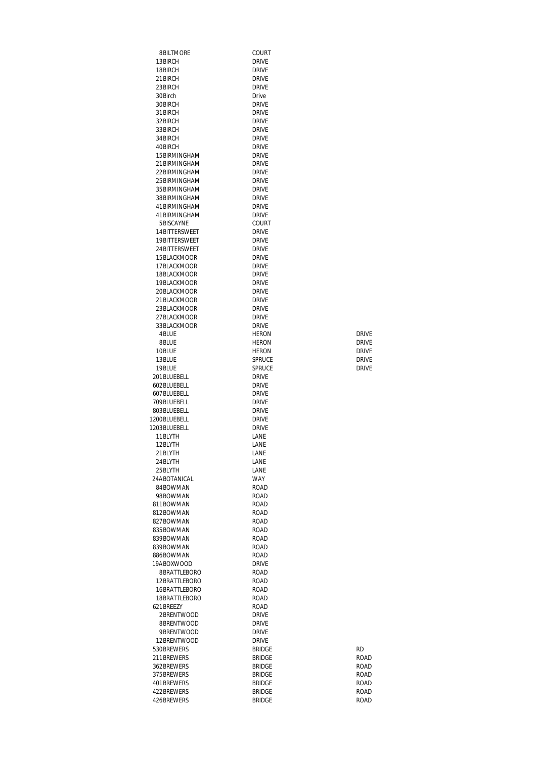| 8BILTMORE                      | COURT                          |              |
|--------------------------------|--------------------------------|--------------|
| 13BIRCH                        | <b>DRIVE</b>                   |              |
| 18BIRCH                        | <b>DRIVE</b>                   |              |
| 21 BIRCH<br>23BIRCH            | <b>DRIVE</b><br><b>DRIVE</b>   |              |
| 30Birch                        | Drive                          |              |
| 30BIRCH                        | <b>DRIVE</b>                   |              |
| 31BIRCH                        | <b>DRIVE</b>                   |              |
| 32BIRCH                        | <b>DRIVE</b>                   |              |
| 33BIRCH                        | <b>DRIVE</b>                   |              |
| 34 BIRCH                       | <b>DRIVE</b>                   |              |
| 40BIRCH                        | <b>DRIVE</b>                   |              |
| 15BIRMINGHAM                   | <b>DRIVE</b><br><b>DRIVE</b>   |              |
| 21 BIRMINGHAM<br>22 BIRMINGHAM | <b>DRIVE</b>                   |              |
| 25 BIRMINGHAM                  | <b>DRIVE</b>                   |              |
| 35 BIRMINGHAM                  | <b>DRIVE</b>                   |              |
| 38BIRMINGHAM                   | <b>DRIVE</b>                   |              |
| 41 BIRMINGHAM                  | <b>DRIVE</b>                   |              |
| 41 BIRMINGHAM                  | <b>DRIVE</b>                   |              |
| 5BISCAYNE                      | COURT                          |              |
| 14BITTERSWEET<br>19BITTERSWEET | <b>DRIVE</b><br><b>DRIVE</b>   |              |
| 24 BITTERSWEET                 | <b>DRIVE</b>                   |              |
| 15 BLACKMOOR                   | <b>DRIVE</b>                   |              |
| 17BLACKMOOR                    | <b>DRIVE</b>                   |              |
| 18BLACKMOOR                    | <b>DRIVE</b>                   |              |
| 19BLACKMOOR                    | <b>DRIVE</b>                   |              |
| 20BLACKMOOR                    | <b>DRIVE</b>                   |              |
| 21 BI ACKMOOR                  | <b>DRIVE</b>                   |              |
| 23BLACKMOOR<br>27BLACKMOOR     | <b>DRIVE</b><br><b>DRIVE</b>   |              |
| 33BLACKMOOR                    | <b>DRIVE</b>                   |              |
| 4BLUE                          | <b>HERON</b>                   | <b>DRIVE</b> |
| 8BLUE                          | <b>HERON</b>                   | <b>DRIVE</b> |
| 10BLUE                         | <b>HERON</b>                   | <b>DRIVE</b> |
| 13BLUE                         | <b>SPRUCE</b>                  | <b>DRIVE</b> |
| 19BLUE<br>201BLUEBELL          | SPRUCE<br><b>DRIVE</b>         | <b>DRIVE</b> |
| 602BLUEBELL                    | <b>DRIVE</b>                   |              |
| 607BLUEBELL                    | <b>DRIVE</b>                   |              |
| 709BLUEBELL                    | <b>DRIVE</b>                   |              |
| 803BLUEBELL                    | <b>DRIVE</b>                   |              |
| 1200BLUEBELL                   | <b>DRIVE</b>                   |              |
| 1203BLUEBELL<br>11BLYTH        | <b>DRIVE</b><br>LANE           |              |
| 12BLYTH                        | LANE                           |              |
| 21BLYTH                        | LANE                           |              |
| 24 BLYTH                       | LANE                           |              |
| 25 BLYTH                       | LANE                           |              |
| 24ABOTANICAL                   | WAY                            |              |
| 84BOWMAN<br>98BOWMAN           | <b>ROAD</b><br><b>ROAD</b>     |              |
| 811BOWMAN                      | <b>ROAD</b>                    |              |
| 812BOWMAN                      | ROAD                           |              |
| 827BOWMAN                      | ROAD                           |              |
| 835BOWMAN                      | <b>ROAD</b>                    |              |
| 839BOWMAN                      | <b>ROAD</b>                    |              |
| 839BOWMAN                      | ROAD                           |              |
| 886BOWMAN<br>19ABOXWOOD        | ROAD<br><b>DRIVE</b>           |              |
| 8BRATTLEBORO                   | ROAD                           |              |
| 12BRATTLEBORO                  | ROAD                           |              |
| 16BRATTLEBORO                  | ROAD                           |              |
| 18BRATTLEBORO                  | ROAD                           |              |
| 621BREEZY                      | ROAD                           |              |
| 2BRENTWOOD<br>8BRENTWOOD       | <b>DRIVE</b><br><b>DRIVE</b>   |              |
| 9BRENTWOOD                     | <b>DRIVE</b>                   |              |
| 12BRENTWOOD                    | <b>DRIVE</b>                   |              |
| 530BREWERS                     | <b>BRIDGE</b>                  | <b>RD</b>    |
| 211 BREWERS                    | <b>BRIDGE</b>                  | ROAD         |
| 362BREWERS                     | <b>BRIDGE</b>                  | ROAD         |
| 375 BREWERS                    | <b>BRIDGE</b>                  | ROAD         |
| 401 BREWERS<br>422BREWERS      | <b>BRIDGE</b><br><b>BRIDGE</b> | ROAD<br>ROAD |
| 426BREWERS                     | BRIDGE                         | ROAD         |
|                                |                                |              |

| RD     |
|--------|
| ROAD   |
| ROAD   |
| ROAD   |
| ROAD   |
| ROAD   |
| ח ג מח |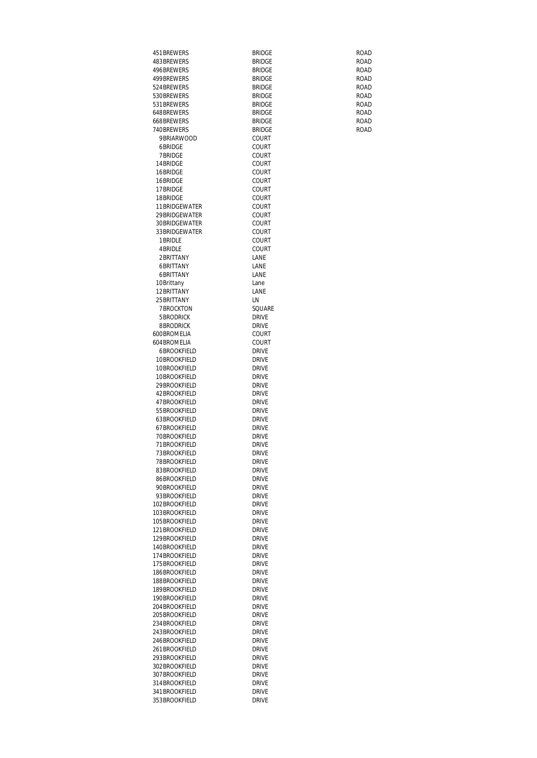| 451 BREWERS                        | Bridge                         | ROAD                |
|------------------------------------|--------------------------------|---------------------|
| 483BREWERS                         | <b>BRIDGE</b>                  | ROAD<br><b>ROAD</b> |
| 496BREWERS<br>499 BRF WERS         | <b>BRIDGE</b><br><b>BRIDGE</b> | ROAD                |
| 524 BREWERS                        | <b>BRIDGE</b>                  | <b>ROAD</b>         |
| 530BREWERS                         | BRIDGE                         | <b>ROAD</b>         |
| 531 BREWERS                        | <b>BRIDGE</b>                  | <b>ROAD</b>         |
| 648BREWERS                         | <b>BRIDGE</b>                  | <b>ROAD</b>         |
| 668BREWERS                         | <b>BRIDGE</b>                  | ROAD                |
| 740BREWERS                         | <b>BRIDGE</b>                  | <b>ROAD</b>         |
| 9 BRIARWOOD<br>6BRIDGE             | COURT<br>COURT                 |                     |
| 7 BRIDGE                           | COURT                          |                     |
| 14BRIDGE                           | COURT                          |                     |
| 16BRIDGE                           | COURT                          |                     |
| 16BRIDGE                           | COURT                          |                     |
| 17BRIDGE                           | COURT                          |                     |
| 18BRIDGE                           | COURT                          |                     |
| 11BRIDGEWATER<br>29 BRIDGEWATER    | COURT<br>COURT                 |                     |
| 30BRIDGEWATER                      | COURT                          |                     |
| 33 BRIDGEWATER                     | COURT                          |                     |
| 1 BRIDLE                           | COURT                          |                     |
| 4 BRIDLE                           | COURT                          |                     |
| 2BRITTANY                          | LANE                           |                     |
| 6BRITTANY                          | LANE                           |                     |
| 6BRITTANY                          | LANE                           |                     |
| 10Brittany<br>12BRITTANY           | Lane<br>LANE                   |                     |
| 25 BRITTANY                        | LN                             |                     |
| <b>7BROCKTON</b>                   | SQUARE                         |                     |
| 5 BRODRICK                         | DRIVE                          |                     |
| 8BRODRICK                          | DRIVE                          |                     |
| 600BROMELIA                        | COURT                          |                     |
| 604 BROMELIA                       | COURT                          |                     |
| <b>6BROOKFIELD</b><br>10BROOKFIELD | DRIVE                          |                     |
| 10BROOKFIELD                       | DRIVE<br>Drive                 |                     |
| 10BROOKFIELD                       | DRIVE                          |                     |
| 29 BROOKFIELD                      | DRIVE                          |                     |
| 42 BROOKFIELD                      | <b>DRIVE</b>                   |                     |
| 47BROOKFIELD                       | <b>DRIVE</b>                   |                     |
| 55 BROOKFIELD                      | <b>DRIVE</b>                   |                     |
| 63BROOKFIFLD                       | <b>DRIVE</b>                   |                     |
| 67BROOKFIELD<br>70BROOKFIELD       | <b>DRIVE</b><br>DRIVE          |                     |
| 71 BROOKFIELD                      | <b>DRIVE</b>                   |                     |
| 73BROOKFIELD                       | drive                          |                     |
| 78BROOKFIELD                       | <b>DRIVE</b>                   |                     |
| 83BROOKFIELD                       | <b>DRIVE</b>                   |                     |
| 86BROOKFIELD                       | Drive                          |                     |
| 90BROOKFIELD                       | Drive                          |                     |
| 93BROOKFIELD                       | <b>DRIVE</b>                   |                     |
| 102BROOKFIELD<br>103BROOKFIELD     | <b>DRIVE</b><br>Drive          |                     |
| 105BROOKFIELD                      | <b>DRIVE</b>                   |                     |
| 121BROOKFIELD                      | Drive                          |                     |
| 129BROOKFIELD                      | <b>DRIVE</b>                   |                     |
| 140BROOKFIELD                      | Drive                          |                     |
| 174BROOKFIELD                      | <b>DRIVE</b>                   |                     |
| 175BROOKFIELD                      | Drive                          |                     |
| 186BROOKFIELD<br>188BROOKFIELD     | <b>DRIVE</b><br><b>DRIVE</b>   |                     |
| 189BROOKFIELD                      | Drive                          |                     |
| 190BROOKFIELD                      | Drive                          |                     |
| 204BROOKFIELD                      | Drive                          |                     |
| 205BROOKFIELD                      | <b>DRIVE</b>                   |                     |
| 234BROOKFIELD                      | <b>DRIVE</b>                   |                     |
| 243BROOKFIELD                      | Drive                          |                     |
| 246BROOKFIELD                      | Drive                          |                     |
| 261BROOKFIELD                      | Drive                          |                     |
| 293BROOKFIELD<br>302BROOKFIELD     | <b>DRIVE</b><br><b>DRIVE</b>   |                     |
| 307BROOKFIELD                      | Drive                          |                     |
| 314BROOKFIELD                      | <b>DRIVE</b>                   |                     |
| 341BROOKFIELD                      | Drive                          |                     |
| 353BROOKFIELD                      | <b>DRIVE</b>                   |                     |
|                                    |                                |                     |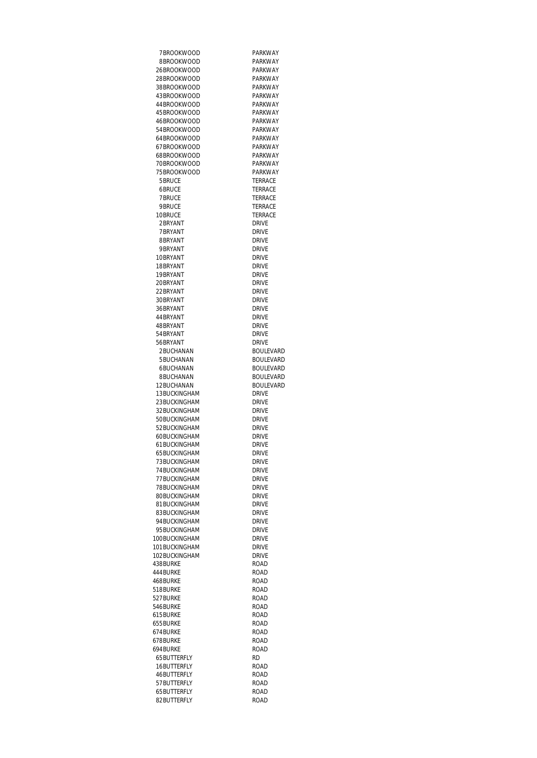7BROOKWOOD PARKWAY<br>8BROOKWOOD PARKWAY 8BROOKWOOD 26BROOKWOOD PARKWAY<br>28BROOKWOOD PARKWAY 28BROOKWOOD PARKWAY<br>38BROOKWOOD PARKWAY 38BROOKWOOD PARKWAY<br>43BROOKWOOD PARKWAY 43BROOKWOOD PARKWAY<br>44BROOKWOOD PARKWAY 44BROOKWOOD PARKWAY<br>45BROOKWOOD PARKWAY 45BROOKWOOD PARKWAY<br>46BROOKWOOD PARKWAY 46BROOKWOOD PARKWAY<br>54BROOKWOOD PARKWAY 54BROOKWOOD 64BROOKWOOD PARKWAY<br>67BROOKWOOD PARKWAY 67BROOKWOOD PARKWAY<br>68BROOKWOOD PARKWAY 68BROOKWOOD PARKWAY<br>70BROOKWOOD PARKWAY 70BROOKWOOD PARKWAY<br>75BROOKWOOD PARKWAY 75 BROOKWOOD<br>5 BRUCE 5BRUCE TERRACE<br>6BRUCE TERRACE 6BRUCE TERRACE<br>
TERRACE<br>
TERRACE PURINCE TERRACE<br>TERRACE TERRACE 2BRYANT<br>7BRYANT DRIVE DRIVE 7BRYANT DRIVE<br>8BRYANT DRIVE 8BRYANT DRIVE<br>1988 - PORTANT DRIVE 9BRYANT DRIVE<br>10BRYANT DRIVE 10BRYANT DRIVE<br>18BRYANT DRIVE 18BRYANT DRIVE<br>19BRYANT DRIVE 19BRYANT DRIVE<br>20BRYANT DRIVE 20BRYANT DRIVE<br>22BRYANT DRIVE 22BRYANT DRIVE<br>30BRYANT DRIVE 30BRYANT DRIVE<br>36BRYANT DRIVE 36BRYANT DRIVE<br>44BRYANT DRIVE 44 BRYANT 48BRYANT<br>54BRYANT DRIVE 54BRYANT<br>56BRYANT DRIVE 56BRYANT<br>2BUCHANAN 5BUCHANAN<br>6BUCHANAN 8BUCHANAN BOULEVARD<br>12BUCHANAN BOULEVARD 12BUCHANAN 13BUCKINGHAM<br>23BUCKINGHAM DRIVE 23BUCKINGHAM<br>32BUCKINGHAM DRIVE 32BUCKINGHAM DRIVE<br>50BUCKINGHAM DRIVE 50BUCKINGHAM<br>52BUCKINGHAM DRIVE 52BUCKINGHAM 60BUCKINGHAM DRIVE<br>61BUCKINGHAM DRIVE 61 BUCKINGHAM DRIVE<br>65 BUCKINGHAM DRIVE 65BUCKINGHAM TO THE TABLE TO THE SERVE THE TABLE TO THE TABLE THE TABLE TO THE TABLE THE TABLE THE TABLE THE TABLE THE TABL<br>THE DRIVE THE TABLE TABLE TABLE TABLE THE DRIVE THE THE STATE STATE STATE STATE STATE STATE STATE STATE STATE STATE STATE STATE STATE STATE STATE STATE STATE<br>The STATE STATE STATE STATE STATE STATE STATE STATE STATE STATE STATE STATE STATE STATE STATE STATE STATE STAT TTBUCKINGHAM DRIVE<br>T8BUCKINGHAM DRIVE 78BUCKINGHAM<br>80BUCKINGHAM DRIVE 80BUCKINGHAM 81 BUCKINGHAM DRIVE<br>83 BUCKINGHAM DRIVE 83BUCKINGHAM<br>94BUCKINGHAM DRIVE 94BUCKINGHAM 95BUCKINGHAM<br>100BUCKINGHAM DRIVE 100BUCKINGHAM DRIVE<br>101BUCKINGHAM DRIVE 101 BUCKINGHAM DRIVE<br>102 BUCKINGHAM DRIVE 102BUCKINGHAM DRIVE<br>438BURKE ROAD 438BURKE 444BURKE ROAD<br>468BURKE ROAD 468BURKE ROAD<br>518BURKE ROAD 518BURKE 527BURKE ROAD<br>546BURKE ROAD 546BURKE ROAD<br>615BURKE ROAD 615BURKE ROAD 655BURKE ROAD 674BURKE 678BURKE ROAD 694BURKE ROAD ROAD ROAD ROAD ROAD ROAD ROAD RESEARCH PARTIES AND RESEARCH PARTIES AND RESEARCH PARTIES AND RES<br>AND RESEARCH PARTIES AND RESEARCH PARTIES AND RESEARCH PARTIES AND RESEARCH PARTIES AND RESEARCH PARTIES AND R<br> 65BUTTERFLY 16BUTTERFLY ROAD 46BUTTERFLY<br>57BUTTERFLY ROAD 57BUTTERFLY 65BUTTERFLY ROAD 82BUTTERFLY

**TERRACE** 

TERRACE<br>DRIVE

BOULEVARD<br>BOULEVARD

BOULEVARD<br>BOULEVARD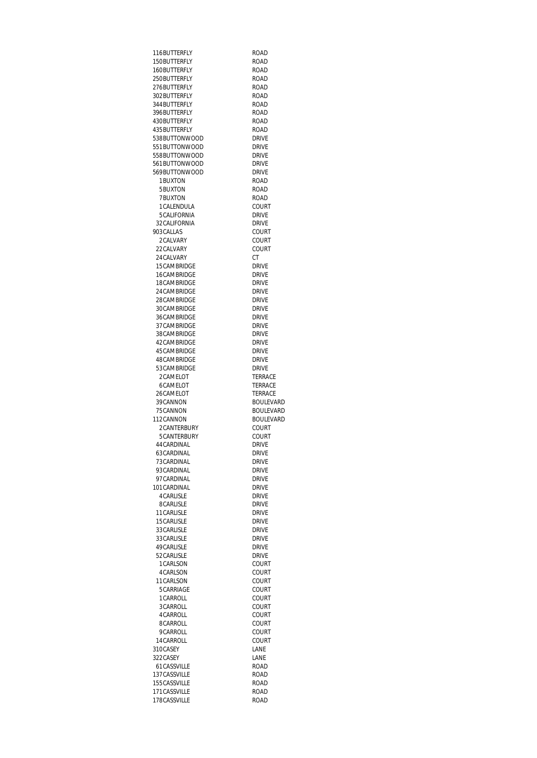116BUTTERFLY ROAD 150BUTTERFLY 160BUTTERFLY ROAD<br>250BUTTERFLY ROAD 250BUTTERFLY<br>276BUTTERFLY ROAD 276BUTTERFLY<br>302BUTTERFLY ROAD 302BUTTERFLY<br>344BUTTERFLY ROAD 344BUTTERFLY<br>396BUTTERFLY ROAD 396BUTTERFLY ROAD<br>430BUTTERFLY ROAD 430BUTTERFLY<br>435BUTTERFLY ROAD 435BUTTERFLY<br>538BUTTONWOOD DRIVE 538BUTTONWOOD DRIVE<br>551BUTTONWOOD DRIVE 551 BUTTONWOOD DRIVE<br>558 BUTTONWOOD DRIVE 558BUTTONWOOD DRIVE<br>561BUTTONWOOD DRIVE 561BUTTONWOOD DRIVE<br>569BUTTONWOOD DRIVE 569BUTTONWOOD DRIVE<br>1BUXTON ROAD 1BUXTON ROAD<br>5BUXTON ROAD 5BUXTON ROAD<br>7BUXTON ROAD 7BUXTON ROAD<br>1CALENDULA COURT 1CALENDULA COURTECALIFORNIA 5CALIFORNIA<br>32CALIFORNIA DRIVE 32CALIFORNIA DRIVE<br>203CALLAS COURT 903CALLAS COURT<br>2CALVARY COURT 2CALVARY COURT<br>22CALVARY COURT 22CALVARY CO<br>24CALVARY CT 24 CALVARY CT CT<br>15 CAMBRIDGE DRIVE 15CAMBRIDGE DRIVE<br>16CAMBRIDGE DRIVE 16CAMBRIDGE DRIVE<br>18CAMBRIDGE DRIVE 18CAMBRIDGE DRIVE<br>24CAMBRIDGE DRIVE 24CAMBRIDGE DRIVE<br>28CAMBRIDGE DRIVE 28CAMBRIDGE DRIVE<br>30CAMBRIDGE DRIVE 30CAMBRIDGE DRIVE<br>36CAMBRIDGE DRIVE 36CAMBRIDGE 37CAMBRIDGE DRIVE<br>38CAMBRIDGE DRIVE 38CAMBRIDGE DRIVE<br>42CAMBRIDGE DRIVE 42CAMBRIDGE DRIVE<br>45CAMBRIDGE DRIVE 45CAMBRIDGE DRIVE<br>48CAMBRIDGE DRIVE 48CAMBRIDGE DRIVE<br>53CAMBRIDGE DRIVE 53CAMBRIDGE DRIVE<br>2CAMELOT TERRACE 2CAMELOT TERRACE 6CAMELOT 26CAMELOT TERRACE 39CANNON<br>75CANNON BOULEVARD 112CANNON BOULE<br>2CANTERBURY COURT 2CANTERBURY 5CANTERBURY COURT<br>44CARDINAL DRIVE 44CARDINAL DRIVE<br>63CARDINAL DRIVE 63CARDINAL 73CARDINAL DRIVE<br>93CARDINAL DRIVE 93CARDINAL DRIVE<br>97CARDINAL DRIVE 97CARDINAL DRIVE<br>101CARDINAL DRIVE 101CARDINAL DRIVE<br>4CARLISLE DRIVE 4 CARLISLE 8CARLISLE DRIVE 11CARLISLE<br>15CARLISLE DRIVE 15 CARLISLE 33CARLISLE<br>33CARLISLE DRIVE 33CARLISLE<br>49CARLISLE<br>DRIVE DRIVE 49CARLISLE<br>52CARLISLE DRIVE 52CARLISLE DRIVE<br>1CARLSON COURT 1 CARLSON 4CARLSON COURT<br>11CARLSON COURT 11CARLSON COURT<br>5CARRIAGE COURT 5CARRIAGE 1CARROLL COURT<br>3CARROLL COURT 3CARROLL COURT<br>4CARROLL COURT 4CARROLL COURT<br>8CARROLL COURT 8CARROLL COURT<br>9CARROLL COURT 9CARROLL 14CARROLL COURT<br>310CASEY LANE 310CASEY LANE 322CASEY 61CASSVILLE ROAD 137CASSVILLE<br>155CASSVILLE ROAD 155CASSVILLE 171CASSVILLE<br>178CASSVILLE ROAD 178CASSVILLE

BOULEVARD<br>BOULEVARD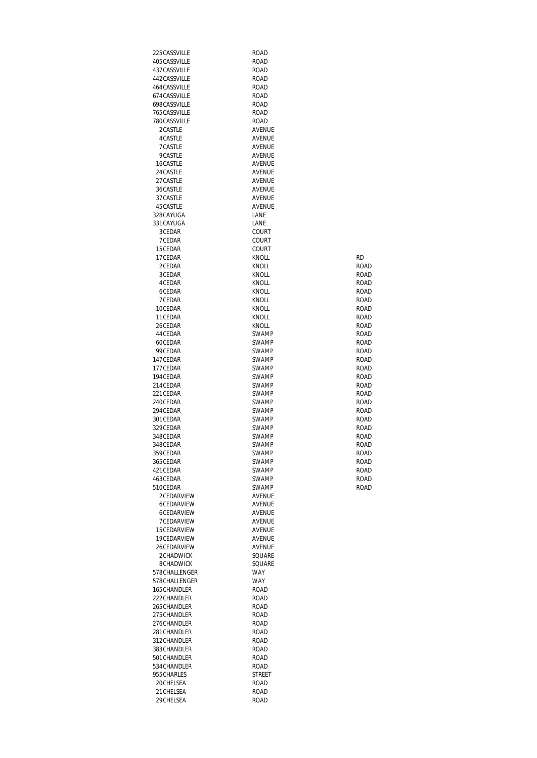| 225CASSVILLE                 | ROAD                |                            |
|------------------------------|---------------------|----------------------------|
| 405CASSVILLE                 | ROAD                |                            |
| 437CASSVILLE                 | ROAD                |                            |
| 442CASSVILLE                 | ROAD                |                            |
| 464 CASSVILLE                | <b>ROAD</b>         |                            |
| 674CASSVILLE<br>698CASSVILLE | ROAD                |                            |
| 765CASSVILLE                 | ROAD<br><b>ROAD</b> |                            |
| 780CASSVILLE                 | <b>ROAD</b>         |                            |
| 2CASTLE                      | AVENUE              |                            |
| 4 CASTLE                     | AVENUE              |                            |
| 7CASTLE                      | AVENUE              |                            |
| 9CASTLE                      | AVENUE              |                            |
| 16CASTLE                     | AVENUE              |                            |
| 24 CASTLE                    | AVENUE              |                            |
| 27 CASTLE                    | AVENUE              |                            |
| 36CASTLE                     | AVENUE              |                            |
| 37 CASTLE                    | AVENUE              |                            |
| 45 CASTLE<br>328CAYUGA       | AVENUE<br>LANE      |                            |
| 331 CAYUGA                   | LANE                |                            |
| 3CEDAR                       | COURT               |                            |
| 7CEDAR                       | COURT               |                            |
| 15CEDAR                      | COURT               |                            |
| 17CEDAR                      | <b>KNOLL</b>        | RD                         |
| 2CEDAR                       | KNOLL               | ROAD                       |
| 3CEDAR                       | KNOLL               | ROAD                       |
| 4 CEDAR                      | <b>KNOLL</b>        | ROAD                       |
| 6CEDAR                       | <b>KNOLL</b>        | ROAD                       |
| 7CEDAR                       | KNOLL               | ROAD                       |
| 10CEDAR<br>11 CEDAR          | KNOLL<br>KNOLL      | ROAD<br>ROAD               |
| 26CEDAR                      | KNOLL               | ROAD                       |
| 44 CEDAR                     | SWAMP               | <b>ROAD</b>                |
| 60CEDAR                      | SWAMP               | ROAD                       |
| 99CEDAR                      | SWAMP               | ROAD                       |
| 147CEDAR                     | SWAMP               | ROAD                       |
| 177CEDAR                     | SWAMP               | <b>ROAD</b>                |
| 194 CEDAR                    | SWAMP               | ROAD                       |
| 214CEDAR                     | SWAMP               | ROAD                       |
| 221 CEDAR                    | SWAMP               | ROAD                       |
| 240CEDAR                     | SWAMP               | ROAD                       |
| 294 CEDAR<br>301 CEDAR       | SWAMP<br>SWAMP      | <b>ROAD</b><br><b>ROAD</b> |
| 329CEDAR                     | SWAMP               | ROAD                       |
| 348CEDAR                     | SWAMP               | <b>ROAD</b>                |
| 348CFDAR                     | <b>SWAMP</b>        | <b>ROAD</b>                |
| 359CEDAR                     | SWAMP               | ROAD                       |
| 365CEDAR                     | <b>SWAMP</b>        | ROAD                       |
| 421 CEDAR                    | <b>SWAMP</b>        | ROAD                       |
| 463CEDAR                     | SWAMP               | ROAD                       |
| 510CEDAR                     | <b>SWAMP</b>        | ROAD                       |
| 2CEDARVIEW                   | <b>AVENUE</b>       |                            |
| 6CEDARVIEW<br>6CEDARVIEW     | <b>AVENUE</b>       |                            |
| 7CEDARVIEW                   | AVENUE<br>AVENUE    |                            |
| 15CEDARVIEW                  | AVENUE              |                            |
| 19CEDARVIEW                  | <b>AVENUE</b>       |                            |
| 26CEDARVIEW                  | AVENUE              |                            |
| 2CHADWICK                    | SQUARE              |                            |
| 8CHADWICK                    | SQUARE              |                            |
| 578CHALLENGER                | WAY                 |                            |
| 578CHALLENGER                | WAY                 |                            |
| 165CHANDLER                  | ROAD                |                            |
| 222CHANDLER                  | ROAD                |                            |
| 265 CHANDLER                 | ROAD                |                            |
| 275CHANDLER<br>276CHANDLER   | ROAD<br>ROAD        |                            |
| 281CHANDLER                  | <b>ROAD</b>         |                            |
| 312CHANDLER                  | ROAD                |                            |
| 383CHANDLER                  | ROAD                |                            |
| 501 CHANDLER                 | ROAD                |                            |
| 534 CHANDLER                 | ROAD                |                            |
| 955 CHARLES                  | STREET              |                            |
| 20 CHELSEA                   | ROAD                |                            |
| 21 CHELSEA                   | <b>ROAD</b>         |                            |
| 29 CHELSEA                   | <b>ROAD</b>         |                            |

| RD          |
|-------------|
| ROAD        |
| ROAD        |
| ROAD        |
| ROAD        |
| ROAD        |
| <b>ROAD</b> |
| ROAD        |
| <b>ROAD</b> |
| ROAD        |
| ROAD        |
| ROAD        |
| <b>ROAD</b> |
| ROAD        |
| <b>ROAD</b> |
| ROAD        |
| <b>ROAD</b> |
| ROAD        |
| ROAD        |
| ROAD        |
| ROAD        |
| ROAD        |
| <b>ROAD</b> |
| ROAD        |
| <b>ROAD</b> |
| ROAD        |
| <b>ROAD</b> |
| ROAD        |
|             |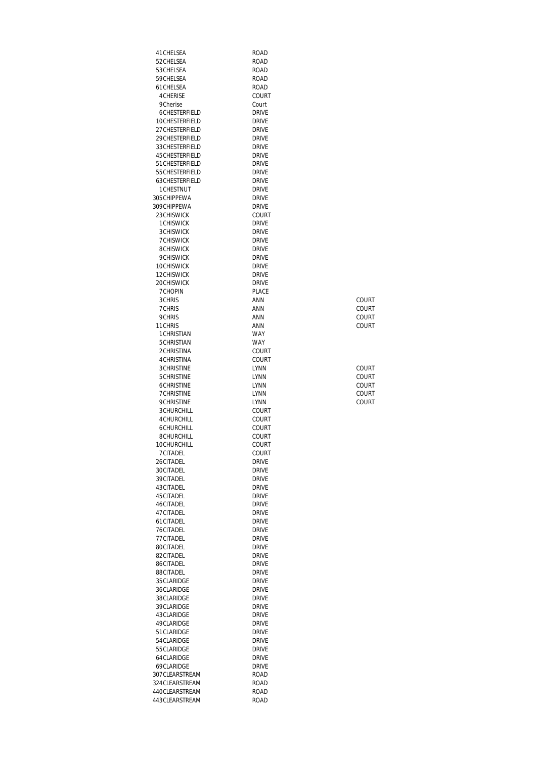| 41 CHELSEA                             | ROAD         |                              |
|----------------------------------------|--------------|------------------------------|
| 52 CHELSEA                             | ROAD         |                              |
| 53 CHELSEA                             | ROAD         |                              |
| 59CHELSEA                              | ROAD         |                              |
| 61 CHELSEA                             | ROAD         |                              |
| <b>4CHERISE</b>                        | COURT        |                              |
| 9Cherise                               | Court        |                              |
| 6CHESTERFIELD                          | <b>DRIVE</b> |                              |
| 10CHESTERFIELD                         | <b>DRIVE</b> |                              |
| 27 CHESTERFIELD                        | <b>DRIVE</b> |                              |
| 29 CHESTERFIELD                        | <b>DRIVE</b> |                              |
| 33 CHESTERFIELD                        | <b>DRIVE</b> |                              |
| 45 CHESTERFIELD                        | <b>DRIVE</b> |                              |
| 51 CHESTERFIELD                        | DRIVE        |                              |
| 55 CHESTERFIELD                        | <b>DRIVE</b> |                              |
| 63CHESTERFIELD                         | <b>DRIVE</b> |                              |
| 1 CHESTNUT                             | <b>DRIVE</b> |                              |
| 305 CHIPPEWA                           | <b>DRIVE</b> |                              |
| 309CHIPPEWA                            | <b>DRIVE</b> |                              |
| 23 CHISWICK                            | COURT        |                              |
| 1 CHISWICK                             | DRIVE        |                              |
| <b>3CHISWICK</b>                       | <b>DRIVE</b> |                              |
| <b>7CHISWICK</b>                       | <b>DRIVE</b> |                              |
| 8CHISWICK                              | <b>DRIVE</b> |                              |
| 9CHISWICK                              | <b>DRIVE</b> |                              |
| 10CHISWICK                             | DRIVE        |                              |
| 12CHISWICK                             | <b>DRIVE</b> |                              |
| 20CHISWICK                             | DRIVE        |                              |
| <b>7CHOPIN</b>                         | <b>PLACE</b> |                              |
| 3 CHRIS                                | ANN          | COURT                        |
| 7CHRIS                                 | ANN          | COURT                        |
| 9CHRIS                                 | ANN          | COURT                        |
| 11 CHRIS                               | ANN          | COURT                        |
| 1 CHRISTIAN                            | <b>WAY</b>   |                              |
| 5CHRISTIAN                             | <b>WAY</b>   |                              |
| 2CHRISTINA                             | COURT        |                              |
| <b>4 CHRISTINA</b>                     | COURT        |                              |
| <b>3CHRISTINE</b><br><b>5CHRISTINE</b> | LYNN         | COURT                        |
| 6CHRISTINE                             | LYNN         | <b>COURT</b><br><b>COURT</b> |
| <b>7CHRISTINE</b>                      | LYNN<br>LYNN | COURT                        |
| <b>9CHRISTINE</b>                      | LYNN         | COURT                        |
| <b>3CHURCHILL</b>                      | COURT        |                              |
| <b>4CHURCHILL</b>                      | COURT        |                              |
| 6CHURCHILL                             | COURT        |                              |
| 8CHURCHILL                             | COURT        |                              |
| 10CHURCHILL                            | COURT        |                              |
| 7CITADEL                               | COURT        |                              |
| 26CITADEL                              | DRIVE        |                              |
| 30CITADEL                              | Drive        |                              |
| 39CITADEL                              | <b>DRIVE</b> |                              |
| 43CITADEL                              | <b>DRIVE</b> |                              |
| 45 CITADEL                             | <b>DRIVE</b> |                              |
| 46CITADEL                              | <b>DRIVE</b> |                              |
| 47 CITADEL                             | <b>DRIVE</b> |                              |
| 61 CITADEL                             | Drive        |                              |
| 76CITADEL                              | Drive        |                              |
| 77 CITADEL                             | Drive        |                              |
| 80CITADEL                              | Drive        |                              |
| 82CITADEL                              | Drive        |                              |
| 86CITADEL                              | Drive        |                              |
| 88CITADEL                              | Drive        |                              |
| 35 CLARIDGE                            | DRIVE        |                              |
| 36CLARIDGE                             | Drive        |                              |
| 38CLARIDGE                             | Drive        |                              |
| 39CLARIDGE                             | DRIVE        |                              |
| 43 CLARIDGE                            | Drive        |                              |
| 49CLARIDGE                             | Drive        |                              |
| 51 CLARIDGE                            | Drive        |                              |
| 54 CLARIDGE                            | Drive        |                              |
| 55 CLARIDGE                            | Drive        |                              |
| 64CLARIDGE                             | Drive        |                              |
| 69CLARIDGE                             | DRIVE        |                              |
| 307 CLEARSTREAM                        | ROAD         |                              |
| 324 CLEARSTREAM                        | ROAD         |                              |
| 440CLEARSTREAM                         | ROAD         |                              |
| 443CLEARSTREAM                         | ROAD         |                              |

| COURT  |
|--------|
| COURT  |
| COURT  |
| COURT  |
| COLIRT |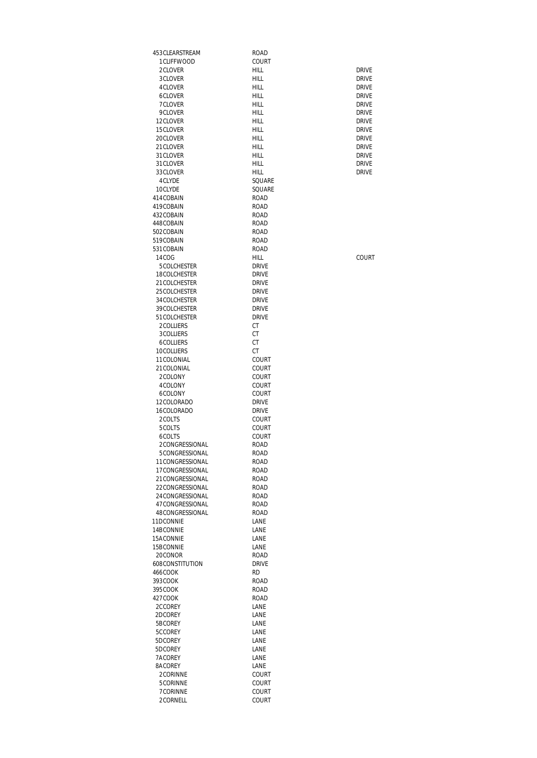| 453 CLEARSTREAM                    | ROAD                         |                              |
|------------------------------------|------------------------------|------------------------------|
| 1 CLIFFWOOD                        | COURT                        |                              |
| 2CLOVER<br>3CLOVER                 | HILL<br>HILL                 | <b>DRIVE</b><br><b>DRIVE</b> |
| 4CLOVER                            | HILL                         | <b>DRIVE</b>                 |
| 6CLOVER                            | HILL                         | <b>DRIVE</b>                 |
| 7CLOVER                            | <b>HILL</b>                  | <b>DRIVE</b>                 |
| 9CLOVER                            | HILL                         | <b>DRIVE</b>                 |
| 12CLOVER<br>15CLOVER               | HILL<br>HILL                 | <b>DRIVE</b><br><b>DRIVE</b> |
| 20CLOVER                           | HILL                         | <b>DRIVE</b>                 |
| 21 CLOVER                          | HILL                         | <b>DRIVE</b>                 |
| 31 CLOVER                          | <b>HILL</b>                  | <b>DRIVE</b>                 |
| 31 CLOVER                          | <b>HILL</b>                  | <b>DRIVE</b>                 |
| 33CLOVER                           | <b>HILL</b>                  | <b>DRIVE</b>                 |
| 4CLYDE<br>10CLYDE                  | SQUARE<br>SQUARE             |                              |
| 414COBAIN                          | ROAD                         |                              |
| 419COBAIN                          | ROAD                         |                              |
| 432COBAIN                          | <b>ROAD</b>                  |                              |
| 448COBAIN                          | <b>ROAD</b>                  |                              |
| 502COBAIN<br>519COBAIN             | <b>ROAD</b><br><b>ROAD</b>   |                              |
| 531 COBAIN                         | <b>ROAD</b>                  |                              |
| 14COG                              | <b>HILL</b>                  | COURT                        |
| 5COLCHESTER                        | <b>DRIVE</b>                 |                              |
| 18COLCHESTER                       | <b>DRIVE</b>                 |                              |
| 21 COLCHESTER                      | <b>DRIVE</b>                 |                              |
| 25 COLCHESTER<br>34 COLCHESTER     | <b>DRIVE</b><br><b>DRIVE</b> |                              |
| 39COLCHESTER                       | <b>DRIVE</b>                 |                              |
| 51 COLCHESTER                      | <b>DRIVE</b>                 |                              |
| 2COLLIERS                          | СT                           |                              |
| 3COLLIERS                          | СT                           |                              |
| 6COLLIERS<br>10COLLIERS            | СT<br>СT                     |                              |
| 11COLONIAL                         | COURT                        |                              |
| 21 COLONIAL                        | COURT                        |                              |
| 2COLONY                            | COURT                        |                              |
| 4COLONY                            | COURT                        |                              |
| 6COLONY<br>12COLORADO              | COURT<br><b>DRIVE</b>        |                              |
| 16COLORADO                         | <b>DRIVE</b>                 |                              |
| 2COLTS                             | COURT                        |                              |
| 5COLTS                             | COURT                        |                              |
| 6COLTS                             | COURT                        |                              |
| 2CONGRESSIONAL<br>5CONGRESSIONAL   | ROAD<br><b>ROAD</b>          |                              |
| 11CONGRESSIONAL                    | ROAD                         |                              |
| 17CONGRESSIONAL                    | ROAD                         |                              |
| 21 CONGRESSIONAL                   | <b>ROAD</b>                  |                              |
| 22CONGRESSIONAL                    | <b>ROAD</b>                  |                              |
| 24CONGRESSIONAL                    | <b>ROAD</b>                  |                              |
| 47CONGRESSIONAL<br>48CONGRESSIONAL | <b>ROAD</b><br>ROAD          |                              |
| 11DCONNIE                          | LANE                         |                              |
| 14BCONNIE                          | LANE                         |                              |
| 15ACONNIE                          | LANE                         |                              |
| 15BCONNIE                          | LANE                         |                              |
| 20CONOR<br>608CONSTITUTION         | <b>ROAD</b><br><b>DRIVE</b>  |                              |
| 466COOK                            | RD                           |                              |
| 393COOK                            | ROAD                         |                              |
| 395COOK                            | ROAD                         |                              |
| 427COOK                            | ROAD                         |                              |
| 2CCOREY<br>2DCOREY                 | LANE                         |                              |
| 5BCOREY                            | LANE<br>LANE                 |                              |
| 5CCOREY                            | LANE                         |                              |
| 5DCOREY                            | LANE                         |                              |
| 5DCOREY                            | LANE                         |                              |
| 7ACOREY                            | LANE                         |                              |
| 8ACOREY<br>2CORINNE                | LANE<br>COURT                |                              |
| 5CORINNE                           | COURT                        |                              |
| 7CORINNE                           | COURT                        |                              |
| 2CORNELL                           | COURT                        |                              |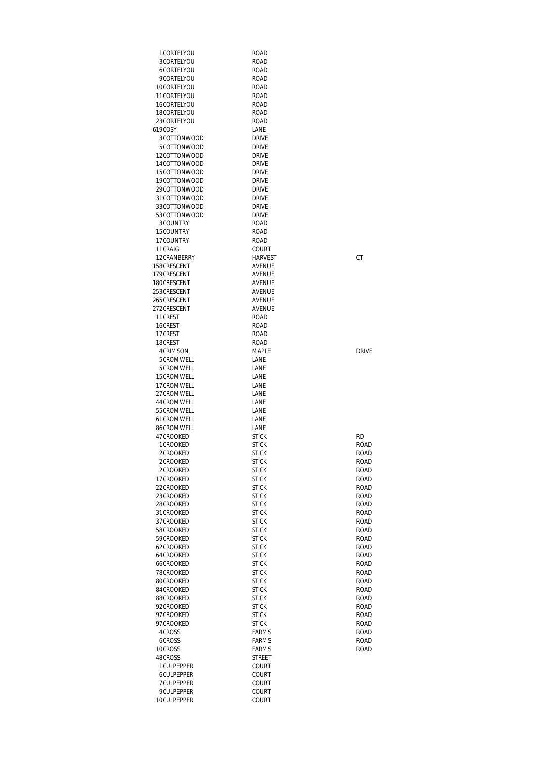| 1 CORTELYOU  | <b>ROAD</b>    |              |
|--------------|----------------|--------------|
| 3CORTELYOU   | ROAD           |              |
| 6CORTELYOU   | ROAD           |              |
| 9CORTELYOU   | ROAD           |              |
| 10CORTELYOU  | ROAD           |              |
| 11CORTELYOU  | <b>ROAD</b>    |              |
| 16CORTELYOU  | ROAD           |              |
| 18CORTELYOU  | ROAD           |              |
| 23CORTELYOU  | ROAD           |              |
| 619COSY      | LANE           |              |
| 3COTTONWOOD  | <b>DRIVE</b>   |              |
|              |                |              |
| 5COTTONWOOD  | <b>DRIVE</b>   |              |
| 12COTTONWOOD | <b>DRIVE</b>   |              |
| 14COTTONWOOD | <b>DRIVE</b>   |              |
| 15COTTONWOOD | <b>DRIVE</b>   |              |
| 19COTTONWOOD | <b>DRIVE</b>   |              |
| 29COTTONWOOD | <b>DRIVE</b>   |              |
| 31COTTONWOOD | <b>DRIVE</b>   |              |
| 33COTTONWOOD | <b>DRIVE</b>   |              |
| 53COTTONWOOD | <b>DRIVE</b>   |              |
| 3COUNTRY     | ROAD           |              |
| 15COUNTRY    | <b>ROAD</b>    |              |
|              |                |              |
| 17COUNTRY    | ROAD           |              |
| 11 CRAIG     | COURT          |              |
| 12CRANBERRY  | <b>HARVEST</b> | СT           |
| 158CRESCENT  | AVENUE         |              |
| 179CRESCENT  | AVENUE         |              |
| 180CRESCENT  | AVENUE         |              |
| 253CRESCENT  | AVENUE         |              |
| 265CRESCENT  | AVENUE         |              |
| 272CRESCENT  | AVENUE         |              |
| 11 CREST     | <b>ROAD</b>    |              |
|              |                |              |
| 16CREST      | ROAD           |              |
| 17 CREST     | ROAD           |              |
| 18CREST      | ROAD           |              |
| 4 CRIMSON    | MAPLE          | <b>DRIVE</b> |
| 5CROMWELL    | LANE           |              |
| 5CROMWELL    | LANE           |              |
| 15CROMWELL   | LANE           |              |
| 17CROMWELL   | LANE           |              |
| 27CROMWELL   | LANE           |              |
| 44CROMWELL   | LANE           |              |
| 55CROMWELL   | LANE           |              |
| 61 CROMWELL  | LANE           |              |
|              |                |              |
| 86CROMWELL   | LANE           |              |
| 47CROOKED    | <b>STICK</b>   | <b>RD</b>    |
| 1 CROOKED    | <b>STICK</b>   | ROAD         |
| 2CROOKED     | <b>STICK</b>   | <b>ROAD</b>  |
| 2CROOKED     | <b>STICK</b>   | ROAD         |
| 2CROOKED     | <b>STICK</b>   | <b>ROAD</b>  |
| 17CROOKED    | <b>STICK</b>   | <b>ROAD</b>  |
| 22CROOKED    | <b>STICK</b>   | ROAD         |
| 23CROOKED    | <b>STICK</b>   | ROAD         |
| 28CROOKED    | <b>STICK</b>   | <b>ROAD</b>  |
| 31 CROOKED   | <b>STICK</b>   | <b>ROAD</b>  |
| 37CROOKED    | <b>STICK</b>   | <b>ROAD</b>  |
|              |                |              |
| 58CROOKED    | <b>STICK</b>   | <b>ROAD</b>  |
| 59CROOKED    | <b>STICK</b>   | ROAD         |
| 62CROOKED    | <b>STICK</b>   | <b>ROAD</b>  |
| 64CROOKED    | <b>STICK</b>   | ROAD         |
| 66CROOKED    | <b>STICK</b>   | <b>ROAD</b>  |
| 78CROOKED    | <b>STICK</b>   | ROAD         |
| 80CROOKED    | <b>STICK</b>   | <b>ROAD</b>  |
| 84CROOKED    | <b>STICK</b>   | <b>ROAD</b>  |
| 88CROOKED    | <b>STICK</b>   | ROAD         |
| 92CROOKED    | <b>STICK</b>   | ROAD         |
|              |                |              |
| 97CROOKED    | <b>STICK</b>   | ROAD         |
| 97CROOKED    | <b>STICK</b>   | <b>ROAD</b>  |
| 4CROSS       | <b>FARMS</b>   | <b>ROAD</b>  |
| 6CROSS       | <b>FARMS</b>   | ROAD         |
| 10CROSS      | <b>FARMS</b>   | <b>ROAD</b>  |
| 48CROSS      | STREET         |              |
| 1 CULPEPPER  | COURT          |              |
| 6CULPEPPER   | COURT          |              |
| 7CULPEPPER   | COURT          |              |
| 9CULPEPPER   | COURT          |              |
|              |                |              |
| 10CULPEPPER  | COURT          |              |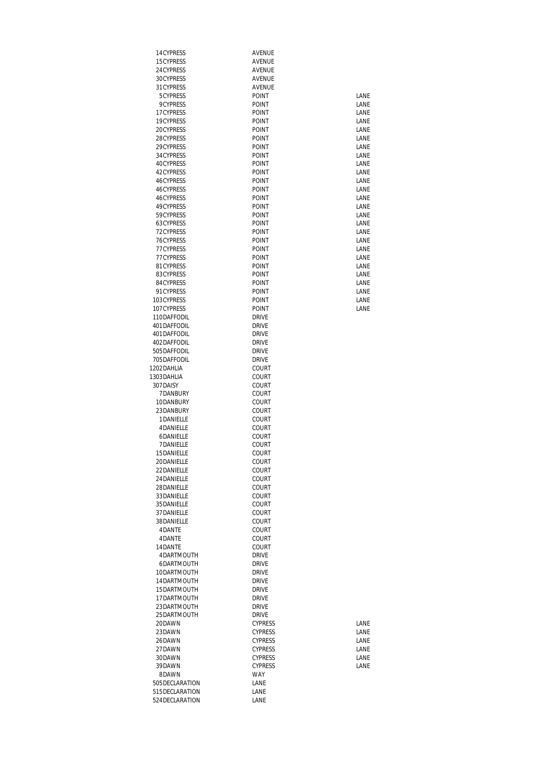| 14CYPRESS                  | AVENUE                       |              |
|----------------------------|------------------------------|--------------|
| 15CYPRESS                  | AVENUE                       |              |
| 24 CYPRESS                 | AVENUE                       |              |
| 30CYPRESS                  | AVENUE                       |              |
| 31 CYPRESS<br>5CYPRESS     | AVENUE<br><b>POINT</b>       | LANE         |
| <b>9CYPRESS</b>            | <b>POINT</b>                 | LANE         |
| 17 CYPRESS                 | <b>POINT</b>                 | LANE         |
| 19CYPRESS                  | <b>POINT</b>                 | LANE         |
| 20CYPRESS                  | POINT                        | LANE         |
| 28CYPRESS                  | <b>POINT</b>                 | LANE         |
| 29CYPRESS                  | POINT                        | LANE         |
| 34 CYPRESS                 | POINT                        | LANE         |
| 40CYPRESS                  | <b>POINT</b>                 | LANE         |
| 42CYPRESS                  | POINT                        | LANE         |
| 46CYPRESS                  | <b>POINT</b>                 | LANE         |
| 46CYPRESS                  | POINT                        | LANE         |
| 46CYPRESS                  | <b>POINT</b>                 | LANE         |
| 49CYPRESS                  | POINT                        | LANE         |
| 59CYPRESS                  | <b>POINT</b>                 | LANE         |
| 63CYPRESS<br>72CYPRESS     | <b>POINT</b><br>POINT        | LANE<br>LANE |
| 76CYPRESS                  | POINT                        | LANE         |
| 77 CYPRESS                 | <b>POINT</b>                 | LANE         |
| 77 CYPRESS                 | <b>POINT</b>                 | LANE         |
| 81 CYPRESS                 | POINT                        | LANE         |
| 83CYPRESS                  | <b>POINT</b>                 | LANE         |
| 84CYPRESS                  | <b>POINT</b>                 | LANE         |
| 91 CYPRESS                 | <b>POINT</b>                 | LANE         |
| 103CYPRESS                 | <b>POINT</b>                 | LANE         |
| 107CYPRESS                 | POINT                        | LANE         |
| 110DAFFODIL                | <b>DRIVE</b>                 |              |
| 401DAFFODIL                | <b>DRIVE</b>                 |              |
| 401DAFFODIL                | <b>DRIVE</b>                 |              |
| 402DAFFODIL                | <b>DRIVE</b>                 |              |
| 505DAFFODIL<br>705DAFFODIL | <b>DRIVE</b><br><b>DRIVE</b> |              |
| 1202DAHLIA                 | COURT                        |              |
| 1303DAHLIA                 | <b>COURT</b>                 |              |
| 307DAISY                   | COURT                        |              |
| 7DANBURY                   | COURT                        |              |
| 10DANBURY                  | COURT                        |              |
| 23DANBURY                  | COURT                        |              |
| 1DANIELLE                  | COURT                        |              |
| <b>4DANIELLE</b>           | COURT                        |              |
| 6DANIELLE                  | COURT                        |              |
| 7DANIELLE                  | COURT                        |              |
| 15DANIELLE                 | COURT                        |              |
| 20DANIELLE<br>22DANIELLE   | COURT<br>COURT               |              |
| 24DANIELLE                 | COURT                        |              |
| 28DANIELLE                 | COURT                        |              |
| 33DANIELLE                 | COURT                        |              |
| 35DANIELLE                 | COURT                        |              |
| 37DANIELLE                 | COURT                        |              |
| 38DANIELLE                 | COURT                        |              |
| 4DANTE                     | COURT                        |              |
| 4DANTE                     | COURT                        |              |
| 14DANTE                    | COURT                        |              |
| 4DARTMOUTH                 | <b>DRIVE</b>                 |              |
| 6DARTMOUTH                 | DRIVE                        |              |
| 10DARTMOUTH                | <b>DRIVE</b>                 |              |
| 14DARTMOUTH                | <b>DRIVE</b>                 |              |
| 15DARTMOUTH<br>17DARTMOUTH | <b>DRIVE</b><br><b>DRIVE</b> |              |
| 23DARTMOUTH                | <b>DRIVE</b>                 |              |
| 25DARTMOUTH                | <b>DRIVE</b>                 |              |
| 20DAWN                     | <b>CYPRESS</b>               | LANE         |
| 23DAWN                     | <b>CYPRESS</b>               | LANE         |
| 26DAWN                     | <b>CYPRESS</b>               | LANE         |
| 27DAWN                     | <b>CYPRESS</b>               | LANE         |
| 30DAWN                     | <b>CYPRESS</b>               | LANE         |
| 39DAWN                     | <b>CYPRESS</b>               | LANE         |
| 8DAWN                      | <b>WAY</b>                   |              |
| 505 DECLARATION            | LANE                         |              |
| 515 DECLARATION            | LANE                         |              |
| 524 DECLARATION            | LANE                         |              |

| I ANF |
|-------|
| I ANF |
| I ANF |
| I ANF |
| I ANF |
| I ANF |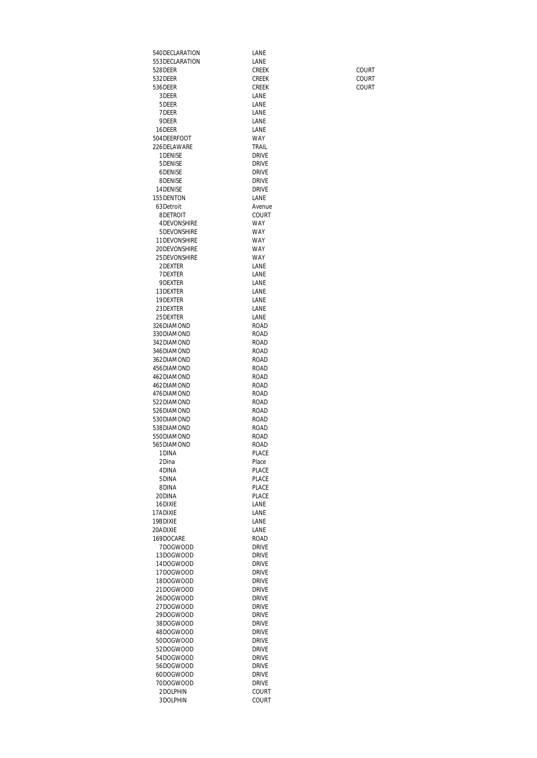540DECLARATION<br>553DECLARATION LANE 553DECLARATION 528DEER CREEK COURT 532DEER CREEK COURT 536DEER CREEK COURT 3DEER LANE<br>5DEER LANE 5 DEER LANE<br>7 DEER LANE 7 DEER LANE<br>9 DEER LANE 9DEER 16DEER LANE 504 DEERFOOT WAY<br>226 DELAWARE TRAIL 226DELAWARE 1 DENISE<br>5 DENISE DRIVE 5DENISE<br>6DENISE DRIVE<br>DRIVE DRIVE 6DENISE DRIVE<br>8DENISE DRIVE 8DENISE<br>14DENISE DRIVE DRIVE 14DENISE DRIVE<br>155 DENTON LANE 155DENTON 63Detroit Avenue<br>
8DETROIT COURT 8DETROIT 4DEVONSHIRE WAY<br>5DEVONSHIRE WAY 5DEVONSHIRE WAY 11 DEVONSHIRE WAY<br>20 DEVONSHIRE WAY 20DEVONSHIRE WAY<br>25DEVONSHIRE WAY 25 DEVONSHIRE WAY<br>2 DEXTER LANE 2DEXTER LANE<br>7DEXTER LANE 7DEXTER LANE<br>9DEXTER LANE 9DEXTER<br>13DEXTER LANE 13DEXTER LANE<br>19DEXTER LANE 19DEXTER LANE<br>23DEXTER LANE 23DEXTER 25 DEXTER LANE 326DIAMOND ROAD<br>330DIAMOND ROAD 330DIAMOND<br>342DIAMOND ROAD 342DIAMOND ROAD<br>346DIAMOND ROAD 346DIAMOND<br>362DIAMOND ROAD 362DIAMOND 456DIAMOND ROAD<br>462DIAMOND ROAD 462DIAMOND<br>462DIAMOND ROAD 462DIAMOND 476DIAMOND ROAD<br>522DIAMOND ROAD 522DIAMOND<br>526DIAMOND ROAD 526DIAMOND ROAD<br>530DIAMOND ROAD 530DIAMOND ROAD 538DIAMOND 550DIAMOND ROAD 565DIAMOND<br>1DINA PLACE 2Dina Place<br>4DINA PLACI PLACE 5DINA PLACE<br>8DINA PLACE 8DINA PLACE<br>20DINA PLACE 20DINA 16DIXIE LANE<br>17ADIXIE LANE LANE 17ADIXIE LANE<br>19BDIXIE LANE 19BDIXIE 20ADIXIE LANE<br>169DOCARE ROAD 169DOCARE ROAD<br>7DOGWOOD DRIVE 7DOGWOOD DRIVE<br>13DOGWOOD DRIVE 13DOGWOOD DRIVE<br>14DOGWOOD DRIVE 14DOGWOOD 17DOGWOOD DRIVE<br>18DOGWOOD DRIVE 18DOGWOOD DRIVE<br>21DOGWOOD DRIVE 21DOGWOOD 26DOGWOOD DRIVE<br>27DOGWOOD DRIVE 27DOGWOOD DRIVE<br>29DOGWOOD DRIVE 29DOGWOOD DRIVE<br>38DOGWOOD DRIVE 38DOGWOOD DRIVE<br>48DOGWOOD DRIVE 48DOGWOOD 50DOGWOOD DRIVE<br>52DOGWOOD DRIVE 52DOGWOOD DRIVE<br>54DOGWOOD DRIVE 54DOGWOOD DRIVE<br>56DOGWOOD DRIVE 56DOGWOOD DRIVE<br>60DOGWOOD DRIVE 60DOGWOOD DRIVE<br>70DOGWOOD DRIVE 70DOGWOOD 2DOLPHIN COURT<br>3DOLPHIN COURT 3DOLPHIN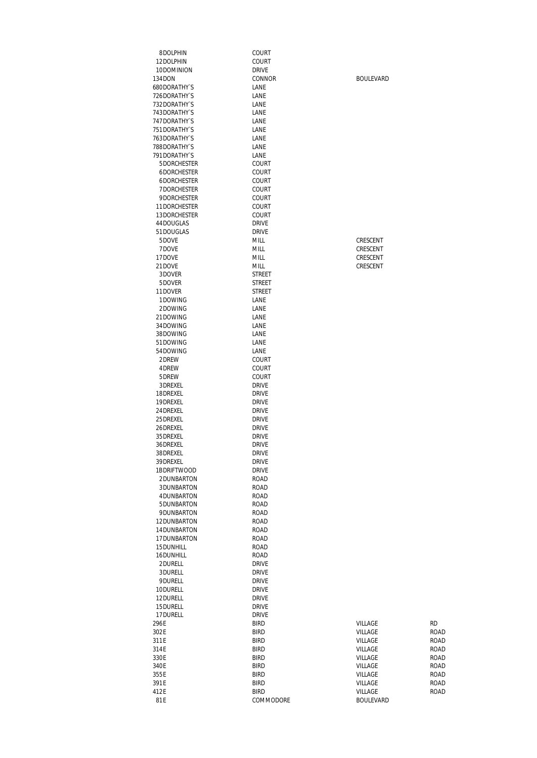| 8DOLPHIN                            | COURT                        |                      |              |
|-------------------------------------|------------------------------|----------------------|--------------|
| 12DOLPHIN                           | <b>COURT</b>                 |                      |              |
| 10DOMINION                          | <b>DRIVE</b>                 |                      |              |
| 134DON                              | CONNOR                       | <b>BOULEVARD</b>     |              |
| <b>680DORATHY'S</b><br>726DORATHY'S | LANE<br>LANE                 |                      |              |
| 732DORATHY'S                        | LANE                         |                      |              |
| 743DORATHY'S                        | LANE                         |                      |              |
| 747 DORATHY'S                       | LANE                         |                      |              |
| 751DORATHY`S                        | LANE                         |                      |              |
| 763DORATHY'S                        | LANE                         |                      |              |
| 788DORATHY`S                        | LANE                         |                      |              |
| 791DORATHY`S                        | LANE                         |                      |              |
| 5DORCHESTER                         | <b>COURT</b>                 |                      |              |
| 6DORCHESTER                         | COURT                        |                      |              |
| 6DORCHESTER                         | <b>COURT</b>                 |                      |              |
| 7DORCHESTER                         | <b>COURT</b>                 |                      |              |
| 9DORCHESTER<br>11DORCHESTER         | COURT<br><b>COURT</b>        |                      |              |
| 13DORCHESTER                        | <b>COURT</b>                 |                      |              |
| 44DOUGLAS                           | <b>DRIVE</b>                 |                      |              |
| 51DOUGLAS                           | <b>DRIVE</b>                 |                      |              |
| 5DOVE                               | MILL                         | CRESCENT             |              |
| 7DOVE                               | MILL                         | CRESCENT             |              |
| 17DOVE                              | MILL                         | CRESCENT             |              |
| 21DOVE                              | MILL                         | CRESCENT             |              |
| 3DOVER                              | STREET                       |                      |              |
| 5DOVER                              | <b>STREET</b>                |                      |              |
| 11DOVER                             | <b>STREET</b>                |                      |              |
| 1DOWING                             | LANE                         |                      |              |
| 2DOWING<br>21DOWING                 | LANE                         |                      |              |
| 34DOWING                            | LANE<br>LANE                 |                      |              |
| 38DOWING                            | LANE                         |                      |              |
| 51DOWING                            | LANE                         |                      |              |
| 54DOWING                            | LANE                         |                      |              |
| 2DREW                               | COURT                        |                      |              |
| 4DREW                               | <b>COURT</b>                 |                      |              |
| 5DREW                               | <b>COURT</b>                 |                      |              |
| 3DREXEL                             | <b>DRIVE</b>                 |                      |              |
| 18DREXEL                            | <b>DRIVE</b>                 |                      |              |
| 19DREXEL                            | DRIVE                        |                      |              |
| 24 DREXEL                           | <b>DRIVE</b>                 |                      |              |
| 25 DREXEL<br>26DREXEL               | <b>DRIVE</b><br><b>DRIVE</b> |                      |              |
| 35 DREXEL                           | <b>DRIVE</b>                 |                      |              |
| 36DREXEL                            | <b>DRIVE</b>                 |                      |              |
| 38DREXEL                            | DRIVE                        |                      |              |
| 39DREXEL                            | <b>DRIVE</b>                 |                      |              |
| 1BDRIFTWOOD                         | <b>DRIVE</b>                 |                      |              |
| 2DUNBARTON                          | ROAD                         |                      |              |
| 3DUNBARTON                          | <b>ROAD</b>                  |                      |              |
| 4DUNBARTON                          | <b>ROAD</b>                  |                      |              |
| 5DUNBARTON                          | ROAD                         |                      |              |
| 9DUNBARTON                          | <b>ROAD</b>                  |                      |              |
| 12DUNBARTON                         | <b>ROAD</b>                  |                      |              |
| 14DUNBARTON<br>17DUNBARTON          | <b>ROAD</b>                  |                      |              |
| 15DUNHILL                           | ROAD<br>ROAD                 |                      |              |
| 16DUNHILL                           | <b>ROAD</b>                  |                      |              |
| 2DURELL                             | <b>DRIVE</b>                 |                      |              |
| 3DURELL                             | <b>DRIVE</b>                 |                      |              |
| 9DURELL                             | <b>DRIVE</b>                 |                      |              |
| 10DURELL                            | <b>DRIVE</b>                 |                      |              |
| 12DURELL                            | <b>DRIVE</b>                 |                      |              |
| 15DURELL                            | <b>DRIVE</b>                 |                      |              |
| 17DURELL                            | <b>DRIVE</b>                 |                      |              |
| 296E                                | <b>BIRD</b>                  | <b>RD</b><br>VILLAGE |              |
| 302E                                | <b>BIRD</b>                  | VILLAGE              | <b>ROAD</b>  |
| 311E                                | <b>BIRD</b>                  | VILLAGE              | ROAD         |
| 314E<br>330E                        | <b>BIRD</b><br><b>BIRD</b>   | VILLAGE<br>VILLAGE   | ROAD<br>ROAD |
| 340E                                | <b>BIRD</b>                  | VILLAGE              | ROAD         |
| 355E                                | <b>BIRD</b>                  | VILLAGE              | ROAD         |
| 391E                                | <b>BIRD</b>                  | VILLAGE              | ROAD         |
| 412E                                | <b>BIRD</b>                  | VILLAGE              | ROAD         |
| 81E                                 | COMMODORE                    | <b>BOULEVARD</b>     |              |

| VILLAGE | <b>RD</b>   |
|---------|-------------|
| VILLAGE | <b>ROAI</b> |
| VILLAGE | <b>ROAI</b> |
| VILLAGE | <b>ROAI</b> |
| VILLAGE | <b>ROAI</b> |
| VILLAGE | <b>ROAI</b> |
| VILLAGE | <b>ROAI</b> |
| VILLAGE | <b>ROAI</b> |
| VILLAGE | ROAI        |
|         |             |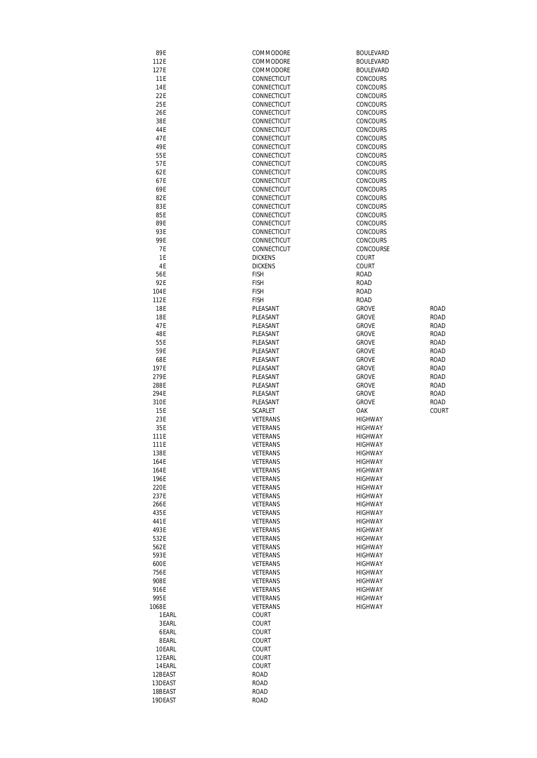| 89E        | COMMODORE       | <b>BOULEVARD</b> |              |
|------------|-----------------|------------------|--------------|
| 112E       | COMMODORE       | <b>BOULEVARD</b> |              |
|            |                 |                  |              |
| 127E       | COMMODORE       | <b>BOULEVARD</b> |              |
| 11E        | CONNECTICUT     | <b>CONCOURS</b>  |              |
| 14E        | CONNECTICUT     | CONCOURS         |              |
| 22E        | CONNECTICUT     | CONCOURS         |              |
| 25E        | CONNECTICUT     | <b>CONCOURS</b>  |              |
| 26E        | CONNECTICUT     | <b>CONCOURS</b>  |              |
|            |                 |                  |              |
| 38E        | CONNECTICUT     | CONCOURS         |              |
| 44 E       | CONNECTICUT     | CONCOURS         |              |
| 47E        | CONNECTICUT     | CONCOURS         |              |
| 49E        | CONNECTICUT     | <b>CONCOURS</b>  |              |
| 55E        | CONNECTICUT     | <b>CONCOURS</b>  |              |
| 57E        | CONNECTICUT     | CONCOURS         |              |
| 62E        | CONNECTICUT     | CONCOURS         |              |
|            |                 |                  |              |
| 67E        | CONNECTICUT     | CONCOURS         |              |
| 69E        | CONNECTICUT     | CONCOURS         |              |
| 82E        | CONNECTICUT     | CONCOURS         |              |
| 83E        | CONNECTICUT     | CONCOURS         |              |
| 85E        | CONNECTICUT     | CONCOURS         |              |
| 89E        | CONNECTICUT     | CONCOURS         |              |
| 93E        | CONNECTICUT     | CONCOURS         |              |
|            |                 |                  |              |
| 99 E       | CONNECTICUT     | CONCOURS         |              |
| 7E         | CONNECTICUT     | CONCOURSE        |              |
| 1E         | <b>DICKENS</b>  | COURT            |              |
| 4E         | <b>DICKENS</b>  | COURT            |              |
| 56E        | <b>FISH</b>     | <b>ROAD</b>      |              |
| 92E        | <b>FISH</b>     | <b>ROAD</b>      |              |
| 104E       | <b>FISH</b>     | <b>ROAD</b>      |              |
|            |                 |                  |              |
| 112E       | <b>FISH</b>     | <b>ROAD</b>      |              |
| 18E        | PLEASANT        | <b>GROVE</b>     | <b>ROAD</b>  |
| <b>18E</b> | PLEASANT        | <b>GROVE</b>     | <b>ROAD</b>  |
| 47E        | PLEASANT        | <b>GROVE</b>     | <b>ROAD</b>  |
| 48E        | PLEASANT        | <b>GROVE</b>     | <b>ROAD</b>  |
| 55E        | PLEASANT        | <b>GROVE</b>     | <b>ROAD</b>  |
| 59E        | PLEASANT        | <b>GROVE</b>     | <b>ROAD</b>  |
|            |                 |                  | <b>ROAD</b>  |
| 68E        | PLEASANT        | <b>GROVE</b>     |              |
| 197E       | PLEASANT        | <b>GROVE</b>     | <b>ROAD</b>  |
| 279E       | PLEASANT        | <b>GROVE</b>     | <b>ROAD</b>  |
| 288E       | PLEASANT        | <b>GROVE</b>     | ROAD         |
| 294E       | PLEASANT        | <b>GROVE</b>     | ROAD         |
| 310E       | PLEASANT        | <b>GROVE</b>     | ROAD         |
| <b>15E</b> | <b>SCARLET</b>  | OAK              | <b>COURT</b> |
| 23E        | <b>VETERANS</b> | <b>HIGHWAY</b>   |              |
|            |                 |                  |              |
| 35E        | VETERANS        | <b>HIGHWAY</b>   |              |
| 111E       | VETERANS        | <b>HIGHWAY</b>   |              |
| 111E       | VETERANS        | <b>HIGHWAY</b>   |              |
| 138E       | VETERANS        | <b>HIGHWAY</b>   |              |
| 164E       | VETERANS        | <b>HIGHWAY</b>   |              |
| 164E       | VETERANS        | <b>HIGHWAY</b>   |              |
| 196E       | VETERANS        | HIGHWAY          |              |
|            |                 |                  |              |
| 220E       | VETERANS        | <b>HIGHWAY</b>   |              |
| 237E       | VETERANS        | HIGHWAY          |              |
| 266E       | VETERANS        | <b>HIGHWAY</b>   |              |
| 435E       | VETERANS        | <b>HIGHWAY</b>   |              |
| 441E       | VETERANS        | <b>HIGHWAY</b>   |              |
| 493E       | VETERANS        | <b>HIGHWAY</b>   |              |
| 532E       | VETERANS        | <b>HIGHWAY</b>   |              |
| 562E       | VETERANS        | <b>HIGHWAY</b>   |              |
|            |                 |                  |              |
| 593E       | VETERANS        | HIGHWAY          |              |
| 600E       | VETERANS        | HIGHWAY          |              |
| 756E       | VETERANS        | <b>HIGHWAY</b>   |              |
| 908E       | VETERANS        | <b>HIGHWAY</b>   |              |
| 916E       | VETERANS        | <b>HIGHWAY</b>   |              |
| 995E       | VETERANS        | HIGHWAY          |              |
| 1068E      | VETERANS        | <b>HIGHWAY</b>   |              |
| 1 EARL     | COURT           |                  |              |
|            |                 |                  |              |
| 3EARL      | COURT           |                  |              |
| 6EARL      | COURT           |                  |              |
| 8EARL      | COURT           |                  |              |
| 10EARL     | <b>COURT</b>    |                  |              |
| 12EARL     | <b>COURT</b>    |                  |              |
| 14 EARL    | COURT           |                  |              |
| 12BEAST    | ROAD            |                  |              |
|            |                 |                  |              |
| 13DEAST    | ROAD            |                  |              |
| 18BEAST    | <b>ROAD</b>     |                  |              |
| 19DEAST    | <b>ROAD</b>     |                  |              |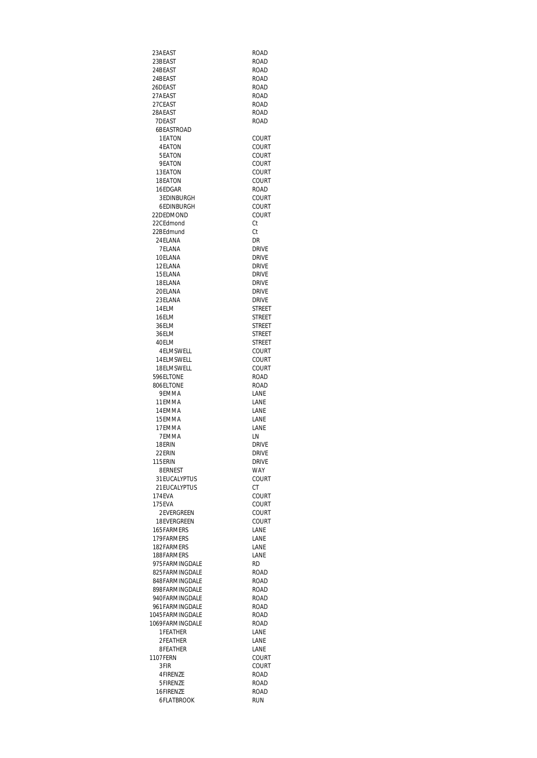| 23AEAST                          | ROAD                         |
|----------------------------------|------------------------------|
| 23BEAST                          | <b>ROAD</b>                  |
| 24BEAST                          | ROAD                         |
| 24BEAST                          | ROAD                         |
| 26DEAST                          | ROAD                         |
| 27AFAST                          | <b>ROAD</b>                  |
| 27CEAST<br>28AEAST               | ROAD<br><b>ROAD</b>          |
| 7DEAST                           | <b>ROAD</b>                  |
| 6BEASTROAD                       |                              |
| 1EATON                           | COURT                        |
| <b>4EATON</b>                    | COURT                        |
| 5FATON                           | COURT                        |
| 9EATON                           | COURT                        |
| 13EATON                          | COURT                        |
| 18EATON                          | COURT                        |
| 16EDGAR<br>3 EDINBURGH           | ROAD<br>COURT                |
| 6EDINBURGH                       | COURT                        |
| 22DEDMOND                        | COURT                        |
| 22CFdmond                        | Ct                           |
| 22BEdmund                        | Ct                           |
| 24 ELANA                         | DR                           |
| 7ELANA                           | <b>DRIVE</b>                 |
| 10FI ANA                         | <b>DRIVF</b>                 |
| 12ELANA                          | <b>DRIVE</b>                 |
| 15ELANA<br>18ELANA               | <b>DRIVE</b><br><b>DRIVF</b> |
| 20ELANA                          | <b>DRIVE</b>                 |
| 23FI ANA                         | <b>DRIVE</b>                 |
| 14ELM                            | <b>STREET</b>                |
| 16ELM                            | STREET                       |
| 36ELM                            | STREET                       |
| 36ELM                            | <b>STREET</b>                |
| 40ELM                            | <b>STREET</b>                |
| 4 ELMSWELL                       | COURT                        |
| 14ELMSWELL                       | COURT                        |
| 18ELMSWELL<br>596ELTONE          | COURT<br><b>ROAD</b>         |
| 806ELTONE                        | ROAD                         |
| 9EMMA                            | LANE                         |
| 11 EMMA                          | LANE                         |
| 14FMMA                           | LANE                         |
| 15EMMA                           | LANE                         |
| 17EMMA                           | LANE                         |
| 7 EMMA<br>18FRIN                 | LN                           |
| 22ERIN                           | drive<br><b>DRIVE</b>        |
| 115FRIN                          | <b>DRIVE</b>                 |
| 8ERNEST                          | WAY                          |
| 31 EUCALYPTUS                    | COURT                        |
| 21 EUCALYPTUS                    | СT                           |
| 174FVA                           | COURT                        |
| 175EVA                           | COURT                        |
| 2EVERGREEN<br>18EVERGREEN        | COURT<br>COURT               |
| 165FARMERS                       | LANE                         |
| 179FARMFRS                       | <b>LANF</b>                  |
| 182FARMERS                       | LANE                         |
| 188FARMERS                       | LANE                         |
| 975FARMINGDALE                   | RD.                          |
| 825FARMINGDALE                   | <b>ROAD</b>                  |
| 848FARMINGDALE<br>898FARMINGDALE | <b>ROAD</b>                  |
| 940FARMINGDALE                   | ROAD<br>ROAD                 |
| 961 FARMINGDALE                  | ROAD                         |
| 1045 FARMINGDALE                 | <b>ROAD</b>                  |
| 1069FARMINGDALE                  | <b>ROAD</b>                  |
| <b>1FEATHER</b>                  | LANE                         |
| 2FEATHER                         | LANE                         |
| 8FEATHER                         | LANE                         |
| <b>1107FERN</b><br>3FIR          | COURT<br>COURT               |
| 4FIRENZE                         | ROAD                         |
| 5FIRENZE                         | ROAD                         |
| 16FIRENZE                        | ROAD                         |
| 6FLATBROOK                       | <b>RUN</b>                   |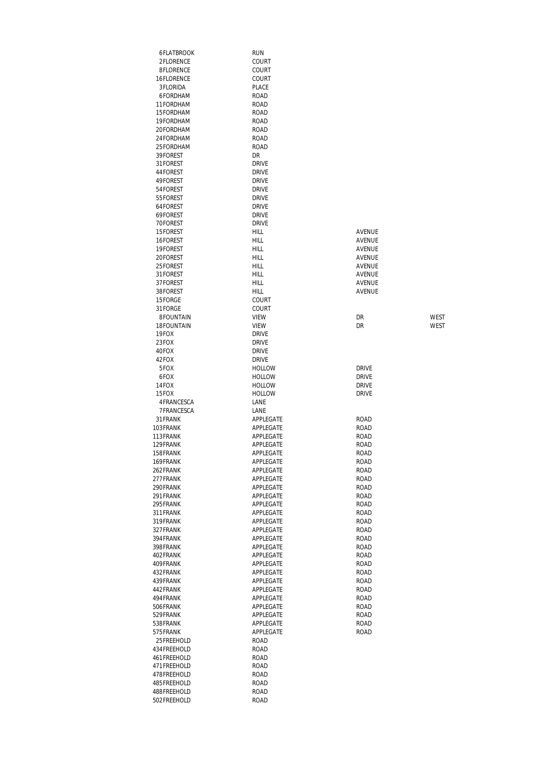| 6FLATBROOK            | run                            |                              |
|-----------------------|--------------------------------|------------------------------|
| 2FLORENCE             | COURT                          |                              |
| 8FLORENCE             | <b>COURT</b>                   |                              |
| 16FLORENCE            | COURT                          |                              |
| 3FLORIDA              | PLACE                          |                              |
| 6FORDHAM              | <b>ROAD</b>                    |                              |
| 11FORDHAM             | <b>ROAD</b>                    |                              |
| 15FORDHAM             | <b>ROAD</b>                    |                              |
| 19FORDHAM             | <b>ROAD</b>                    |                              |
| 20FORDHAM             | ROAD                           |                              |
| 24FORDHAM             | <b>ROAD</b>                    |                              |
| 25FORDHAM<br>39FOREST | <b>ROAD</b><br>DR              |                              |
| 31FOREST              | <b>DRIVE</b>                   |                              |
| 44FOREST              | <b>DRIVE</b>                   |                              |
| 49FOREST              | <b>DRIVE</b>                   |                              |
| 54FOREST              | <b>DRIVE</b>                   |                              |
| 55FOREST              | <b>DRIVE</b>                   |                              |
| 64FOREST              | <b>DRIVE</b>                   |                              |
| 69FOREST              | <b>DRIVE</b>                   |                              |
| 70FOREST              | <b>DRIVE</b>                   |                              |
| 15FOREST              | <b>HILL</b>                    | AVENUE                       |
| 16FOREST              | HILL                           | AVENUE                       |
| 19FOREST              | HILL                           | <b>AVENUE</b>                |
| 20FOREST              | <b>HILL</b>                    | AVENUE                       |
| 25FOREST              | HILL                           | AVENUE                       |
| 31FOREST              | HILL                           | AVENUE                       |
| 37FOREST              | HILL                           | AVENUE                       |
| 38FOREST              | HILL                           | AVENUE                       |
| 15FORGE               | COURT                          |                              |
| 31FORGE               | COURT                          |                              |
| 8FOUNTAIN             | <b>VIEW</b>                    | <b>WEST</b><br>DR            |
| 18FOUNTAIN            | <b>VIEW</b>                    | DR<br><b>WEST</b>            |
| 19FOX                 | <b>DRIVE</b>                   |                              |
| 23FOX                 | <b>DRIVE</b>                   |                              |
| 40FOX                 | <b>DRIVE</b>                   |                              |
| 42FOX                 | <b>DRIVE</b>                   |                              |
| 5FOX                  | <b>HOLLOW</b>                  | <b>DRIVE</b>                 |
| 6FOX                  | <b>HOLLOW</b>                  | <b>DRIVE</b><br><b>DRIVE</b> |
| 14FOX<br>15FOX        | <b>HOLLOW</b><br><b>HOLLOW</b> | <b>DRIVE</b>                 |
| 4FRANCESCA            | LANE                           |                              |
| 7FRANCESCA            | LANE                           |                              |
| 31 FRANK              | APPLEGATE                      | ROAD                         |
| 103FRANK              | APPLEGATE                      | ROAD                         |
| 113FRANK              | APPLEGATE                      | ROAD                         |
| 129FRANK              | APPLEGATE                      | ROAD                         |
| 158FRANK              | APPLEGATE                      | <b>ROAD</b>                  |
| 169FRANK              | APPLEGATE                      | ROAD                         |
| 262FRANK              | APPLEGATE                      | <b>ROAD</b>                  |
| 277FRANK              | APPLEGATE                      | ROAD                         |
| 290FRANK              | APPLEGATE                      | <b>ROAD</b>                  |
| 291 FRANK             | APPLEGATE                      | ROAD                         |
| 295FRANK              | APPLEGATE                      | ROAD                         |
| 311FRANK              | APPLEGATE                      | <b>ROAD</b>                  |
| 319FRANK              | APPLEGATE                      | <b>ROAD</b>                  |
| 327FRANK              | APPLEGATE                      | ROAD                         |
| 394FRANK              | APPLEGATE                      | ROAD                         |
| 398FRANK              | APPLEGATE                      | ROAD<br><b>ROAD</b>          |
| 402FRANK<br>409FRANK  | APPLEGATE<br>APPLEGATE         | ROAD                         |
| 432FRANK              | APPLEGATE                      | <b>ROAD</b>                  |
| 439FRANK              | APPLEGATE                      | <b>ROAD</b>                  |
| 442FRANK              | APPLEGATE                      | ROAD                         |
| 494FRANK              | APPLEGATE                      | ROAD                         |
| 506FRANK              | APPLEGATE                      | ROAD                         |
| 529FRANK              | APPLEGATE                      | ROAD                         |
| 538FRANK              | APPLEGATE                      | <b>ROAD</b>                  |
| 575FRANK              | APPLEGATE                      | <b>ROAD</b>                  |
| 25FREEHOLD            | <b>ROAD</b>                    |                              |
| 434FREEHOLD           | <b>ROAD</b>                    |                              |
| 461 FREEHOLD          | ROAD                           |                              |
| 471FREEHOLD           | ROAD                           |                              |
| 478FREEHOLD           | ROAD                           |                              |
| 485FREEHOLD           | <b>ROAD</b>                    |                              |
| 488FREEHOLD           | <b>ROAD</b>                    |                              |
| 502FREEHOLD           | ROAD                           |                              |

| <b>DRIVE</b><br><b>DRIVE</b><br><b>DRIVE</b><br><b>DRIVE</b>                                                                                                                                                                                                                                                                                                                                        |
|-----------------------------------------------------------------------------------------------------------------------------------------------------------------------------------------------------------------------------------------------------------------------------------------------------------------------------------------------------------------------------------------------------|
| <b>ROAD</b><br><b>ROAI</b><br>)<br>.<br>JAC<br>R(<br>j<br>ROAD<br>j<br><b>ROAD</b><br><b>ROAD</b><br><b>ROAD</b><br><b>ROAD</b><br><b>ROAD</b><br><b>ROAD</b><br><b>ROAD</b><br><b>ROAD</b><br>ROAD<br><b>ROAD</b><br><b>ROAD</b><br><b>ROAD</b><br><b>CAD</b><br>F<br><b>ROAD</b><br><b>ROAD</b><br><b>ROAD</b><br><b>ROAD</b><br><b>ROAD</b><br><b>ROAD</b><br><b>ROAD</b><br>ROAD<br><b>ROAD</b> |
|                                                                                                                                                                                                                                                                                                                                                                                                     |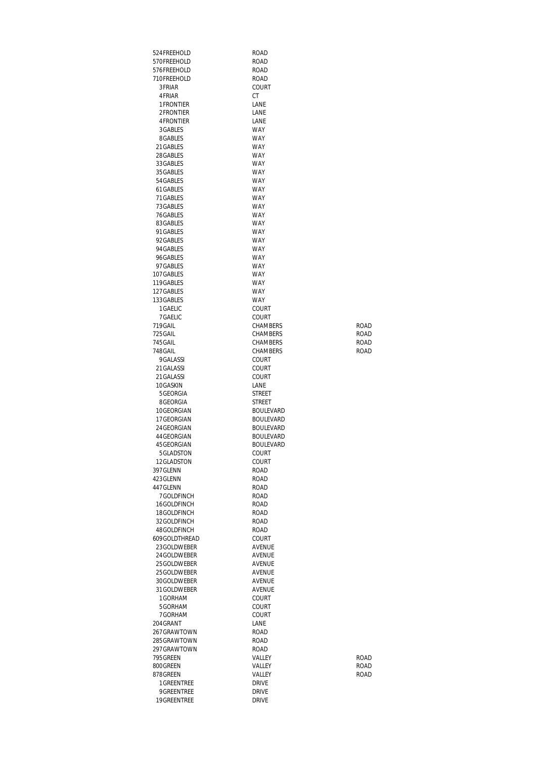| 524FREEHOLD                 | <b>ROAD</b>                  |      |
|-----------------------------|------------------------------|------|
| 570FREEHOLD                 | <b>ROAD</b>                  |      |
| 576FREEHOLD                 | ROAD                         |      |
| 710FREEHOLD                 | ROAD                         |      |
| 3FRIAR                      | COURT                        |      |
| 4 FRIAR<br>1 FRONTIER       | СT                           |      |
| 2FRONTIER                   | LANE<br>LANE                 |      |
| 4 FRONTIER                  | LANE                         |      |
| 3GABLES                     | WAY                          |      |
| 8GABLES                     | <b>WAY</b>                   |      |
| 21 GABLES                   | <b>WAY</b>                   |      |
| 28GABLES                    | <b>WAY</b>                   |      |
| 33 GABLES                   | WAY                          |      |
| 35 GABLES                   | <b>WAY</b>                   |      |
| 54 GABLES                   | <b>WAY</b>                   |      |
| 61 GABLES                   | WAY                          |      |
| 71 GABLES                   | <b>WAY</b>                   |      |
| 73 GABLES<br>76GABLES       | <b>WAY</b><br><b>WAY</b>     |      |
| 83GABLES                    | <b>WAY</b>                   |      |
| 91 GABLES                   | <b>WAY</b>                   |      |
| 92GABLES                    | <b>WAY</b>                   |      |
| 94 GABLES                   | <b>WAY</b>                   |      |
| 96GABLES                    | <b>WAY</b>                   |      |
| 97 GABLES                   | <b>WAY</b>                   |      |
| 107 GABLES                  | WAY                          |      |
| 119GABLES                   | <b>WAY</b>                   |      |
| 127 GABLES                  | <b>WAY</b>                   |      |
| 133 GABLES                  | <b>WAY</b>                   |      |
| 1 GAELIC<br>7 GAELIC        | COURT<br>COURT               |      |
| 719GAIL                     | CHAMBERS                     | ROAD |
| 725 GAIL                    | CHAMBERS                     | ROAD |
| 745 GAIL                    | CHAMBERS                     | ROAD |
| 748GAIL                     | CHAMBERS                     | ROAD |
| 9GALASSI                    | COURT                        |      |
| 21 GALASSI                  | <b>COURT</b>                 |      |
| 21 GALASSI                  | COURT                        |      |
| 10GASKIN                    | LANE                         |      |
| 5 GEORGIA<br>8GEORGIA       | STREET<br>STREET             |      |
| 10GEORGIAN                  | <b>BOULEVARD</b>             |      |
| 17 GEORGIAN                 | <b>BOULEVARD</b>             |      |
| 24 GEORGIAN                 | <b>BOULEVARD</b>             |      |
| 44 GEORGIAN                 | <b>BOULEVARD</b>             |      |
| 45 GEORGIAN                 | <b>BOULEVARD</b>             |      |
| 5GLADSTON                   | COURT                        |      |
| 12GLADSTON                  | COURT                        |      |
| 397 GLENN                   | ROAD                         |      |
| 423GLENN                    | ROAD                         |      |
| 447 GLENN                   | ROAD                         |      |
| 7GOLDFINCH<br>16GOLDFINCH   | ROAD<br>ROAD                 |      |
| 18GOLDFINCH                 | <b>ROAD</b>                  |      |
| 32GOLDFINCH                 | ROAD                         |      |
| 48GOLDFINCH                 | ROAD                         |      |
| 609 GOLDTHREAD              | COURT                        |      |
| 23GOLDWEBER                 | <b>AVENUE</b>                |      |
| 24 GOLDWEBER                | AVENUE                       |      |
| 25GOLDWEBER                 | AVENUE                       |      |
| 25 GOLDWEBER                | AVENUE                       |      |
| 30GOLDWEBER<br>31 GOLDWEBER | AVENUE<br>AVENUE             |      |
| 1GORHAM                     | COURT                        |      |
| 5GORHAM                     | COURT                        |      |
| 7GORHAM                     | COURT                        |      |
| 204 GRANT                   | LANE                         |      |
| 267GRAWTOWN                 | ROAD                         |      |
| 285GRAWTOWN                 | ROAD                         |      |
| 297GRAWTOWN                 | <b>ROAD</b>                  |      |
| 795 GREEN                   | VALLEY                       | ROAD |
| 800GREEN                    | VALLEY                       | ROAD |
| 878GREEN                    | VALLEY                       | ROAD |
| 1 GREENTREE                 | <b>DRIVE</b>                 |      |
| 9GREENTREE<br>19GREENTREE   | <b>DRIVE</b><br><b>DRIVE</b> |      |
|                             |                              |      |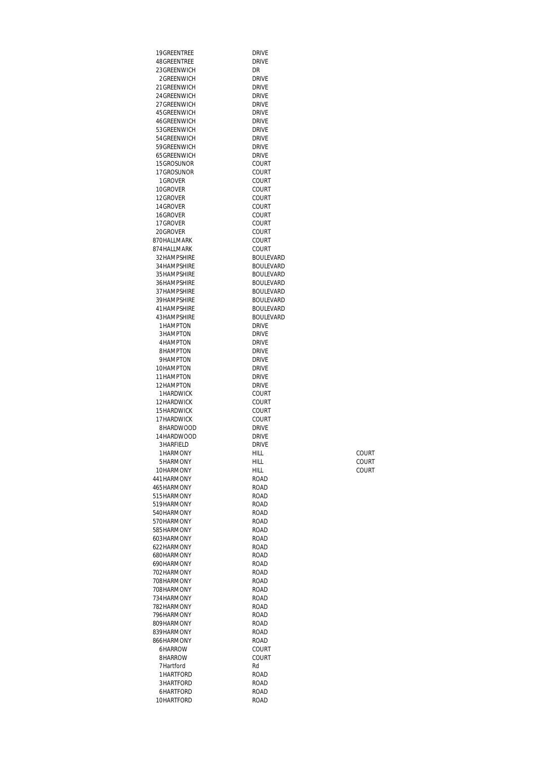| 19GREENTREE                  | <b>DRIVE</b>                         |       |
|------------------------------|--------------------------------------|-------|
| 48GREENTREE                  | <b>DRIVE</b>                         |       |
| 23 GREENWICH<br>2GRFFNWICH   | DR<br><b>DRIVE</b>                   |       |
| 21 GREENWICH                 | <b>DRIVE</b>                         |       |
| 24 GREENWICH                 | <b>DRIVE</b>                         |       |
| 27 GREENWICH                 | <b>DRIVE</b>                         |       |
| 45 GREENWICH                 | <b>DRIVE</b>                         |       |
| 46GREENWICH<br>53 GREENWICH  | <b>DRIVE</b><br><b>DRIVE</b>         |       |
| 54 GREENWICH                 | <b>DRIVE</b>                         |       |
| 59GREENWICH                  | <b>DRIVE</b>                         |       |
| 65 GREENWICH                 | <b>DRIVE</b>                         |       |
| 15GROSUNOR<br>17GROSUNOR     | COURT<br>COURT                       |       |
| 1 GROVER                     | COURT                                |       |
| 10GROVER                     | COURT                                |       |
| 12GROVER                     | COURT                                |       |
| 14 GROVER                    | COURT                                |       |
| 16GROVER<br>17 GROVER        | COURT<br>COURT                       |       |
| 20GROVER                     | COURT                                |       |
| 870HALLMARK                  | COURT                                |       |
| 874 HALLMARK                 | <b>COURT</b>                         |       |
| 32 HAMPSHIRF                 | <b>BOULEVARD</b>                     |       |
| 34 HAMPSHIRE<br>35 HAMPSHIRE | <b>BOULEVARD</b><br><b>BOULEVARD</b> |       |
| 36 HAMPSHIRE                 | <b>BOULEVARD</b>                     |       |
| 37 HAMPSHIRE                 | <b>BOULEVARD</b>                     |       |
| 39 HAMPSHIRF                 | <b>BOULEVARD</b>                     |       |
| 41 HAMPSHIRE<br>43 HAMPSHIRE | <b>BOULEVARD</b><br><b>BOULEVARD</b> |       |
| 1HAMPTON                     | <b>DRIVE</b>                         |       |
| 3HAMPTON                     | <b>DRIVE</b>                         |       |
| 4HAMPTON                     | <b>DRIVE</b>                         |       |
| 8HAMPTON                     | <b>DRIVE</b>                         |       |
| 9HAMPTON<br>10HAMPTON        | <b>DRIVE</b><br><b>DRIVE</b>         |       |
| 11HAMPTON                    | <b>DRIVE</b>                         |       |
| 12HAMPTON                    | <b>DRIVE</b>                         |       |
| 1HARDWICK                    | COURT                                |       |
| 12HARDWICK<br>15HARDWICK     | COURT<br>COURT                       |       |
| 17HARDWICK                   | COURT                                |       |
| 8HARDWOOD                    | <b>DRIVE</b>                         |       |
| 14HARDWOOD                   | <b>DRIVE</b>                         |       |
| 3HARFIELD<br>1HARMONY        | <b>DRIVE</b><br>HILL                 | COURT |
| 5HARMONY                     | HILL                                 | COURT |
| 10HARMONY                    | <b>HILL</b>                          | COURT |
| 441 HARMONY                  | <b>ROAD</b>                          |       |
| 465HARMONY<br>515HARMONY     | <b>ROAD</b>                          |       |
| 519HARMONY                   | <b>ROAD</b><br><b>ROAD</b>           |       |
| 540HARMONY                   | <b>ROAD</b>                          |       |
| 570HARMONY                   | <b>ROAD</b>                          |       |
| 585HARMONY                   | <b>ROAD</b>                          |       |
| 603HARMONY<br>622HARMONY     | <b>ROAD</b><br><b>ROAD</b>           |       |
| 680HARMONY                   | <b>ROAD</b>                          |       |
| 690HARMONY                   | <b>ROAD</b>                          |       |
| 702HARMONY                   | <b>ROAD</b>                          |       |
| 708HARMONY<br>708HARMONY     | <b>ROAD</b><br><b>ROAD</b>           |       |
| 734 HARMONY                  | <b>ROAD</b>                          |       |
| 782HARMONY                   | <b>ROAD</b>                          |       |
| 796HARMONY                   | <b>ROAD</b>                          |       |
| 809HARMONY<br>839HARMONY     | <b>ROAD</b>                          |       |
| 866HARMONY                   | <b>ROAD</b><br><b>ROAD</b>           |       |
| 6HARROW                      | COURT                                |       |
| 8HARROW                      | COURT                                |       |
| 7Hartford                    | Rd                                   |       |
| 1HARTFORD<br>3HARTFORD       | <b>ROAD</b><br><b>ROAD</b>           |       |
| 6HARTFORD                    | <b>ROAD</b>                          |       |
| 10HARTFORD                   | <b>ROAD</b>                          |       |
|                              |                                      |       |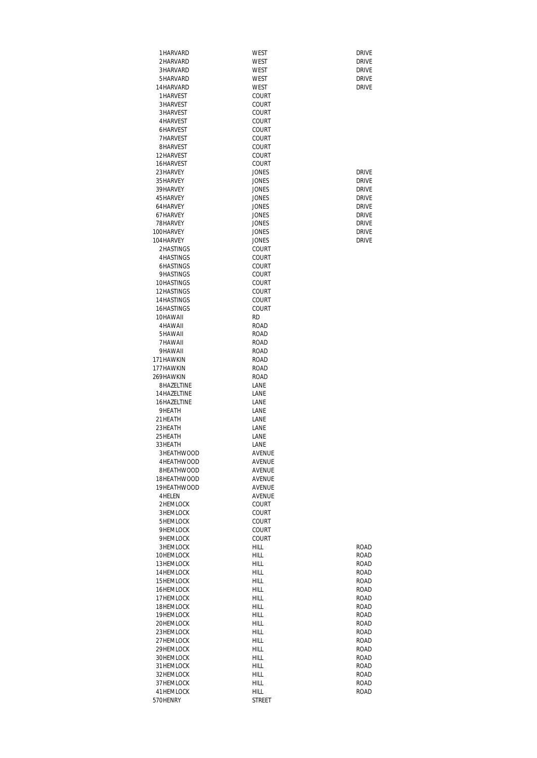| 1HARVARD                    | WEST                         | <b>DRIVE</b>                 |
|-----------------------------|------------------------------|------------------------------|
| 2HARVARD                    | WEST                         | <b>DRIVE</b>                 |
| 3HARVARD                    | WEST                         | <b>DRIVE</b>                 |
| 5HARVARD                    | WEST                         | <b>DRIVE</b>                 |
| 14 HARVARD                  | WEST                         | <b>DRIVE</b>                 |
| 1HARVEST                    | COURT                        |                              |
| 3HARVEST<br>3HARVEST        | COURT<br>COURT               |                              |
| 4HARVEST                    | COURT                        |                              |
| 6HARVEST                    | COURT                        |                              |
| 7HARVEST                    | COURT                        |                              |
| 8HARVEST                    | COURT                        |                              |
| 12HARVEST                   | COURT                        |                              |
| 16HARVEST                   | COURT                        |                              |
| 23HARVEY                    | <b>JONES</b>                 | <b>DRIVE</b>                 |
| 35 HARVEY                   | <b>JONES</b>                 | <b>DRIVE</b>                 |
| 39HARVEY                    | <b>JONES</b>                 | <b>DRIVE</b>                 |
| 45HARVEY                    | <b>JONES</b>                 | <b>DRIVE</b>                 |
| 64 HARVEY                   | <b>JONES</b>                 | <b>DRIVE</b>                 |
| 67HARVEY<br>78HARVEY        | <b>JONES</b>                 | <b>DRIVE</b><br><b>DRIVE</b> |
| 100HARVEY                   | <b>JONES</b><br><b>JONES</b> | <b>DRIVE</b>                 |
| 104 HARVEY                  | <b>JONES</b>                 | <b>DRIVE</b>                 |
| 2HASTINGS                   | COURT                        |                              |
| 4HASTINGS                   | COURT                        |                              |
| 6HASTINGS                   | COURT                        |                              |
| 9HASTINGS                   | COURT                        |                              |
| 10HASTINGS                  | COURT                        |                              |
| 12 HASTINGS                 | COURT                        |                              |
| 14 HASTINGS                 | COURT                        |                              |
| 16HASTINGS                  | COURT                        |                              |
| 10HAWAII<br>4HAWAII         | <b>RD</b><br><b>ROAD</b>     |                              |
| 5HAWAII                     | ROAD                         |                              |
| 7HAWAII                     | ROAD                         |                              |
| 9HAWAII                     | <b>ROAD</b>                  |                              |
| 171 HAWKIN                  | <b>ROAD</b>                  |                              |
| 177HAWKIN                   | <b>ROAD</b>                  |                              |
| 269HAWKIN                   | <b>ROAD</b>                  |                              |
| 8HAZELTINE                  | LANE                         |                              |
| 14 HAZELTINE                | LANE                         |                              |
| 16HAZELTINE                 | LANE                         |                              |
| 9HEATH                      | LANE                         |                              |
| 21HEATH<br>23HEATH          | LANE<br>LANE                 |                              |
| 25 HEATH                    | LANE                         |                              |
| 33HFATH                     | LANE                         |                              |
| 3HEATHWOOD                  | AVENUE                       |                              |
| 4HEATHWOOD                  | AVENUE                       |                              |
| 8HEATHWOOD                  | AVENUE                       |                              |
| 18HEATHWOOD                 | AVENUE                       |                              |
| 19HEATHWOOD                 | AVENUE                       |                              |
| 4 HELEN                     | AVENUE                       |                              |
| 2HEMLOCK                    | COURT                        |                              |
| <b>3HEMLOCK</b><br>5HEMLOCK | COURT                        |                              |
|                             | COURT                        |                              |
| 9HEMLOCK<br>9HEMLOCK        | COURT<br>COURT               |                              |
| 3HEMLOCK                    | <b>HILL</b>                  | ROAD                         |
| 10HEMLOCK                   | HILL                         | <b>ROAD</b>                  |
| 13HEMLOCK                   | HILL                         | ROAD                         |
| 14 HEMLOCK                  | HILL                         | ROAD                         |
| 15HEMLOCK                   | HILL                         | ROAD                         |
| 16HEMLOCK                   | <b>HILL</b>                  | ROAD                         |
| 17HEMLOCK                   | HILL                         | ROAD                         |
| 18HEMLOCK                   | HILL                         | ROAD                         |
| 19HEMLOCK                   | HILL                         | ROAD                         |
| 20HEMLOCK<br>23HEMLOCK      | HILL                         | ROAD<br>ROAD                 |
| 27 HEMLOCK                  | HILL<br>HILL                 | ROAD                         |
| 29HEMLOCK                   | HILL                         | ROAD                         |
| 30HEMLOCK                   | <b>HILL</b>                  | ROAD                         |
| 31 HEMLOCK                  | HILL                         | ROAD                         |
| 32HEMLOCK                   | HILL                         | ROAD                         |
| 37HEMLOCK                   | HILL                         | ROAD                         |
| 41HEMLOCK                   | HILL                         | ROAD                         |
| 570HENRY                    | <b>STREET</b>                |                              |

| ROAD |
|------|
| ROAD |
| ROAD |
| ROAD |
| ROAD |
| ROAD |
| ROAD |
| ROAD |
| ROAD |
| ROAD |
| ROAD |
| ROAD |
| ROAD |
| ROAD |
| ROAD |
| ROAD |
| ROAD |
| ROAD |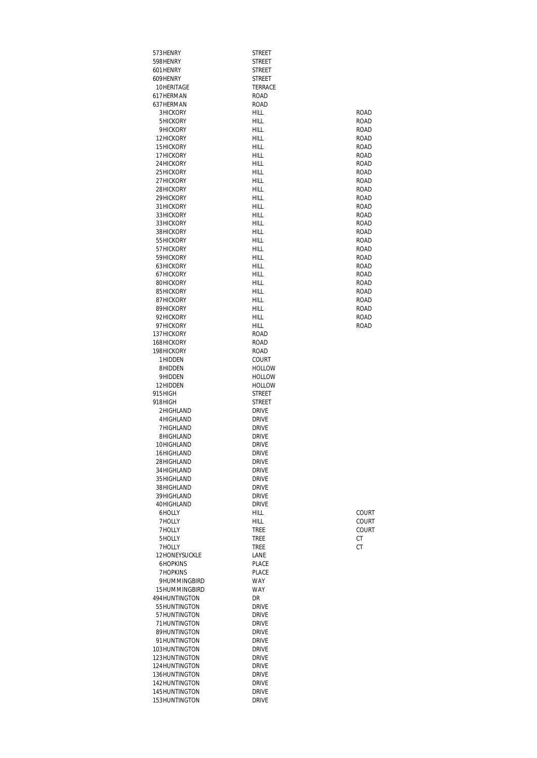| 573HENRY                           | <b>STREET</b>                |                            |
|------------------------------------|------------------------------|----------------------------|
| 598HENRY<br>601 HENRY              | STREET<br><b>STREET</b>      |                            |
| 609HENRY                           | <b>STREET</b>                |                            |
| 10HERITAGE                         | <b>TERRACE</b>               |                            |
| 617HERMAN                          | ROAD                         |                            |
| 637HERMAN                          | ROAD                         |                            |
| <b>3HICKORY</b>                    | HILL                         | <b>ROAD</b>                |
| 5HICKORY<br>9HICKORY               | HILL<br>HILL                 | ROAD<br><b>ROAD</b>        |
| 12HICKORY                          | HILL                         | <b>ROAD</b>                |
| 15HICKORY                          | HILL                         | <b>ROAD</b>                |
| 17HICKORY                          | HILL                         | <b>ROAD</b>                |
| 24 HICKORY                         | HILL                         | <b>ROAD</b>                |
| 25 HICKORY                         | <b>HILL</b>                  | <b>ROAD</b>                |
| 27HICKORY<br>28HICKORY             | HILL<br>HILL                 | <b>ROAD</b><br><b>ROAD</b> |
| 29HICKORY                          | HILL                         | <b>ROAD</b>                |
| 31 HICKORY                         | HILL                         | <b>ROAD</b>                |
| 33HICKORY                          | HILL                         | <b>ROAD</b>                |
| 33HICKORY                          | HILL                         | <b>ROAD</b>                |
| 38HICKORY<br>55 HICKORY            | HILL<br>HILL                 | <b>ROAD</b><br><b>ROAD</b> |
| 57 HICKORY                         | HILL                         | <b>ROAD</b>                |
| 59HICKORY                          | HILL                         | <b>ROAD</b>                |
| 63HICKORY                          | HILL                         | <b>ROAD</b>                |
| 67HICKORY                          | HILL                         | <b>ROAD</b>                |
| 80HICKORY                          | HILL                         | <b>ROAD</b>                |
| 85HICKORY<br>87HICKORY             | HILL<br>HILL                 | <b>ROAD</b><br><b>ROAD</b> |
| 89HICKORY                          | HILL                         | <b>ROAD</b>                |
| 92HICKORY                          | HILL.                        | <b>ROAD</b>                |
| 97 HICKORY                         | HILL                         | <b>ROAD</b>                |
| 137HICKORY                         | ROAD                         |                            |
| 168HICKORY                         | ROAD                         |                            |
| 198HICKORY<br>1HIDDEN              | ROAD<br>COURT                |                            |
| 8HIDDEN                            | <b>HOLLOW</b>                |                            |
| 9HIDDEN                            | <b>HOLLOW</b>                |                            |
| 12HIDDEN                           | <b>HOLLOW</b>                |                            |
| 915HIGH                            | <b>STREET</b>                |                            |
| 918HIGH<br>2HIGHLAND               | STREET<br><b>DRIVE</b>       |                            |
| 4HIGHLAND                          | <b>DRIVE</b>                 |                            |
| 7HIGHLAND                          | <b>DRIVE</b>                 |                            |
| 8HIGHLAND                          | DRIVE                        |                            |
| 10HIGHLAND                         | DRIVE                        |                            |
| 16HIGHLAND<br>28HIGHLAND           | Drive<br><b>DRIVE</b>        |                            |
| 34 HIGHLAND                        | <b>DRIVE</b>                 |                            |
| 35 HIGHLAND                        | <b>DRIVE</b>                 |                            |
| 38HIGHLAND                         | <b>DRIVE</b>                 |                            |
| 39HIGHLAND                         | <b>DRIVE</b>                 |                            |
| 40HIGHLAND                         | <b>DRIVE</b>                 |                            |
| 6HOLLY<br>7HOLLY                   | <b>HILL</b><br>HILL          | COURT<br>COURT             |
| 7HOLLY                             | <b>TREE</b>                  | COURT                      |
| 5HOLLY                             | <b>TREE</b>                  | СT                         |
| 7HOLLY                             | <b>TREE</b>                  | СT                         |
| 12HONEYSUCKLE                      | LANE                         |                            |
| <b>6HOPKINS</b><br><b>7HOPKINS</b> | PLACE<br>PLACE               |                            |
| 9HUMMINGBIRD                       | <b>WAY</b>                   |                            |
| 15HUMMINGBIRD                      | <b>WAY</b>                   |                            |
| 494HUNTINGTON                      | DR                           |                            |
| 55HUNTINGTON                       | <b>DRIVE</b>                 |                            |
| 57HUNTINGTON<br>71HUNTINGTON       | <b>DRIVE</b><br><b>DRIVE</b> |                            |
| 89HUNTINGTON                       | <b>DRIVE</b>                 |                            |
| 91HUNTINGTON                       | <b>DRIVE</b>                 |                            |
| 103HUNTINGTON                      | <b>DRIVE</b>                 |                            |
| 123HUNTINGTON                      | <b>DRIVE</b>                 |                            |
| 124HUNTINGTON<br>136HUNTINGTON     | <b>DRIVE</b><br>Drive        |                            |
| 142HUNTINGTON                      | Drive                        |                            |
| 145HUNTINGTON                      | <b>DRIVE</b>                 |                            |
| 153HUNTINGTON                      | DRIVE                        |                            |
|                                    |                              |                            |

| ROAD        |
|-------------|
| ROAD        |
| <b>ROAD</b> |
| <b>ROAD</b> |
| ROAD        |
| ROAD        |
| <b>ROAD</b> |
| <b>ROAD</b> |
| ROAD        |
| ROAD        |
| ROAD        |
| ROAD        |
| <b>ROAD</b> |
| ROAD        |
| ROAD        |
| ROAD        |
| ROAD        |
| <b>ROAD</b> |
| ROAD        |
| ROAD        |
| ROAD        |
| ROAD        |
| <b>ROAD</b> |
| <b>ROAD</b> |
| ROAD        |
| ROAD        |
|             |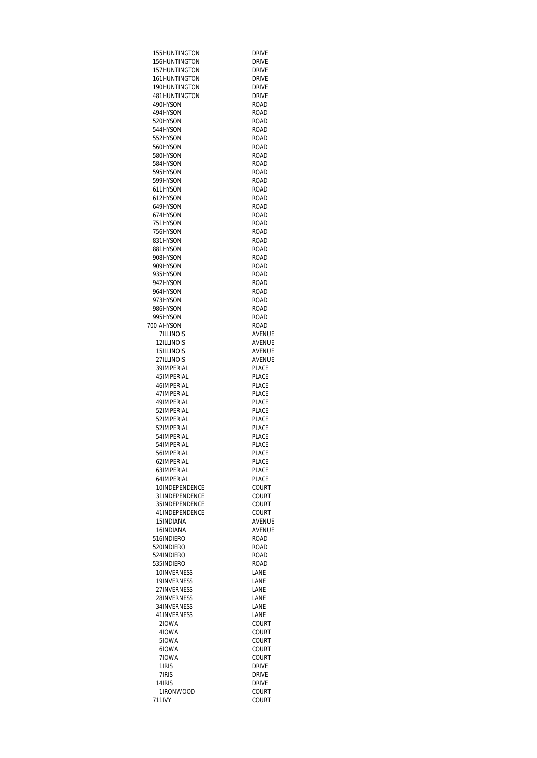| 155HUNTINGTON    | <b>DRIVE</b>  |
|------------------|---------------|
| 156HUNTINGTON    | <b>DRIVE</b>  |
| 157HUNTINGTON    | <b>DRIVE</b>  |
| 161HUNTINGTON    | <b>DRIVE</b>  |
| 190HUNTINGTON    | <b>DRIVE</b>  |
|                  |               |
| 481 HUNTINGTON   | <b>DRIVE</b>  |
| 490HYSON         | <b>ROAD</b>   |
| 494HYSON         | ROAD          |
| 520HYSON         | ROAD          |
|                  |               |
| 544HYSON         | ROAD          |
| 552HYSON         | ROAD          |
| 560HYSON         | ROAD          |
| 580HYSON         | <b>ROAD</b>   |
| 584HYSON         | ROAD          |
|                  |               |
| 595HYSON         | <b>ROAD</b>   |
| 599HYSON         | <b>ROAD</b>   |
| 611HYSON         | ROAD          |
| 612HYSON         | <b>ROAD</b>   |
| 649HYSON         | <b>ROAD</b>   |
|                  |               |
| 674HYSON         | <b>ROAD</b>   |
| 751HYSON         | <b>ROAD</b>   |
| 756HYSON         | <b>ROAD</b>   |
| 831 HYSON        | ROAD          |
| 881HYSON         | <b>ROAD</b>   |
|                  |               |
| 908HYSON         | <b>ROAD</b>   |
| 909HYSON         | <b>ROAD</b>   |
| 935HYSON         | <b>ROAD</b>   |
| 942HYSON         | <b>ROAD</b>   |
| 964HYSON         | <b>ROAD</b>   |
|                  |               |
| 973HYSON         | <b>ROAD</b>   |
| 986HYSON         | <b>ROAD</b>   |
| 995HYSON         | <b>ROAD</b>   |
| 700-AHYSON       | <b>ROAD</b>   |
| <b>7ILLINOIS</b> | <b>AVENUE</b> |
|                  |               |
| 12ILLINOIS       | <b>AVENUE</b> |
| 15 ILLINOIS      | AVENUE        |
| 27 ILLINOIS      | AVENUE        |
| 39 IMPERIAL      | PLACE         |
| 45 IMPERIAL      | PLACE         |
| 46 IMPERIAL      | PLACE         |
| 47 IMPERIAL      | PLACE         |
|                  |               |
| 49 IMPFRIAI      | PI ACF        |
| 52 IMPERIAL      | PLACE         |
| 52 IMPERIAL      | PLACE         |
| 52 IMPERIAL      | PLACE         |
| 54 IMPERIAL      | PLACE         |
| 54 IMPERIAL      | PI ACF        |
| 56IMPERIAL       | <b>PLACE</b>  |
|                  |               |
| 62 IMPERIAL      | PLACE         |
| 63IMPERIAL       | PLACE         |
| 64 IMPERIAL      | PLACE         |
| 10INDEPENDENCE   | COURT         |
| 31 INDEPENDENCE  | <b>COURT</b>  |
|                  |               |
| 35 INDEPENDENCE  | COURT         |
| 41INDEPENDENCE   | COURT         |
| 15 INDIANA       | <b>AVENUE</b> |
| 16INDIANA        | <b>AVENUE</b> |
| 516INDIFRO       | <b>ROAD</b>   |
| 520INDIFRO       | <b>ROAD</b>   |
|                  |               |
| 524 INDIERO      | ROAD          |
| 535 INDIERO      | ROAD          |
| 10INVERNESS      | LANE          |
| 19INVERNESS      | LANE          |
| 27INVERNESS      | LANE          |
| 28INVERNESS      | LANE          |
|                  |               |
| 34 INVERNESS     | LANE          |
| 41INVERNESS      | LANE          |
| 210WA            | COURT         |
| 410WA            | COURT         |
| 510WA            | COURT         |
| 610WA            | COURT         |
| 710WA            | COURT         |
|                  |               |
| 1 IRIS           | <b>DRIVE</b>  |
| 7 IRIS           | <b>DRIVE</b>  |
| 14 IRIS          | DRIVE         |
| 1IRONWOOD        | COURT         |
| 711IVY           | COURT         |
|                  |               |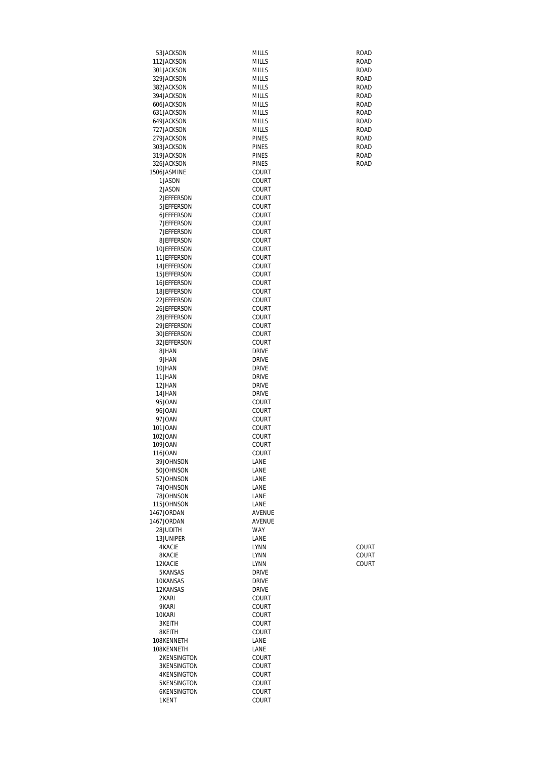| 53JACKSON                  | MILLS                        | ROAD                       |
|----------------------------|------------------------------|----------------------------|
| 112JACKSON                 | <b>MILLS</b>                 | ROAD                       |
| 301 JACKSON                | <b>MILLS</b>                 | <b>ROAD</b>                |
| 329JACKSON<br>382JACKSON   | <b>MILLS</b><br><b>MILLS</b> | <b>ROAD</b><br><b>ROAD</b> |
| 394 JACKSON                | <b>MILLS</b>                 | <b>ROAD</b>                |
| 606JACKSON                 | <b>MILLS</b>                 | <b>ROAD</b>                |
| 631 JACKSON                | <b>MILLS</b>                 | <b>ROAD</b>                |
| 649JACKSON                 | <b>MILLS</b>                 | <b>ROAD</b>                |
| 727 JACKSON                | <b>MILLS</b>                 | ROAD                       |
| 279JACKSON                 | <b>PINES</b>                 | <b>ROAD</b>                |
| 303JACKSON                 | <b>PINES</b>                 | ROAD                       |
| 319JACKSON                 | <b>PINES</b>                 | ROAD                       |
| 326JACKSON                 | <b>PINES</b>                 | <b>ROAD</b>                |
| 1506JASMINE                | <b>COURT</b>                 |                            |
| 1JASON<br>2JASON           | COURT<br><b>COURT</b>        |                            |
| 2JEFFERSON                 | COURT                        |                            |
| 5JEFFERSON                 | COURT                        |                            |
| 6JEFFERSON                 | COURT                        |                            |
| <b>7JEFFERSON</b>          | COURT                        |                            |
| 7 JEFFERSON                | COURT                        |                            |
| 8JEFFERSON                 | COURT                        |                            |
| 10JEFFERSON                | <b>COURT</b>                 |                            |
| 11JEFFERSON                | COURT                        |                            |
| 14JEFFERSON                | COURT                        |                            |
| 15JEFFERSON<br>16JEFFERSON | COURT                        |                            |
| 18.JFFFFRSON               | COURT<br>COURT               |                            |
| 22JEFFERSON                | <b>COURT</b>                 |                            |
| 26JEFFERSON                | <b>COURT</b>                 |                            |
| 28JEFFERSON                | COURT                        |                            |
| 29JEFFERSON                | COURT                        |                            |
| 30JEFFERSON                | <b>COURT</b>                 |                            |
| 32JEFFERSON                | COURT                        |                            |
| 8JHAN                      | <b>DRIVE</b>                 |                            |
| 9JHAN                      | <b>DRIVE</b>                 |                            |
| 10JHAN<br>11JHAN           | <b>DRIVE</b><br><b>DRIVE</b> |                            |
| 12JHAN                     | <b>DRIVE</b>                 |                            |
| 14JHAN                     | <b>DRIVE</b>                 |                            |
| 95JOAN                     | COURT                        |                            |
| 96JOAN                     | <b>COURT</b>                 |                            |
| 97JOAN                     | COURT                        |                            |
| 101JOAN                    | COURT                        |                            |
| 102JOAN                    | COURT                        |                            |
| 109JOAN                    | COURT                        |                            |
| 116JOAN<br>39JOHNSON       | COURT<br>LANE                |                            |
| 50JOHNSON                  | LANE                         |                            |
| 57JOHNSON                  | LANE                         |                            |
| 74JOHNSON                  | LANE                         |                            |
| 78JOHNSON                  | LANE                         |                            |
| 115JOHNSON                 | LANE                         |                            |
| 1467JORDAN                 | <b>AVFNUF</b>                |                            |
| 1467JORDAN                 | AVENUE                       |                            |
| 28JUDITH                   | <b>WAY</b>                   |                            |
| 13JUNIPER<br><b>4KACIE</b> | LANE<br><b>LYNN</b>          |                            |
| 8 KACIE                    | <b>LYNN</b>                  | COURT<br>COURT             |
| 12KACIE                    | <b>LYNN</b>                  | <b>COURT</b>               |
| 5KANSAS                    | <b>DRIVE</b>                 |                            |
| 10KANSAS                   | <b>DRIVE</b>                 |                            |
| 12KANSAS                   | <b>DRIVE</b>                 |                            |
| 2KARI                      | COURT                        |                            |
| 9KARI                      | <b>COURT</b>                 |                            |
| 10KARI                     | <b>COURT</b>                 |                            |
| 3KEITH                     | <b>COURT</b>                 |                            |
| 8KEITH<br>108KENNETH       | COURT<br>LANE                |                            |
| 108KENNETH                 | LANE                         |                            |
| 2KENSINGTON                | <b>COURT</b>                 |                            |
| <b>3KENSINGTON</b>         | <b>COURT</b>                 |                            |
| <b>4KENSINGTON</b>         | COURT                        |                            |
| 5KENSINGTON                | COURT                        |                            |
| <b>6KENSINGTON</b>         | <b>COURT</b>                 |                            |
| 1KENT                      | COURT                        |                            |
|                            |                              |                            |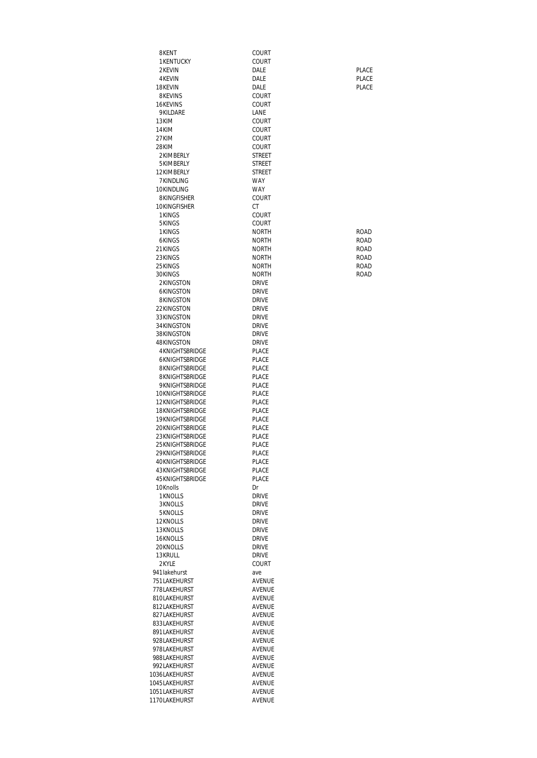| 8KENT                              | COURT                        |              |
|------------------------------------|------------------------------|--------------|
| <b>1KENTUCKY</b><br>2KEVIN         | COURT<br>DALE                | PLACE        |
| 4KEVIN                             | DALE                         | <b>PLACE</b> |
| 18KEVIN                            | DALE                         | <b>PLACE</b> |
| 8KEVINS                            | COURT                        |              |
| 16KEVINS                           | <b>COURT</b>                 |              |
| 9KILDARE                           | LANE                         |              |
| 13KIM                              | COURT                        |              |
| 14KIM                              | COURT                        |              |
| 27KIM                              | <b>COURT</b>                 |              |
| 28KIM                              | COURT                        |              |
| 2KIMBERLY<br>5KIMBERLY             | STREET<br>STREET             |              |
| 12KIMBERLY                         | <b>STREET</b>                |              |
| 7KINDLING                          | WAY                          |              |
| 10KINDLING                         | <b>WAY</b>                   |              |
| 8KINGFISHER                        | COURT                        |              |
| 10KINGFISHER                       | СT                           |              |
| 1KINGS                             | COURT                        |              |
| 5KINGS<br>1KINGS                   | COURT<br><b>NORTH</b>        | ROAD         |
| 6KINGS                             | <b>NORTH</b>                 | ROAD         |
| 21 KINGS                           | <b>NORTH</b>                 | ROAD         |
| 23KINGS                            | <b>NORTH</b>                 | ROAD         |
| 25KINGS                            | <b>NORTH</b>                 | ROAD         |
| 30KINGS                            | NORTH                        | ROAD         |
| 2KINGSTON                          | <b>DRIVE</b>                 |              |
| 6KINGSTON                          | <b>DRIVE</b>                 |              |
| 8KINGSTON                          | <b>DRIVE</b>                 |              |
| 22KINGSTON<br>33KINGSTON           | <b>DRIVE</b><br><b>DRIVE</b> |              |
| 34KINGSTON                         | <b>DRIVE</b>                 |              |
| 38KINGSTON                         | <b>DRIVE</b>                 |              |
| 48KINGSTON                         | <b>DRIVE</b>                 |              |
| <b>4KNIGHTSBRIDGE</b>              | PLACE                        |              |
| 6KNIGHTSBRIDGE                     | PLACE                        |              |
| 8KNIGHTSBRIDGE                     | <b>PLACE</b>                 |              |
| 8KNIGHTSBRIDGE<br>9KNIGHTSBRIDGE   | PLACE<br>PLACE               |              |
| 10KNIGHTSBRIDGE                    | PLACE                        |              |
| 12KNIGHTSBRIDGF                    | PLACE                        |              |
| 18KNIGHTSBRIDGE                    | PLACE                        |              |
| 19KNIGHTSBRIDGF                    | PLACE                        |              |
| 20KNIGHTSBRIDGE                    | PLACE<br><b>PLACE</b>        |              |
| 23KNIGHTSBRIDGE<br>25KNIGHTSBRIDGE | PLACE                        |              |
| 29KNIGHTSBRIDGE                    | PLACE                        |              |
| 40KNIGHTSBRIDGE                    | PLACE                        |              |
| 43KNIGHTSBRIDGE                    | PLACE                        |              |
| 45KNIGHTSBRIDGE                    | PLACE                        |              |
| 10Knolls                           | Dr                           |              |
| 1KNOLLS<br>3KNOLLS                 | <b>DRIVE</b><br><b>DRIVE</b> |              |
| 5KNOLLS                            | <b>DRIVE</b>                 |              |
| 12KNOLLS                           | <b>DRIVE</b>                 |              |
| 13KNOLLS                           | <b>DRIVE</b>                 |              |
| 16KNOLLS                           | <b>DRIVE</b>                 |              |
| 20KNOLLS                           | <b>DRIVE</b>                 |              |
| 13KRULL                            | <b>DRIVE</b>                 |              |
| 2KYLE<br>941 lakehurst             | COURT<br>ave                 |              |
| 751LAKEHURST                       | AVENUE                       |              |
| 778LAKEHURST                       | AVENUE                       |              |
| 810LAKEHURST                       | AVENUE                       |              |
| 812LAKEHURST                       | AVENUE                       |              |
| 827LAKEHURST                       | AVENUE                       |              |
| 833LAKEHURST<br>891LAKEHURST       | AVENUE<br>AVENUE             |              |
| 928LAKEHURST                       | AVENUE                       |              |
| 978LAKEHURST                       | AVENUE                       |              |
| 988LAKEHURST                       | AVENUE                       |              |
| 992LAKEHURST                       | AVENUE                       |              |
| 1036LAKEHURST                      | AVENUE                       |              |
| 1045LAKEHURST<br>1051LAKEHURST     | AVENUE<br>AVENUE             |              |
| 1170LAKEHURST                      | AVENUE                       |              |
|                                    |                              |              |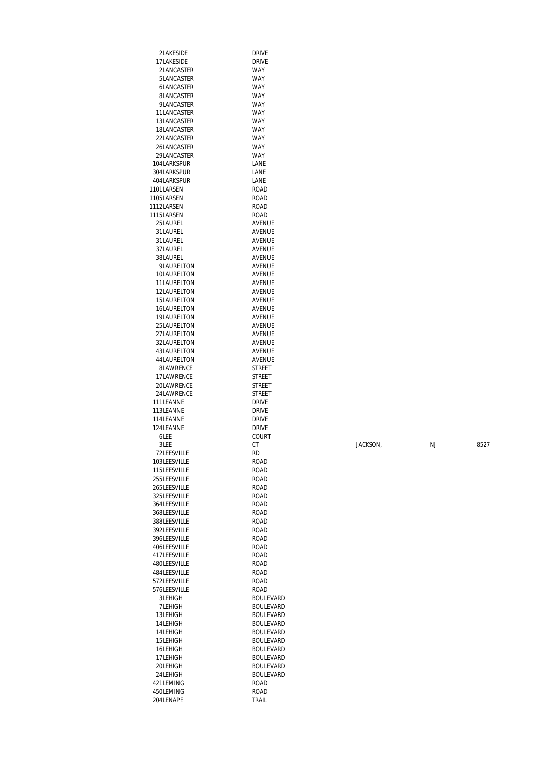| 2LAKESIDE                    | <b>DRIVE</b>                         |          |           |      |
|------------------------------|--------------------------------------|----------|-----------|------|
| 17LAKESIDE                   | <b>DRIVE</b>                         |          |           |      |
| 2LANCASTER                   | <b>WAY</b>                           |          |           |      |
| 5LANCASTER                   | <b>WAY</b>                           |          |           |      |
| 6LANCASTER                   | <b>WAY</b>                           |          |           |      |
| 8LANCASTER                   | <b>WAY</b><br><b>WAY</b>             |          |           |      |
| 9LANCASTER<br>11LANCASTER    | <b>WAY</b>                           |          |           |      |
| 13LANCASTER                  | <b>WAY</b>                           |          |           |      |
| 18LANCASTER                  | <b>WAY</b>                           |          |           |      |
| 22LANCASTER                  | <b>WAY</b>                           |          |           |      |
| 26LANCASTER                  | <b>WAY</b>                           |          |           |      |
| 29LANCASTER                  | <b>WAY</b>                           |          |           |      |
| 104LARKSPUR                  | LANE                                 |          |           |      |
| 304LARKSPUR                  | LANE                                 |          |           |      |
| 404LARKSPUR                  | LANE                                 |          |           |      |
| 1101LARSEN                   | <b>ROAD</b>                          |          |           |      |
| 1105LARSEN                   | <b>ROAD</b>                          |          |           |      |
| 1112LARSEN                   | <b>ROAD</b>                          |          |           |      |
| 1115LARSEN                   | <b>ROAD</b>                          |          |           |      |
| 25LAUREL                     | AVENUE                               |          |           |      |
| 31LAUREL                     | AVENUE                               |          |           |      |
| 31LAUREL                     | AVENUE                               |          |           |      |
| 37LAUREL                     | AVENUE                               |          |           |      |
| 38LAUREL                     | AVENUE                               |          |           |      |
| 9LAURELTON<br>10LAURELTON    | AVENUE<br>AVENUE                     |          |           |      |
| 11LAURELTON                  | AVENUE                               |          |           |      |
| 12LAURELTON                  | AVENUE                               |          |           |      |
| 15LAURELTON                  | AVENUE                               |          |           |      |
| 16LAURELTON                  | AVENUE                               |          |           |      |
| 19LAURELTON                  | AVENUE                               |          |           |      |
| 25LAURELTON                  | AVENUE                               |          |           |      |
| 27LAURELTON                  | AVENUE                               |          |           |      |
| 32LAURELTON                  | AVENUE                               |          |           |      |
| 43LAURELTON                  | AVENUE                               |          |           |      |
| 44LAURELTON                  | AVENUE                               |          |           |      |
| 8LAWRENCE                    | <b>STREET</b>                        |          |           |      |
| 17LAWRENCE                   | <b>STREET</b>                        |          |           |      |
| 20LAWRENCE<br>24LAWRENCE     | <b>STREET</b><br><b>STREET</b>       |          |           |      |
| 111LEANNE                    | <b>DRIVE</b>                         |          |           |      |
| 113LEANNE                    | <b>DRIVE</b>                         |          |           |      |
| 114LEANNE                    | <b>DRIVE</b>                         |          |           |      |
| 124LEANNE                    | <b>DRIVE</b>                         |          |           |      |
| 6LEE                         | COURT                                |          |           |      |
|                              |                                      |          |           | 8527 |
| 3LEE                         | CT                                   | JACKSON, | <b>NJ</b> |      |
| 72LEESVILLE                  | <b>RD</b>                            |          |           |      |
| 103LEESVILLE                 | <b>ROAD</b>                          |          |           |      |
| 115LEESVILLE                 | <b>ROAD</b>                          |          |           |      |
| 255LEESVILLE                 | <b>ROAD</b>                          |          |           |      |
| 265LEESVILLE                 | ROAD                                 |          |           |      |
| 325LEESVILLE                 | ROAD                                 |          |           |      |
| 364LEESVILLE                 | <b>ROAD</b>                          |          |           |      |
| 368LEESVILLE                 | <b>ROAD</b>                          |          |           |      |
| 388LEESVILLE                 | <b>ROAD</b>                          |          |           |      |
| 392LEESVILLE                 | <b>ROAD</b>                          |          |           |      |
| 396LEESVILLE<br>406LEESVILLE | <b>ROAD</b><br><b>ROAD</b>           |          |           |      |
| 417LEESVILLE                 | <b>ROAD</b>                          |          |           |      |
| 480LEESVILLE                 | ROAD                                 |          |           |      |
| 484LEESVILLE                 | <b>ROAD</b>                          |          |           |      |
| 572LEESVILLE                 | ROAD                                 |          |           |      |
| 576LEESVILLE                 | <b>ROAD</b>                          |          |           |      |
| 3LEHIGH                      | <b>BOULEVARD</b>                     |          |           |      |
| 7LEHIGH                      | <b>BOULEVARD</b>                     |          |           |      |
| 13LEHIGH                     | <b>BOULEVARD</b>                     |          |           |      |
| 14LEHIGH                     | <b>BOULEVARD</b>                     |          |           |      |
| 14LEHIGH                     | <b>BOULEVARD</b>                     |          |           |      |
| 15LEHIGH                     | <b>BOULEVARD</b>                     |          |           |      |
| 16LEHIGH                     | <b>BOULEVARD</b>                     |          |           |      |
| 17LEHIGH<br>20LEHIGH         | <b>BOULEVARD</b><br><b>BOULEVARD</b> |          |           |      |
| 24 LEHIGH                    | <b>BOULEVARD</b>                     |          |           |      |
| 421 LEMING                   | <b>ROAD</b>                          |          |           |      |
| 450LEMING                    | ROAD                                 |          |           |      |
| 204LENAPE                    | TRAIL                                |          |           |      |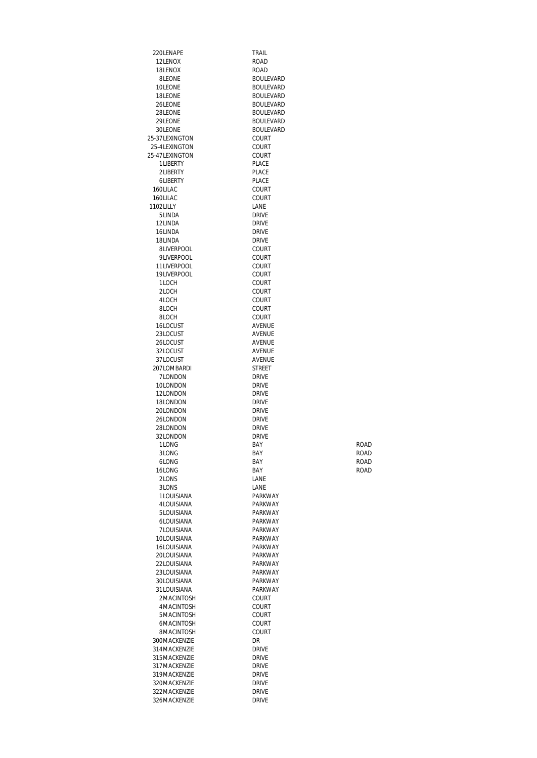220LENAPE TRAIL<br>12LENOX ROAD 12LENOX 18LENOX ROAD<br>8LEONE BOULE 8LEONE BOULEVARD 10LEONE BOULEVARD 18LEONE BOULEVARD 28LEONE BOULEVARD<br>29LEONE BOULEVARD 30LEONE BOULEVARD 25-37LEXINGTON<br>25-4LEXINGTON COURT 25-4LEXINGTON<br>25-47LEXINGTON COURT 25-47LEXINGTON COURT<br>1LIBERTY PLACE 1LIBERTY PLACE<br>2LIBERTY PLACE 2LIBERTY 6LIBERTY PLACE 160LILAC COURT<br>160LILAC COURT 160LILAC COUR<br>1102LILLY LANE 1102LILLY LANE<br>5LINDA DRIVE 5LINDA DRIVE 12LINDA DRIVE<br>16LINDA DRIVE 16LINDA<br>18LINDA DRIVE 18LINDA DRIVE 8LIVERPOOL COURT<br>9LIVERPOOL COURT 9LIVERPOOL COURT<br>11LIVERPOOL COURT 11LIVERPOOL COURT<br>19LIVERPOOL COURT 19LIVERPOOL<br>1LOCH 1LOCH COURT<br>2LOCH COURT 2LOCH COURT<br>4LOCH COURT 4LOCH COURT<br>8LOCH COURT 8LOCH COURT<br>8LOCH COURT 16LOCUST AVENUE<br>23LOCUST AVENUE 23LOCUST<br>26LOCUST 32LOCUST AVENUE<br>37LOCUST AVENUE 37LOCUST 207LOMBARDI STREET<br>7LONDON DRIVE TLONDON DRIVE<br>10LONDON DRIVE 10LONDON 12LONDON DRIVE<br>18LONDON DRIVE 18LONDON DRIVE<br>201 ONDON DRIVE 20LONDON DRIVE<br>26LONDON DRIVE 26LONDON DRIVE<br>28LONDON DRIVE 28LONDON 32LONDON DRIVE<br>1LONG BAY 1LONG ROAD BAY BAY 3LONG ROAD BAY BAY 6LONG BAY ROAD 16LONG ROAD BAY BAY ROAD 2LONS LANE<br>3LONS LANE 3LONS<br>1LOUISIANA PARKWAY 1LOUISIANA 4LOUISIANA PARKWAY 5LOUISIANA PARKWAY 6LOUISIANA 7LOUISIANA PARKWAY 10LOUISIANA PARKWAY<br>16LOUISIANA PARKWAY 16LOUISIANA PARKWAY<br>20LOUISIANA PARKWAY 20LOUISIANA PARKWAY<br>22LOUISIANA PARKWAY 22LOUISIANA 23LOUISIANA PARKWAY<br>30LOUISIANA PARKWAY 30LOUISIANA PARKWAY<br>31LOUISIANA PARKWAY 31LOUISIANA 2MACINTOSH COURT<br>4MACINTOSH COURT 4MACINTOSH COURT<br>5MACINTOSH COURT 5MACINTOSH COURT 6MACINTOSH COURT 8MACINTOSH 300MACKENZIE DR DR<br>314MACKENZIE DRIVE 314 MACKENZIE DRIVE<br>315 MACKENZIE DRIVE 315 MACKENZIE DRIVE<br>317 MACKENZIE DRIVE 317MACKENZIE DRIVE<br>319MACKENZIE DRIVE 319MACKENZIE DRIVE<br>320MACKENZIE DRIVE 320MACKENZIE 322MACKENZIE DRIVE<br>326MACKENZIE DRIVE 326MACKENZIE

**BOULEVARD BOULEVARD** COURT AVENUE<br>AVENUE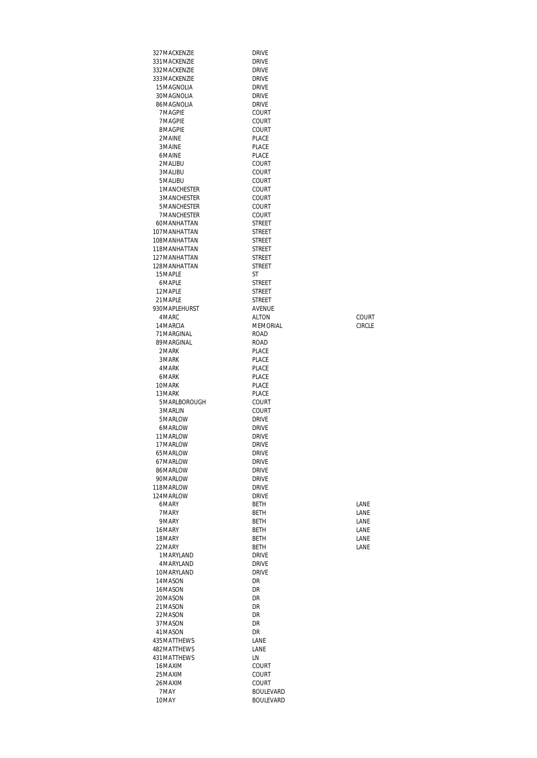| 327 MACKENZIE                 | <b>DRIVE</b>                   |              |
|-------------------------------|--------------------------------|--------------|
| 331 MACKENZIE<br>332MACKENZIE | <b>DRIVE</b><br><b>DRIVE</b>   |              |
| 333MACKENZIE                  | <b>DRIVE</b>                   |              |
| 15MAGNOLIA                    | <b>DRIVE</b>                   |              |
| 30MAGNOLIA                    | <b>DRIVE</b>                   |              |
| 86MAGNOLIA                    | <b>DRIVE</b>                   |              |
| 7MAGPIE                       | COURT                          |              |
| 7 MAGPIE<br>8MAGPIE           | COURT<br>COURT                 |              |
| 2MAINE                        | PLACE                          |              |
| 3 MAINE                       | <b>PLACE</b>                   |              |
| 6MAINE                        | PLACE                          |              |
| 2MALIBU                       | COURT                          |              |
| 3 MALIBU                      | COURT                          |              |
| 5 MALIBU<br>1 MANCHESTER      | COURT<br>COURT                 |              |
| 3MANCHESTER                   | COURT                          |              |
| 5MANCHESTER                   | COURT                          |              |
| <b>7MANCHESTER</b>            | COURT                          |              |
| 60MANHATTAN                   | <b>STREET</b>                  |              |
| 107MANHATTAN                  | <b>STREET</b>                  |              |
| 108MANHATTAN<br>118MANHATTAN  | <b>STREET</b><br><b>STREET</b> |              |
| 127MANHATTAN                  | <b>STREET</b>                  |              |
| 128MANHATTAN                  | <b>STREET</b>                  |              |
| 15MAPLE                       | <b>ST</b>                      |              |
| 6MAPLE                        | <b>STREET</b>                  |              |
| 12 MAPI F                     | <b>STREET</b>                  |              |
| 21 MAPLE                      | <b>STREET</b>                  |              |
| 930MAPLEHURST<br>4 MARC       | AVENUE<br><b>ALTON</b>         | COURT        |
| 14 MARCIA                     | MEMORIAL                       | CIRCLE       |
| 71 MARGINAL                   | ROAD                           |              |
| 89MARGINAL                    | ROAD                           |              |
| 2 MARK                        | PLACE                          |              |
| 3 MARK<br>4 MARK              | PLACE<br>PLACE                 |              |
| 6MARK                         | PLACE                          |              |
| 10MARK                        | <b>PLACE</b>                   |              |
| 13 MARK                       | <b>PLACE</b>                   |              |
| 5MARLBOROUGH                  | COURT                          |              |
| 3 MARLIN                      | COURT                          |              |
| 5MARLOW<br>6MARLOW            | <b>DRIVE</b><br><b>DRIVE</b>   |              |
| 11 MARLOW                     | <b>DRIVE</b>                   |              |
| 17 MARLOW                     | <b>DRIVE</b>                   |              |
| 65 MARLOW                     | <b>DRIVE</b>                   |              |
| 67MARLOW                      | <b>DRIVE</b>                   |              |
| 86MARLOW<br>90MARLOW          | <b>DRIVE</b><br><b>DRIVE</b>   |              |
| 118MARLOW                     | <b>DRIVE</b>                   |              |
| 124 MARLOW                    | <b>DRIVE</b>                   |              |
| 6MARY                         | BETH                           | LANE         |
| 7 MARY                        | <b>BETH</b>                    | LANE         |
| 9MARY                         | <b>BETH</b>                    | LANE         |
| 16MARY<br>18MARY              | <b>BETH</b><br><b>BETH</b>     | LANE<br>LANE |
| 22 MARY                       | BETH                           | LANE         |
| 1 MARYLAND                    | <b>DRIVE</b>                   |              |
| 4 MARYLAND                    | <b>DRIVE</b>                   |              |
| 10MARYLAND                    | <b>DRIVE</b>                   |              |
| 14 MASON<br>16MASON           | DR<br>DR                       |              |
| 20MASON                       | DR                             |              |
| 21MASON                       | DR                             |              |
| 22MASON                       | DR                             |              |
| 37 MASON                      | DR                             |              |
| 41MASON                       | DR                             |              |
| 435 MATTHEWS<br>482MATTHEWS   | LANE<br>LANE                   |              |
| 431 MATTHEWS                  | LN                             |              |
| 16MAXIM                       | COURT                          |              |
| 25 MAXIM                      | COURT                          |              |
| 26MAXIM                       | COURT                          |              |
| 7 MAY                         | <b>BOULEVARD</b>               |              |
| 10MAY                         | <b>BOULEVARD</b>               |              |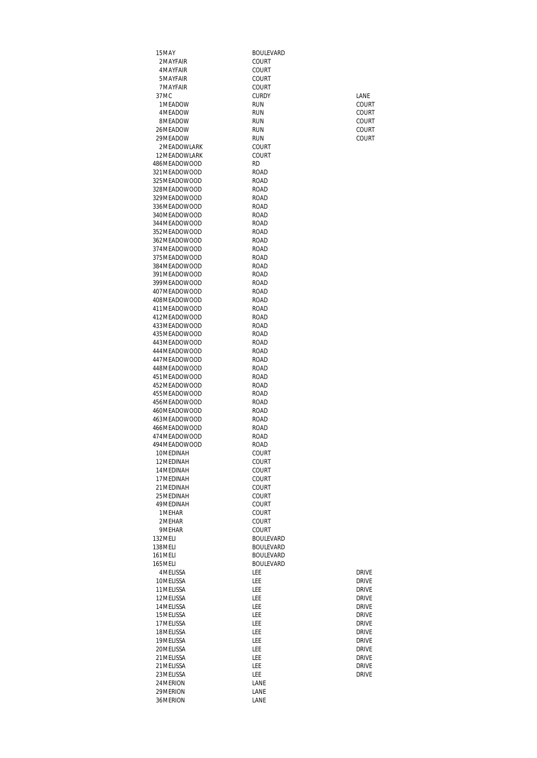| 15MAY                          | <b>BOULEVARD</b>              |                              |
|--------------------------------|-------------------------------|------------------------------|
| 2MAYFAIR                       | COURT                         |                              |
| 4 MAYFAIR                      | COURT                         |                              |
| 5 MAYFAIR<br>7 MAYFAIR         | COURT<br>COURT                |                              |
| 37 <sub>MC</sub>               | <b>CURDY</b>                  | LANE                         |
| 1MFADOW                        | <b>RUN</b>                    | COURT                        |
| 4 MF ADOW                      | <b>RUN</b>                    | COURT                        |
| 8MEADOW                        | <b>RUN</b>                    | COURT                        |
| 26MEADOW                       | <b>RUN</b>                    | COURT                        |
| 29 MEADOW                      | <b>RUN</b>                    | COURT                        |
| 2MEADOWLARK<br>12 MFADOWI ARK  | COURT<br>COURT                |                              |
| 486MEADOWOOD                   | <b>RD</b>                     |                              |
| 321 MEADOWOOD                  | ROAD                          |                              |
| 325MEADOWOOD                   | ROAD                          |                              |
| 328MEADOWOOD                   | ROAD                          |                              |
| 329MEADOWOOD                   | ROAD                          |                              |
| 336MEADOWOOD                   | ROAD                          |                              |
| 340MEADOWOOD<br>344MEADOWOOD   | <b>ROAD</b><br>ROAD           |                              |
| 352 MEADOWOOD                  | <b>ROAD</b>                   |                              |
| 362MEADOWOOD                   | <b>ROAD</b>                   |                              |
| 374MEADOWOOD                   | ROAD                          |                              |
| 375MEADOWOOD                   | ROAD                          |                              |
| 384MEADOWOOD                   | ROAD                          |                              |
| 391 MEADOWOOD                  | <b>ROAD</b>                   |                              |
| 399 MEADOWOOD<br>407 MEADOWOOD | <b>ROAD</b><br><b>ROAD</b>    |                              |
| 408MEADOWOOD                   | ROAD                          |                              |
| 411MEADOWOOD                   | ROAD                          |                              |
| 412MEADOWOOD                   | ROAD                          |                              |
| 433MEADOWOOD                   | ROAD                          |                              |
| 435MEADOWOOD                   | <b>ROAD</b>                   |                              |
| 443MEADOWOOD<br>444 MEADOWOOD  | ROAD<br>ROAD                  |                              |
| 447MEADOWOOD                   | ROAD                          |                              |
| 448MEADOWOOD                   | ROAD                          |                              |
| 451 MEADOWOOD                  | <b>ROAD</b>                   |                              |
| 452MEADOWOOD                   | ROAD                          |                              |
| 455 MEADOWOOD                  | ROAD                          |                              |
| 456MEADOWOOD                   | ROAD                          |                              |
| 460MEADOWOOD<br>463MEADOWOOD   | ROAD<br>ROAD                  |                              |
| 466MEADOWOOD                   | ROAD                          |                              |
| 474 MEADOWOOD                  | ROAD                          |                              |
| 494 MEADOWOOD                  | road                          |                              |
| 10MEDINAH                      | Court                         |                              |
| 12MEDINAH                      | COURT                         |                              |
| 14 MEDINAH<br>17 MEDINAH       | COURT                         |                              |
| 21 MEDINAH                     | COURT<br><b>COURT</b>         |                              |
| 25 MEDINAH                     | COURT                         |                              |
| 49 MEDINAH                     | COURT                         |                              |
| 1 MEHAR                        | COURT                         |                              |
| 2MEHAR                         | COURT                         |                              |
| 9MEHAR                         | <b>COURT</b>                  |                              |
| 132 MELI<br>138 MELI           | <b>BOULEVARD</b><br>BOULEVARD |                              |
| 161 MELI                       | <b>BOULEVARD</b>              |                              |
| 165 MELI                       | <b>BOULEVARD</b>              |                              |
| 4 MELISSA                      | LEE                           | <b>DRIVE</b>                 |
| 10MELISSA                      | LEE                           | <b>DRIVE</b>                 |
| 11 MELISSA                     | LEE                           | <b>DRIVE</b>                 |
| 12 MELISSA                     | LEE                           | <b>DRIVE</b>                 |
| 14 MELISSA                     | LEE                           | <b>DRIVE</b>                 |
| 15 MELISSA<br>17 MELISSA       | LEE<br>LEE                    | <b>DRIVE</b><br><b>DRIVE</b> |
| 18 MELISSA                     | LEE                           | <b>DRIVE</b>                 |
| 19 MELISSA                     | LEE                           | <b>DRIVE</b>                 |
| 20 MELISSA                     | LEE                           | <b>DRIVE</b>                 |
| 21 MELISSA                     | LEE                           | <b>DRIVE</b>                 |
| 21 MELISSA                     | LEE                           | <b>DRIVE</b>                 |
| 23 MELISSA                     | LEE                           | <b>DRIVE</b>                 |
| 24 MERION                      | LANE                          |                              |
| 29 MERION<br>36MERION          | LANE<br>LANE                  |                              |
|                                |                               |                              |

| drivf |
|-------|
| drivf |
| DRIVF |
| drivf |
| DRIVF |
| drivf |
| drivf |
| drivf |
| drivf |
| drivf |
| drivf |
| drivf |
| drivf |
|       |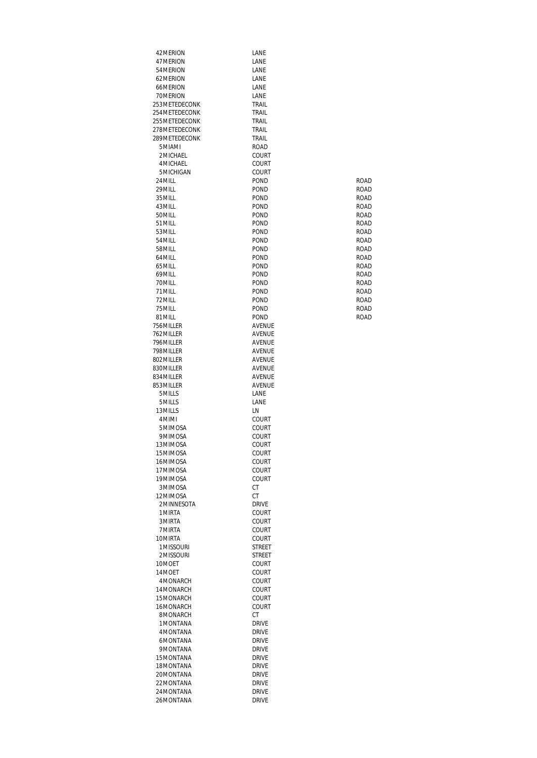| 42 MERION      | LANE          |             |
|----------------|---------------|-------------|
| 47 MERION      | LANE          |             |
| 54 MERION      | LANE          |             |
| 62MFRION       | LANE          |             |
| 66MERION       | LANE          |             |
|                |               |             |
| 70MERION       | LANE          |             |
| 253 METEDECONK | TRAIL         |             |
| 254 METEDECONK | TRAIL         |             |
| 255 METEDECONK | TRAIL         |             |
| 278 METEDECONK | TRAIL         |             |
| 289 METEDECONK | TRAIL         |             |
| 5MIAMI         | ROAD          |             |
| 2MICHAEL       | COURT         |             |
| 4 MICHAEL      | COURT         |             |
| 5 MICHIGAN     | COURT         |             |
| 24 MILL        | POND          | ROAD        |
| 29 MILL        | POND          | <b>ROAD</b> |
| 35 MILL        | POND          | ROAD        |
|                |               |             |
| 43 MILL        | POND          | ROAD        |
| 50 MILL        | POND          | <b>ROAD</b> |
| 51 MILL        | POND          | <b>ROAD</b> |
| 53 MILL        | POND          | ROAD        |
| 54 MILL        | POND          | ROAD        |
| 58MILL         | POND          | ROAD        |
| 64 MILL        | POND          | <b>ROAD</b> |
| 65 MILL        | POND          | <b>ROAD</b> |
| 69MILL         | POND          | ROAD        |
| 70 MILL        | POND          | ROAD        |
| 71 MILL        | POND          | <b>ROAD</b> |
| 72MILL         | POND          | <b>ROAD</b> |
| 75 MILL        | POND          | ROAD        |
| 81 MILL        | POND          | ROAD        |
| 756MILLER      | AVENUE        |             |
|                |               |             |
| 762 MILLER     | <b>AVENUE</b> |             |
| 796 MILLER     | AVENUE        |             |
| 798 MILLER     | AVENUE        |             |
| 802 MILLER     | AVENUE        |             |
| 830MILLER      | AVENUE        |             |
| 834 MILLER     | AVENUE        |             |
| 853 MILLER     | AVENUE        |             |
| 5MILLS         | LANE          |             |
| 5MILLS         | LANE          |             |
| 13 MILLS       | LN            |             |
| 4MIMI          | COURT         |             |
| 5MIMOSA        | COURT         |             |
| 9MIMOSA        | COURT         |             |
| 13MIMOSA       | COURT         |             |
|                |               |             |
| 15MIMOSA       | COURT         |             |
| 16MIMOSA       | COURT         |             |
| 17MIMOSA       | COURT         |             |
| 19MIMOSA       | COURT         |             |
| 3MIMOSA        | СT            |             |
| 12MIMOSA       | СT            |             |
| 2MINNESOTA     | <b>DRIVE</b>  |             |
| 1 MIRTA        | COURT         |             |
| 3 MIRTA        | COURT         |             |
| 7 MIRTA        | COURT         |             |
| 10MIRTA        | COURT         |             |
| 1 MISSOURI     | STREET        |             |
| 2MISSOURI      | <b>STREET</b> |             |
| 10MOET         | COURT         |             |
| 14 MOET        | COURT         |             |
| 4MONARCH       | COURT         |             |
|                |               |             |
| 14MONARCH      | COURT         |             |
| 15MONARCH      | COURT         |             |
| 16MONARCH      | COURT         |             |
| 8MONARCH       | СT            |             |
| 1 MONTANA      | <b>DRIVE</b>  |             |
| 4 MONTANA      | <b>DRIVE</b>  |             |
| 6MONTANA       | <b>DRIVE</b>  |             |
| 9MONTANA       | <b>DRIVE</b>  |             |
| 15MONTANA      | <b>DRIVE</b>  |             |
| 18MONTANA      | <b>DRIVE</b>  |             |
| 20MONTANA      | <b>DRIVE</b>  |             |
| 22MONTANA      | <b>DRIVE</b>  |             |
| 24MONTANA      | <b>DRIVE</b>  |             |
| 26MONTANA      |               |             |
|                | <b>DRIVE</b>  |             |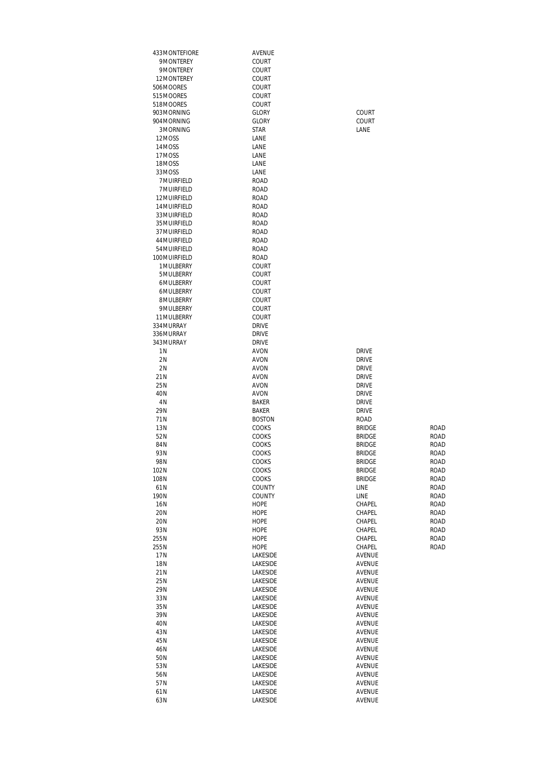| 433MONTEFIORE           | AVENUE                      |                                |              |
|-------------------------|-----------------------------|--------------------------------|--------------|
| 9MONTEREY               | COURT                       |                                |              |
| 9MONTEREY               | COURT                       |                                |              |
| 12MONTEREY              | COURT                       |                                |              |
| 506MOORES               | COURT                       |                                |              |
| 515MOORES               | <b>COURT</b>                |                                |              |
| 518MOORES               | COURT                       |                                |              |
| 903 MORNING             | <b>GLORY</b>                | COURT                          |              |
| 904 MORNING<br>3MORNING | <b>GLORY</b><br><b>STAR</b> | COURT<br>LANE                  |              |
| 12MOSS                  | LANE                        |                                |              |
| 14MOSS                  | LANE                        |                                |              |
| 17MOSS                  | LANE                        |                                |              |
| 18MOSS                  | LANE                        |                                |              |
| 33MOSS                  | LANE                        |                                |              |
| 7 MUIRFIELD             | <b>ROAD</b>                 |                                |              |
| 7 MUIRFIELD             | <b>ROAD</b>                 |                                |              |
| 12 MUIRFIELD            | <b>ROAD</b>                 |                                |              |
| 14 MUIRFIELD            | <b>ROAD</b>                 |                                |              |
| 33 MUIRFIELD            | <b>ROAD</b>                 |                                |              |
| 35 MUIRFIELD            | <b>ROAD</b>                 |                                |              |
| 37 MUIRFIELD            | <b>ROAD</b>                 |                                |              |
| 44 MUIRFIELD            | <b>ROAD</b>                 |                                |              |
| 54 MUIRFIELD            | <b>ROAD</b>                 |                                |              |
| 100 MUIRFIELD           | <b>ROAD</b>                 |                                |              |
| 1 MULBERRY              | COURT                       |                                |              |
| 5MULBERRY               | COURT                       |                                |              |
| 6MULBERRY               | <b>COURT</b>                |                                |              |
| 6MULBERRY               | <b>COURT</b>                |                                |              |
| 8MULBERRY<br>9MULBERRY  | COURT<br>COURT              |                                |              |
| 11 MULBERRY             | COURT                       |                                |              |
| 334 MURRAY              | <b>DRIVE</b>                |                                |              |
| 336MURRAY               | <b>DRIVE</b>                |                                |              |
| 343MURRAY               | <b>DRIVE</b>                |                                |              |
| 1 N                     | <b>AVON</b>                 | <b>DRIVE</b>                   |              |
| 2N                      | <b>AVON</b>                 | <b>DRIVE</b>                   |              |
| 2N                      | <b>AVON</b>                 | <b>DRIVE</b>                   |              |
| 21N                     | <b>AVON</b>                 | <b>DRIVE</b>                   |              |
| 25N                     | <b>AVON</b>                 | <b>DRIVE</b>                   |              |
| 40N                     | <b>AVON</b>                 | <b>DRIVE</b>                   |              |
| 4 N                     | <b>BAKER</b>                | <b>DRIVE</b>                   |              |
| 29N                     | <b>BAKER</b>                | <b>DRIVE</b>                   |              |
| 71N                     | <b>BOSTON</b>               | ROAD                           |              |
| 13N                     | COOKS                       | <b>BRIDGE</b>                  | <b>ROAD</b>  |
| 52N                     | COOKS                       | <b>BRIDGE</b>                  | <b>ROAD</b>  |
| 84N                     | COOKS                       | <b>BRIDGE</b>                  | ROAD         |
| 93N                     | COOKS                       | <b>BRIDGE</b>                  | ROAD         |
| 98N<br>102N             | COOKS<br>COOKS              | <b>BRIDGE</b><br><b>BRIDGE</b> | ROAD<br>ROAD |
| 108N                    | COOKS                       | <b>BRIDGE</b>                  | ROAD         |
| 61N                     | COUNTY                      | LINE                           | ROAD         |
| 190N                    | COUNTY                      | LINE                           | ROAD         |
| 16N                     | <b>HOPE</b>                 | CHAPEL                         | ROAD         |
| 20N                     | <b>HOPE</b>                 | CHAPEL                         | ROAD         |
| 20N                     | <b>HOPE</b>                 | CHAPEL                         | ROAD         |
| 93N                     | <b>HOPE</b>                 | CHAPEL                         | ROAD         |
| 255N                    | HOPE                        | CHAPEL                         | ROAD         |
| 255N                    | <b>HOPE</b>                 | CHAPEL                         | ROAD         |
| 17N                     | LAKESIDE                    | AVENUE                         |              |
| 18N                     | LAKESIDE                    | AVENUE                         |              |
| 21N                     | LAKESIDE                    | AVENUE                         |              |
| 25N                     | LAKESIDE                    | AVENUE                         |              |
| 29N                     | LAKESIDE                    | AVENUE                         |              |
| 33N                     | LAKESIDE                    | AVENUE                         |              |
| 35N                     | LAKESIDE                    | AVENUE                         |              |
| 39N                     | LAKESIDE                    | AVENUE                         |              |
| 40N                     | LAKESIDE                    | AVENUE                         |              |
| 43N                     | LAKESIDE                    | AVENUE                         |              |
| 45N                     | LAKESIDE                    | AVENUE                         |              |
| 46N                     | LAKESIDE                    | AVENUE                         |              |
| 50N                     | LAKESIDE                    | AVENUE                         |              |
| 53N                     | LAKESIDE                    | AVENUE                         |              |
| 56N<br>57N              | LAKESIDE<br>LAKESIDE        | AVENUE<br>AVENUE               |              |
| 61N                     | LAKESIDE                    | AVENUE                         |              |
| 63N                     | <b>LAKESIDE</b>             | <b>AVFNUF</b>                  |              |
|                         |                             |                                |              |

| <b>RIVE</b>                  |                                  |
|------------------------------|----------------------------------|
| RIVE                         |                                  |
| RIVE                         |                                  |
| RIVE                         |                                  |
| RIVE                         |                                  |
| RIVE                         |                                  |
| <b>JAD</b>                   |                                  |
| RIDGE                        | R(                               |
| RIDGE                        | R <sub>C</sub>                   |
| RIDGE                        | R <sub>(</sub>                   |
| RIDGE                        | R <sub>(</sub>                   |
| RIDGE                        | R <sub>(</sub>                   |
| RIDGE                        | R <sub>(</sub>                   |
| RIDGE                        | R <sub>C</sub>                   |
| NE                           | R <sub>(</sub>                   |
| NE                           | R <sub>(</sub>                   |
| <b>HAPEL</b>                 | R <sub>(</sub>                   |
| HAPEL                        | R <sub>(</sub>                   |
| <b>HAPEL</b>                 | R <sub>(</sub>                   |
| <b>HAPEL</b><br><b>HAPFI</b> | R <sub>(</sub>                   |
|                              | R <sub>(</sub><br>R <sub>C</sub> |
| <b>HAPEL</b><br>/ENUE        |                                  |
| /ENUE                        |                                  |
| /ENUE                        |                                  |
| /ENUE                        |                                  |
| /ENUE                        |                                  |
| /ENUE                        |                                  |
| /ENUE                        |                                  |
| /ENUE                        |                                  |
| /ENUE                        |                                  |
| /ENUE                        |                                  |
| /ENUE                        |                                  |
| /ENUE                        |                                  |
| /ENUE                        |                                  |
| /ENUE                        |                                  |
| /ENUE                        |                                  |
| <b>/FNUF</b>                 |                                  |

AVENUE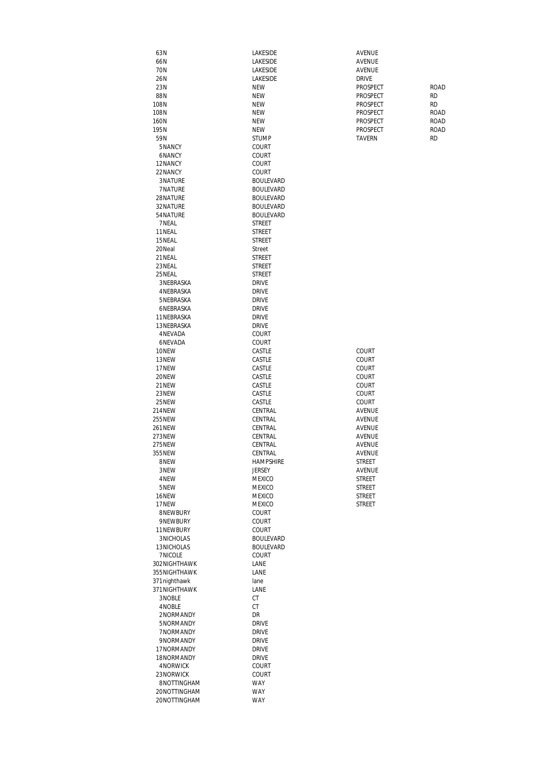| 63N           | LAKESIDE         | <b>AVENUE</b> |             |
|---------------|------------------|---------------|-------------|
| 66N           | LAKESIDE         | <b>AVENUE</b> |             |
| 70N           | LAKESIDE         | <b>AVENUE</b> |             |
| 26N           | LAKESIDE         | <b>DRIVE</b>  |             |
| 23N           | <b>NEW</b>       | PROSPECT      | <b>ROAD</b> |
|               |                  |               |             |
| 88N           | <b>NEW</b>       | PROSPECT      | <b>RD</b>   |
| 108N          | <b>NEW</b>       | PROSPECT      | <b>RD</b>   |
| 108N          | <b>NEW</b>       | PROSPECT      | <b>ROAD</b> |
| 160N          | <b>NEW</b>       | PROSPECT      | ROAD        |
| 195N          | <b>NEW</b>       | PROSPECT      | ROAD        |
| 59N           | <b>STUMP</b>     | <b>TAVERN</b> | <b>RD</b>   |
| 5NANCY        | COURT            |               |             |
| 6NANCY        | COURT            |               |             |
| 12NANCY       | COURT            |               |             |
| 22NANCY       | COURT            |               |             |
| 3NATURE       | <b>BOULEVARD</b> |               |             |
| 7NATURE       |                  |               |             |
|               | <b>BOULEVARD</b> |               |             |
| 28NATURE      | <b>BOULEVARD</b> |               |             |
| 32 NATURE     | <b>BOULEVARD</b> |               |             |
| 54 NATURE     | <b>BOULEVARD</b> |               |             |
| 7 NEAL        | <b>STREET</b>    |               |             |
| 11NEAL        | <b>STREET</b>    |               |             |
| 15NEAL        | <b>STREET</b>    |               |             |
| 20Neal        | Street           |               |             |
| 21 NEAL       | <b>STREET</b>    |               |             |
| 23 NEAL       | <b>STREET</b>    |               |             |
| 25 NEAL       | <b>STREET</b>    |               |             |
| 3 NEBRASKA    | <b>DRIVE</b>     |               |             |
| 4 NEBRASKA    | <b>DRIVE</b>     |               |             |
|               |                  |               |             |
| 5NEBRASKA     | <b>DRIVE</b>     |               |             |
| 6NEBRASKA     | <b>DRIVE</b>     |               |             |
| 11 NEBRASKA   | <b>DRIVE</b>     |               |             |
| 13 NEBRASKA   | <b>DRIVE</b>     |               |             |
| 4 NEVADA      | COURT            |               |             |
| 6NEVADA       | COURT            |               |             |
| 10NEW         | CASTLE           | COURT         |             |
| 13NEW         | CASTLE           | <b>COURT</b>  |             |
| 17NEW         | CASTLE           | COURT         |             |
| 20NEW         | CASTLE           | COURT         |             |
| 21NEW         | CASTLE           | COURT         |             |
| 23NEW         | CASTLE           | COURT         |             |
| 25NEW         | CASTLE           | COURT         |             |
|               |                  |               |             |
| 214NEW        | CENTRAL          | <b>AVENUE</b> |             |
| 255NEW        | CENTRAL          | AVENUE        |             |
| <b>261NEW</b> | CENTRAL          | AVENUE        |             |
| 273NEW        | CENTRAL          | AVENUE        |             |
| 275NEW        | CENTRAL          | <b>AVENUE</b> |             |
| 355NEW        | CENTRAL          | AVENUE        |             |
| 8NEW          | HAMPSHIRE        | <b>STREET</b> |             |
| 3NEW          | <b>JERSEY</b>    | AVENUE        |             |
| 4NEW          | MEXICO           | STREET        |             |
| 5NEW          | MEXICO           | STREET        |             |
| 16NEW         | <b>MEXICO</b>    | STREET        |             |
| 17NEW         | MEXICO           | <b>STREET</b> |             |
| 8NEWBURY      | COURT            |               |             |
| 9NEWBURY      | COURT            |               |             |
|               |                  |               |             |
| 11NEWBURY     | COURT            |               |             |
| 3NICHOLAS     | <b>BOULEVARD</b> |               |             |
| 13NICHOLAS    | <b>BOULEVARD</b> |               |             |
| 7 NICOLE      | COURT            |               |             |
| 302NIGHTHAWK  | LANE             |               |             |
| 355NIGHTHAWK  | LANE             |               |             |
| 371 nighthawk | lane             |               |             |
| 371NIGHTHAWK  | LANE             |               |             |
| 3NOBLE        | СT               |               |             |
| 4NOBLE        | СT               |               |             |
| 2NORMANDY     | DR               |               |             |
| 5NORMANDY     | <b>DRIVE</b>     |               |             |
| 7NORMANDY     | <b>DRIVE</b>     |               |             |
|               |                  |               |             |
| 9NORMANDY     | <b>DRIVE</b>     |               |             |
| 17NORMANDY    | <b>DRIVE</b>     |               |             |
| 18NORMANDY    | <b>DRIVE</b>     |               |             |
| 4 NORWICK     | COURT            |               |             |
| 23NORWICK     | COURT            |               |             |
| 8NOTTINGHAM   | WAY              |               |             |
| 20NOTTINGHAM  | WAY              |               |             |
| 20NOTTINGHAM  | <b>WAY</b>       |               |             |
|               |                  |               |             |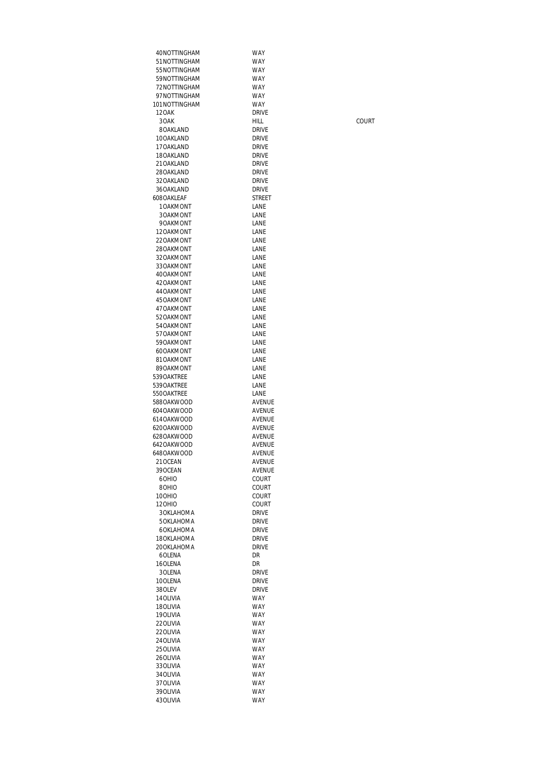| 40NOTTINGHAM                  | WAY                          |       |
|-------------------------------|------------------------------|-------|
| 51 NOTTINGHAM                 | WAY                          |       |
| 55 NOTTINGHAM<br>59NOTTINGHAM | <b>WAY</b><br>WAY            |       |
| 72NOTTINGHAM                  | WAY                          |       |
| 97NOTTINGHAM                  | WAY                          |       |
| 101NOTTINGHAM                 | <b>WAY</b>                   |       |
| <b>120AK</b>                  | <b>DRIVE</b>                 |       |
| 30AK                          | HILL                         | COURT |
| 8OAKLAND                      | <b>DRIVE</b>                 |       |
| 10OAKLAND                     | <b>DRIVE</b>                 |       |
| 17 OAKLAND                    | <b>DRIVE</b>                 |       |
| 18OAKLAND<br>21 OAKLAND       | <b>DRIVE</b><br>DRIVE        |       |
| 28 OAKLAND                    | DRIVE                        |       |
| 32 OAKLAND                    | <b>DRIVE</b>                 |       |
| 36OAKLAND                     | <b>DRIVE</b>                 |       |
| 608OAKLEAF                    | <b>STREET</b>                |       |
| 10AKMONT                      | LANE                         |       |
| 3 OAKMONT                     | LANE                         |       |
| 90AKMONT<br>120AKMONT         | LANE<br>LANE                 |       |
| 22OAKMONT                     | LANE                         |       |
| 280AKMONT                     | LANE                         |       |
| 32OAKMONT                     | LANE                         |       |
| 33 OAKMONT                    | LANE                         |       |
| 40OAKMONT                     | LANE                         |       |
| 42OAKMONT                     | LANE                         |       |
| 44 OAKMONT                    | LANE                         |       |
| 45 OAKMONT<br>47 OAKMONT      | LANE                         |       |
| 52OAKMONT                     | LANE<br>LANE                 |       |
| 54 OAKMONT                    | LANE                         |       |
| 57 OAKMONT                    | LANE                         |       |
| 590AKMONT                     | LANE                         |       |
| 60OAKMONT                     | LANE                         |       |
| 81OAKMONT                     | LANE                         |       |
| 89OAKMONT<br>539OAKTREE       | LANE<br>LANE                 |       |
| 539OAKTREE                    | LANE                         |       |
| 550OAKTREE                    | LANE                         |       |
| 588OAKWOOD                    | AVENUE                       |       |
| 604 OAKWOOD                   | AVENUE                       |       |
| 614OAKWOOD                    | AVENUE                       |       |
| 620OAKWOOD<br>628OAKWOOD      | AVENUE<br>AVENUE             |       |
| 642OAKWOOD                    | AVENUE                       |       |
| 648OAKWOOD                    | AVENUE                       |       |
| 21 OCEAN                      | AVENUE                       |       |
| 39 OCEAN                      | AVENUE                       |       |
| 60HIO                         | COURT                        |       |
| 80HIO<br>10OHIO               | <b>COURT</b>                 |       |
| 120HIO                        | <b>COURT</b><br><b>COURT</b> |       |
| 3 OKLAHOMA                    | <b>DRIVE</b>                 |       |
| 5 OKLAHOMA                    | Drive                        |       |
| 6OKLAHOMA                     | <b>DRIVE</b>                 |       |
| 18 OKLAHOMA                   | Drive                        |       |
| 20OKLAHOMA                    | <b>DRIVE</b>                 |       |
| 6OLENA<br>16OLENA             | DR<br>DR                     |       |
| 3 OLENA                       | <b>DRIVE</b>                 |       |
| 10OLENA                       | <b>DRIVE</b>                 |       |
| 38OLEV                        | <b>DRIVE</b>                 |       |
| 14 OLIVIA                     | WAY                          |       |
| 180LIVIA                      | <b>WAY</b>                   |       |
| 190LIVIA                      | <b>WAY</b>                   |       |
| 22 OLIVIA<br>22 OLIVIA        | <b>WAY</b><br><b>WAY</b>     |       |
| 24 OLIVIA                     | <b>WAY</b>                   |       |
| 25 OLIVIA                     | <b>WAY</b>                   |       |
| 26 OLIVIA                     | <b>WAY</b>                   |       |
| 33 OLIVIA                     | <b>WAY</b>                   |       |
| 34 OLIVIA                     | <b>WAY</b>                   |       |
| 37 OLIVIA                     | <b>WAY</b>                   |       |
| 39 OLIVIA<br>43 OLIVIA        | <b>WAY</b><br><b>WAY</b>     |       |
|                               |                              |       |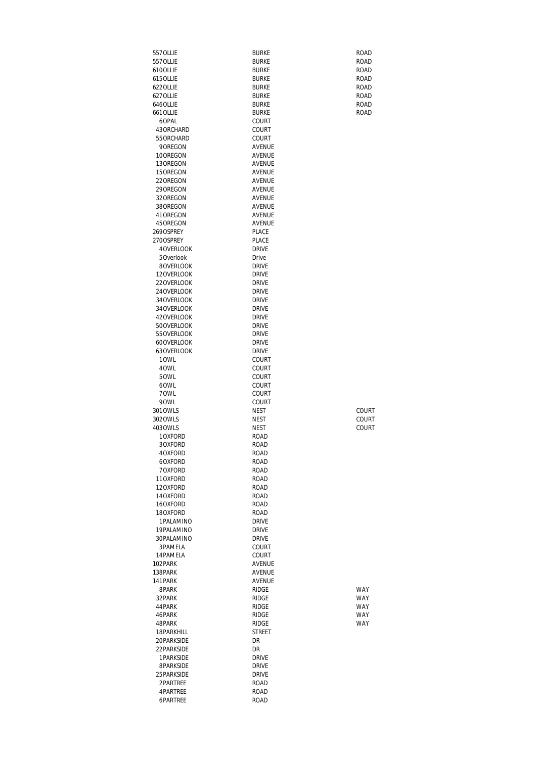| 557 OLLIE                 | <b>BURKE</b>                 | ROAD         |
|---------------------------|------------------------------|--------------|
| 557 OLLIE                 | <b>BURKE</b>                 | ROAD         |
| 610OLLIE<br>615 OLLIE     | BURKE<br><b>BURKE</b>        | ROAD<br>ROAD |
| 622 OLLIE                 | BURKE                        | ROAD         |
| 627 OLLIE                 | <b>BURKE</b>                 | <b>ROAD</b>  |
| 646 OLLIE                 | <b>BURKE</b>                 | <b>ROAD</b>  |
| 661 OLLIE                 | <b>BURKE</b>                 | ROAD         |
| 6OPAL<br>43 ORCHARD       | COURT<br>COURT               |              |
| 55 ORCHARD                | COURT                        |              |
| 9 OREGON                  | <b>AVENUE</b>                |              |
| 10OREGON                  | AVENUE                       |              |
| 13OREGON<br>15 OREGON     | AVENUE<br><b>AVENUE</b>      |              |
| 22OREGON                  | AVENUE                       |              |
| 29 OREGON                 | AVENUE                       |              |
| 32 OREGON                 | AVENUE                       |              |
| 38 OREGON                 | AVENUE                       |              |
| 41 OREGON<br>45 OREGON    | AVENUE<br>AVENUE             |              |
| 269OSPREY                 | PLACE                        |              |
| 270OSPREY                 | PLACE                        |              |
| 4 OVERLOOK                | <b>DRIVE</b>                 |              |
| 5 Overlook<br>8OVERLOOK   | Drive                        |              |
| 12OVERLOOK                | <b>DRIVE</b><br><b>DRIVE</b> |              |
| 22OVERLOOK                | <b>DRIVE</b>                 |              |
| 24 OVERLOOK               | <b>DRIVE</b>                 |              |
| 34 OVERLOOK               | <b>DRIVE</b>                 |              |
| 34 OVERLOOK<br>42OVERLOOK | <b>DRIVE</b><br><b>DRIVE</b> |              |
| 50OVERLOOK                | <b>DRIVE</b>                 |              |
| 55 OVERLOOK               | <b>DRIVE</b>                 |              |
| 60OVERLOOK                | <b>DRIVE</b>                 |              |
| 63OVERLOOK                | <b>DRIVE</b>                 |              |
| 10WL<br>40WL              | COURT<br><b>COURT</b>        |              |
| 50WL                      | COURT                        |              |
| 60WL                      | <b>COURT</b>                 |              |
| 70WL                      | COURT                        |              |
| 90WL<br>301 OWLS          | COURT<br><b>NEST</b>         | COURT        |
| 302 OWLS                  | <b>NEST</b>                  | COURT        |
| 403 OWLS                  | <b>NEST</b>                  | COURT        |
| 10XFORD                   | ROAD                         |              |
| 3OXFORD<br>4OXFORD        | ROAD<br>ROAD                 |              |
| 6OXFORD                   | ROAD                         |              |
| 70XFORD                   | ROAD                         |              |
| 11OXFORD                  | ROAD                         |              |
| 12OXFORD                  | ROAD                         |              |
| 14OXFORD<br>16OXFORD      | <b>ROAD</b><br>ROAD          |              |
| 180XFORD                  | ROAD                         |              |
| 1PALAMINO                 | <b>DRIVE</b>                 |              |
| 19PALAMINO                | <b>DRIVE</b>                 |              |
| 30PALAMINO<br>3PAMELA     | <b>DRIVE</b><br>COURT        |              |
| 14 PAMELA                 | COURT                        |              |
| 102PARK                   | AVENUE                       |              |
| 138PARK                   | AVENUE                       |              |
| 141 PARK                  | AVENUE                       |              |
| 8PARK<br>32 PARK          | <b>RIDGE</b><br><b>RIDGE</b> | WAY<br>WAY   |
| 44 PARK                   | <b>RIDGE</b>                 | <b>WAY</b>   |
| 46PARK                    | <b>RIDGE</b>                 | <b>WAY</b>   |
| 48PARK                    | <b>RIDGE</b>                 | WAY          |
| 18 PARKHILL<br>20PARKSIDE | STREET<br>DR                 |              |
| 22 PARKSIDE               | DR                           |              |
| 1PARKSIDE                 | <b>DRIVE</b>                 |              |
| 8PARKSIDE                 | <b>DRIVE</b>                 |              |
| 25 PARKSIDE               | <b>DRIVE</b>                 |              |
| 2PARTREE                  | ROAD                         |              |
| 4PARTREE<br>6PARTREE      | ROAD<br><b>ROAD</b>          |              |
|                           |                              |              |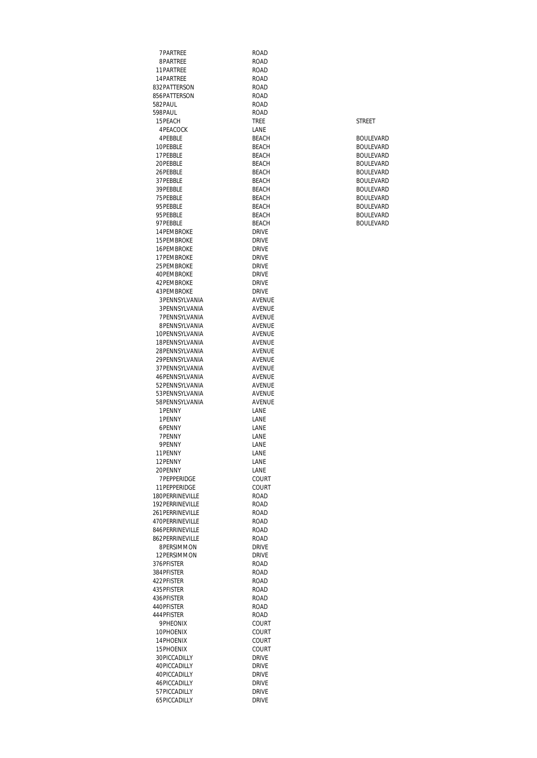7PARTREE ROAD<br>8PARTREE ROAD 8PARTREE 11PARTREE ROAD<br>14PARTREE ROAD 14PARTREE ROAD 832PATTERSON ROAD 856PATTERSON ROAD<br>582PAUL ROAD 582PAUL ROAD 598PAUL ROAD<br>15PEACH TREE 15PEACH STREET TREE STREET 4PEACOCK LANE<br>4PEBBLE BEACH 4PEBBLE BEACH BOULEVARD 10PEBBLE BEACH BOULEVARD 17PEBBLE BEACH BOULEVARD 20PEBBLE<br>26PEBBLE BEACH BEACH 26PEBBLE BEACH BOULEVARD 37PEBBLE BEACH BEACH BEACH 39PEBBLE<br>75PEBBLE BEACH BEACH 75PEBBLE BEACH BOULEVARD 95PEBBLE BEACH BEACH<br>95PEBBLE BEACH 95PEBBLE BEACH BEACH BOULEVARD 97PEBBLE BEACH BOULEVARD 14PEMBROKE DRIVE<br>15PEMBROKE DRIVE 15PEMBROKE DRIVE<br>16PEMBROKE DRIVE 16PEMBROKE DRIVE<br>17PEMBROKE DRIVE 17PEMBROKE DRIVE<br>25PEMBROKE DRIVE 25 PEMBROKE DRIVE<br>40 PEMBROKE DRIVE 40PEMBROKE DRIVE<br>42PEMBROKE DRIVE 42 PEMBROKE<br>43 PEMBROKE DRIVE 43PEMBROKE DRIVE<br>3PENNSYLVANIA AVENUE 3PENNSYLVANIA AVENUE 3PENNSYLVANIA 7 PENNSYLVANIA AVENUE 8PENNSYLVANIA AVENUE 10PENNSYLVANIA AVENUE 18PENNSYLVANIA AVENUE 28PENNSYLVANIA AVENUE 29 PENNSYLVANIA 37PENNSYLVANIA AVENUE 46PENNSYLVANIA AVENUE 52PENNSYLVANIA 53PENNSYLVANIA AVENUE 58PENNSYLVANIA AVEN<br>1PFNNY IANF 1 PENNY LANE<br>1 PENNY LANE 1 PENNY LANE<br>6 PENNY LANE 6PENNY 7PENNY LANE<br>9PENNY LANE 9PENNY LANE<br>11 PENNY LANE 11PENNY 12PENNY LANE<br>20PENNY LANE 20PENNY 7PEPPERIDGE COURT 11PEPPERIDGE COURTERENT COURT<br>180PERRINEVILLE 180PERRINEVILLE 192PERRINEVILLE<br>261PERRINEVILLE ROAD 261 PERRINEVILLE ROAD<br>470 PERRINEVILLE ROAD 470PERRINEVILLE 846PERRINEVILLE ROAD 862PERRINEVILLE ROAD 8PERSIMMON DRIVE 12PERSIMMON 376PFISTER ROAD 384PFISTER ROAD<br>422PFISTER ROAD 422PFISTER<br>435PFISTER ROAD 435 PFISTER 436 PFISTER ROAD<br>440 PFISTER ROAD 440PFISTER 444PFISTER ROAD<br>9PHEONIX COURT PHEONIX COURT<br>10PHOENIX COURT 10PHOENIX 14PHOENIX COURT<br>15PHOENIX COURT 15PHOENIX COURT 30PICCADILLY DRIVE<br>40PICCADILLY DRIVE 40PICCADILLY DRIVE<br>40PICCADILLY DRIVE 40PICCADILLY<br>46PICCADILLY DRIVE 46PICCADILLY 57PICCADILLY DRIVE<br>65PICCADILLY DRIVE 65PICCADILLY

| BOULFVARD        |
|------------------|
| BOULFVARD        |
| BOULFVARD        |
| BOULFVARD        |
| <b>BOULFVARD</b> |
| BOULFVARD        |
| <b>BOULFVARD</b> |
| BOULFVARD        |
| BOULFVARD        |
| <b>BOULFVARD</b> |
| ROLILEVARD       |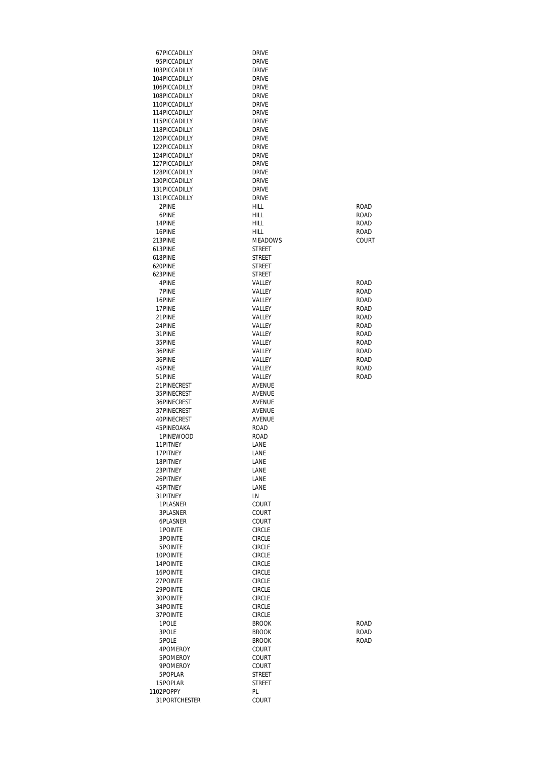| 67PICCADILLY                   | <b>DRIVE</b>                   |               |
|--------------------------------|--------------------------------|---------------|
| 95PICCADILLY                   | <b>DRIVE</b>                   |               |
| 103PICCADILLY                  | <b>DRIVE</b>                   |               |
| 104 PICCADILLY                 | <b>DRIVE</b>                   |               |
| 106PICCADILLY                  | <b>DRIVE</b>                   |               |
| 108PICCADILLY                  | <b>DRIVE</b>                   |               |
| 110PICCADILLY                  | <b>DRIVE</b>                   |               |
| 114 PICCADILLY                 | <b>DRIVE</b>                   |               |
| 115PICCADILLY<br>118PICCADILLY | <b>DRIVE</b><br><b>DRIVE</b>   |               |
| 120PICCADILLY                  | <b>DRIVE</b>                   |               |
| 122PICCADILLY                  | <b>DRIVE</b>                   |               |
| 124 PICCADILLY                 | <b>DRIVE</b>                   |               |
| 127 PICCADILLY                 | <b>DRIVE</b>                   |               |
| 128PICCADILLY                  | <b>DRIVE</b>                   |               |
| 130PICCADILLY                  | <b>DRIVE</b>                   |               |
| 131 PICCADILLY                 | <b>DRIVE</b>                   |               |
| 131 PICCADILLY                 | <b>DRIVE</b>                   |               |
| 2PINE                          | HILL                           | ROAD          |
| 6PINE                          | HILL                           | ROAD          |
| 14PINE                         | HILL                           | ROAD          |
| 16PINE<br>213PINE              | HILL<br><b>MEADOWS</b>         | ROAD<br>COURT |
| 613PINF                        | <b>STREET</b>                  |               |
| 618PINF                        | STREET                         |               |
| 620PINE                        | STREET                         |               |
| 623PINE                        | STREET                         |               |
| 4PINE                          | VALLEY                         | ROAD          |
| 7PINE                          | VALLEY                         | <b>ROAD</b>   |
| 16PINE                         | VALLEY                         | ROAD          |
| 17PINE                         | VALLEY                         | <b>ROAD</b>   |
| 21 PINE                        | VALLEY                         | ROAD          |
| 24PINE                         | VALLEY                         | ROAD          |
| 31 PINE                        | VALLEY                         | ROAD          |
| 35 PINE<br>36PINE              | VALLEY<br>VALLEY               | ROAD<br>ROAD  |
| 36PINE                         | VALLEY                         | ROAD          |
| 45 PINE                        | VALLEY                         | ROAD          |
| 51 PINE                        | VALLEY                         | ROAD          |
| 21 PINECREST                   | AVENUE                         |               |
| 35 PINECREST                   | AVENUE                         |               |
| 36PINECREST                    | <b>AVENUE</b>                  |               |
| 37PINECREST                    | <b>AVENUE</b>                  |               |
| 40PINECREST                    | AVENUE                         |               |
| 45 PINEOAKA                    | ROAD                           |               |
| 1PINEWOOD                      | ROAD                           |               |
| 11 PITNEY<br>17 PITNEY         | LANE                           |               |
| 18PITNEY                       | LANE<br>LANE                   |               |
| 23PITNEY                       | LANE                           |               |
| 26PITNEY                       | LANE                           |               |
| 45 PITNEY                      | LANE                           |               |
| 31 PITNEY                      | LN                             |               |
| 1 PLASNER                      | COURT                          |               |
| 3PLASNER                       | COURT                          |               |
| 6PLASNER                       | COURT                          |               |
| 1POINTE                        | <b>CIRCLE</b>                  |               |
| 3POINTE                        | <b>CIRCLE</b>                  |               |
| 5POINTE<br>10POINTE            | <b>CIRCLE</b><br><b>CIRCLE</b> |               |
| 14 POINTE                      | <b>CIRCLE</b>                  |               |
| 16POINTE                       | <b>CIRCLE</b>                  |               |
| 27 POINTE                      | <b>CIRCLE</b>                  |               |
| 29 POINTE                      | <b>CIRCLE</b>                  |               |
| 30POINTE                       | <b>CIRCLE</b>                  |               |
| 34 POINTE                      | <b>CIRCLE</b>                  |               |
| 37 POINTE                      | <b>CIRCLE</b>                  |               |
| 1POLE                          | <b>BROOK</b>                   | ROAD          |
| 3POLE                          | <b>BROOK</b>                   | ROAD          |
| 5POLE                          | <b>BROOK</b>                   | ROAD          |
| 4POMEROY                       | COURT                          |               |
| 5POMEROY<br>9POMEROY           | COURT<br>COURT                 |               |
| 5POPLAR                        | STREET                         |               |
| 15POPLAR                       | STREET                         |               |
| 1102POPPY                      | PL                             |               |
| 31 PORTCHESTER                 | COURT                          |               |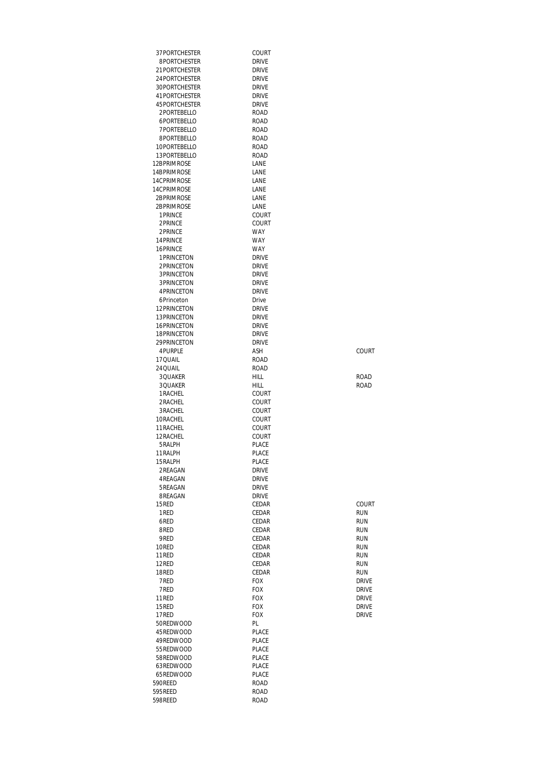| 37PORTCHESTER                   | COURT                        |                          |
|---------------------------------|------------------------------|--------------------------|
| 8PORTCHESTER                    | DRIVE                        |                          |
| 21PORTCHESTER                   | DRIVE                        |                          |
| 24PORTCHESTER                   | <b>DRIVE</b>                 |                          |
| 30PORTCHESTER<br>41 PORTCHESTER | DRIVE<br><b>DRIVE</b>        |                          |
| 45 PORTCHESTER                  | <b>DRIVE</b>                 |                          |
| 2PORTEBELLO                     | ROAD                         |                          |
| 6PORTEBELLO                     | ROAD                         |                          |
| 7PORTEBELLO                     | ROAD                         |                          |
| 8PORTEBELLO                     | <b>ROAD</b>                  |                          |
| 10PORTEBELLO                    | ROAD                         |                          |
| 13PORTEBELLO                    | ROAD                         |                          |
| 12BPRIMROSE                     | LANE                         |                          |
| 14BPRIMROSE<br>14CPRIMROSE      | LANE<br>LANE                 |                          |
| 14CPRIMROSE                     | LANE                         |                          |
| 2BPRIMROSE                      | LANE                         |                          |
| 2BPRIMROSE                      | LANE                         |                          |
| 1 PRINCE                        | COURT                        |                          |
| 2PRINCE                         | COURT                        |                          |
| 2PRINCE                         | <b>WAY</b>                   |                          |
| 14 PRINCE                       | <b>WAY</b>                   |                          |
| 16PRINCF<br>1 PRINCETON         | <b>WAY</b><br><b>DRIVE</b>   |                          |
| 2PRINCETON                      | <b>DRIVE</b>                 |                          |
| 3 PRINCETON                     | <b>DRIVE</b>                 |                          |
| 3 PRINCETON                     | <b>DRIVE</b>                 |                          |
| 4PRINCFTON                      | <b>DRIVE</b>                 |                          |
| 6Princeton                      | Drive                        |                          |
| 12PRINCETON                     | DRIVE                        |                          |
| 13 PRINCETON<br>16 PRINCETON    | <b>DRIVE</b><br><b>DRIVE</b> |                          |
| 18 PRINCETON                    | <b>DRIVE</b>                 |                          |
| 29 PRINCETON                    | <b>DRIVE</b>                 |                          |
| 4PURPLE                         | ASH                          | COURT                    |
| 17 QUAIL                        | ROAD                         |                          |
| 24 QUAIL                        | <b>ROAD</b>                  |                          |
| 3QUAKER<br>3QUAKER              | <b>HILL</b><br>HILL          | <b>ROAD</b><br>ROAD      |
| 1 RACHEL                        | COURT                        |                          |
| 2RACHEL                         | COURT                        |                          |
| 3RACHEL                         | COURT                        |                          |
| 10RACHEL                        | COURT                        |                          |
| 11 RACHEL                       | COURT                        |                          |
| 12 RACHEL<br>5RALPH             | COURT<br>PLACE               |                          |
| 11RALPH                         | PLACE                        |                          |
| 15 RALPH                        | PLACE                        |                          |
| 2REAGAN                         | <b>DRIVE</b>                 |                          |
| 4 REAGAN                        | DRIVE                        |                          |
| 5REAGAN                         | <b>DRIVE</b>                 |                          |
| 8REAGAN                         | <b>DRIVE</b>                 |                          |
| 15RED<br>1RED                   | CEDAR<br>CEDAR               | COURT<br><b>RUN</b>      |
| 6RED                            | CEDAR                        | <b>RUN</b>               |
| 8RED                            | CEDAR                        | <b>RUN</b>               |
| 9RED                            | CEDAR                        | <b>RUN</b>               |
| 10RED                           | CEDAR                        | <b>RUN</b>               |
| 11RED                           | CEDAR                        | <b>RUN</b>               |
| 12RED<br>18RED                  | CEDAR<br>CEDAR               | <b>RUN</b><br><b>RUN</b> |
| 7RED                            | <b>FOX</b>                   | <b>DRIVE</b>             |
| 7RED                            | <b>FOX</b>                   | <b>DRIVE</b>             |
| 11RED                           | <b>FOX</b>                   | <b>DRIVE</b>             |
| 15RED                           | <b>FOX</b>                   | <b>DRIVE</b>             |
| 17RED                           | FOX                          | <b>DRIVE</b>             |
| 50REDWOOD                       | PL                           |                          |
| 45REDWOOD<br>49REDWOOD          | <b>PLACE</b><br>PLACE        |                          |
| 55REDWOOD                       | <b>PLACE</b>                 |                          |
| 58REDWOOD                       | <b>PLACE</b>                 |                          |
| 63REDWOOD                       | <b>PLACE</b>                 |                          |
| 65REDWOOD                       | PLACE                        |                          |
| 590REED<br>595REED              | ROAD                         |                          |
| 598REED                         | ROAD<br><b>ROAD</b>          |                          |
|                                 |                              |                          |

| COURT        |
|--------------|
| RUN          |
| RUN          |
| RUN          |
| RUN          |
| RUN          |
| RUN          |
| RUN          |
| RUN          |
| <b>DRIVE</b> |
| drivf        |
| drivf        |
| drivf        |
| drivf        |
|              |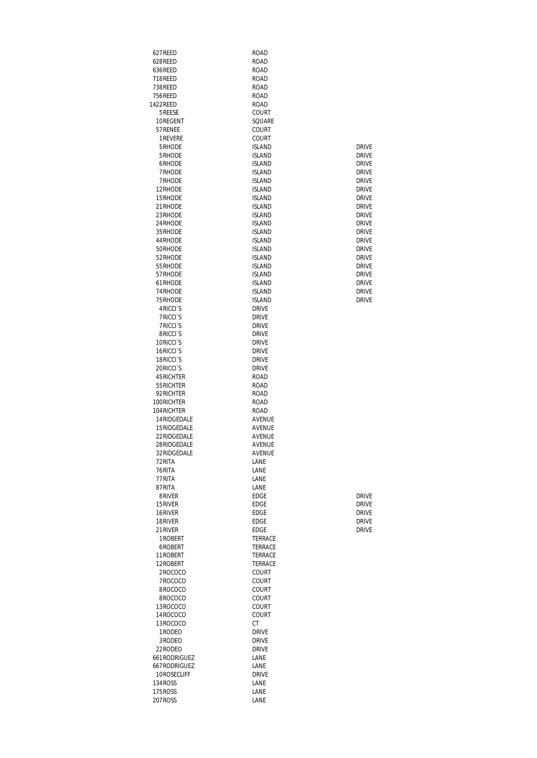| 627REED                                     | ROAD                           |                              |
|---------------------------------------------|--------------------------------|------------------------------|
| 628REED                                     | ROAD                           |                              |
| 636REED                                     | ROAD                           |                              |
| 718REED                                     | ROAD                           |                              |
| 738REED                                     | ROAD                           |                              |
| 756REED<br>1422REED                         | ROAD<br>ROAD                   |                              |
| 5REESE                                      | COURT                          |                              |
| 10REGENT                                    | SQUARE                         |                              |
| 57 RENEE                                    | COURT                          |                              |
| 1 REVERE                                    | COURT                          |                              |
| 5RHODE                                      | <b>ISLAND</b>                  | <b>DRIVE</b>                 |
| 5RHODE                                      | <b>ISLAND</b>                  | <b>DRIVE</b>                 |
| 6RHODE                                      | <b>ISLAND</b>                  | <b>DRIVE</b>                 |
| 7RHODE                                      | <b>ISI AND</b>                 | <b>DRIVE</b>                 |
| 7RHODE                                      | <b>ISLAND</b>                  | <b>DRIVE</b>                 |
| 12RHODE                                     | <b>ISLAND</b>                  | <b>DRIVE</b>                 |
| 15RHODE                                     | <b>ISLAND</b>                  | <b>DRIVE</b>                 |
| 21RHODE                                     | <b>ISLAND</b>                  | <b>DRIVE</b>                 |
| 23RHODE                                     | <b>ISLAND</b>                  | <b>DRIVE</b><br><b>DRIVE</b> |
| 24 RHODE<br>35RHODE                         | <b>ISLAND</b><br><b>ISLAND</b> | <b>DRIVE</b>                 |
| 44RHODE                                     | <b>ISLAND</b>                  | <b>DRIVE</b>                 |
| 50RHODE                                     | <b>ISLAND</b>                  | <b>DRIVE</b>                 |
| 52RHODF                                     | <b>ISLAND</b>                  | <b>DRIVE</b>                 |
| 55RHODE                                     | <b>ISLAND</b>                  | <b>DRIVE</b>                 |
| 57RHODE                                     | <b>ISLAND</b>                  | <b>DRIVE</b>                 |
| 61RHODE                                     | <b>ISLAND</b>                  | <b>DRIVE</b>                 |
| 74RHODE                                     | <b>ISLAND</b>                  | <b>DRIVE</b>                 |
| 75RHODE                                     | <b>ISLAND</b>                  | <b>DRIVE</b>                 |
| 4 RICCI <sup>S</sup>                        | Drive                          |                              |
| <b>7RICCIS</b>                              | DRIVE                          |                              |
| <b>7RICCIS</b>                              | DRIVE                          |                              |
| 8RICCI <sup>S</sup><br>10RICCI <sup>S</sup> | <b>DRIVE</b><br>DRIVE          |                              |
| 16RICCI <sup>S</sup>                        | DRIVE                          |                              |
| 18RICCI <sup>S</sup>                        | DRIVE                          |                              |
| 20RICCI <sup>S</sup>                        | <b>DRIVE</b>                   |                              |
| 45 RICHTER                                  | ROAD                           |                              |
| 55 RICHTER                                  | ROAD                           |                              |
| 92 RICHTER                                  | ROAD                           |                              |
| 100RICHTER                                  | ROAD                           |                              |
| 104 RICHTER                                 | ROAD                           |                              |
| 14 RIDGEDAI F                               | <b>AVENUE</b>                  |                              |
| 15RIDGEDALE                                 | AVENUE                         |                              |
| 22RIDGEDALE<br>28RIDGEDALE                  | <b>AVENUE</b><br>AVENUE        |                              |
| 32RIDGEDALE                                 | AVENUE                         |                              |
| 72RITA                                      | LANE                           |                              |
| 76RITA                                      | LANE                           |                              |
| 77RITA                                      | LANE                           |                              |
| 87RITA                                      | LANE                           |                              |
| 8RIVER                                      | <b>EDGE</b>                    | <b>DRIVE</b>                 |
| 15RIVER                                     | <b>EDGE</b>                    | <b>DRIVE</b>                 |
| 16RIVER                                     | <b>EDGE</b>                    | <b>DRIVE</b>                 |
| 18RIVER                                     | EDGE                           | <b>DRIVE</b>                 |
| 21RIVER                                     | <b>EDGE</b>                    | <b>DRIVE</b>                 |
| 1 ROBERT                                    | <b>TERRACE</b>                 |                              |
| 6ROBERT                                     | TERRACE                        |                              |
| 11ROBERT<br>12ROBERT                        | TERRACE<br>TERRACE             |                              |
| 2ROCOCO                                     | COURT                          |                              |
| 7ROCOCO                                     | COURT                          |                              |
| 8ROCOCO                                     | COURT                          |                              |
| 8ROCOCO                                     | COURT                          |                              |
| 13ROCOCO                                    | COURT                          |                              |
| 14ROCOCO                                    | <b>COURT</b>                   |                              |
| 13ROCOCO                                    | СT                             |                              |
| 1 RODEO                                     | Drive                          |                              |
| 3RODEO                                      | Drive                          |                              |
| 22RODEO                                     | Drive                          |                              |
| 661 RODRIGUEZ                               | LANE                           |                              |
| 667 RODRIGUEZ<br>10ROSECLIFF                | LANE<br><b>DRIVE</b>           |                              |
| 134 ROSS                                    | LANE                           |                              |
| 175ROSS                                     | LANE                           |                              |
| 207ROSS                                     | LANE                           |                              |
|                                             |                                |                              |

| drivf |
|-------|
| drivf |
| drivf |
| drivf |
| drivf |

| drive |
|-------|
| drivf |
| DRIVF |
| DRIVF |
| DRIVF |
| DRIVF |
| drivf |
| DRIVF |
| DRIVF |
| DRIVF |
| DRIVF |
| drivf |
| DRIVF |
| drivf |
| drivf |
| drivf |
| DRIVF |
| DRIVF |
| drivf |
|       |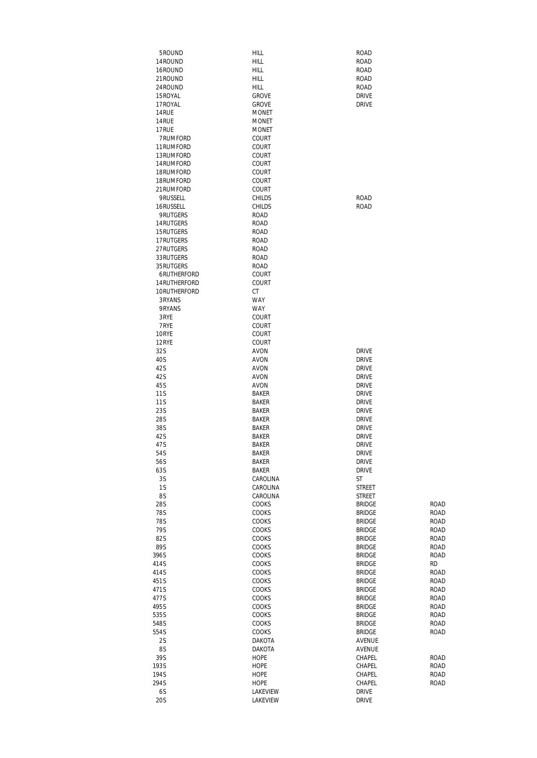| 5ROUND                   | HILL                         | <b>ROAD</b>                    |                   |
|--------------------------|------------------------------|--------------------------------|-------------------|
| 14ROUND                  | HILL                         | <b>ROAD</b>                    |                   |
| 16ROUND                  | <b>HILL</b>                  | <b>ROAD</b>                    |                   |
| 21 ROUND                 | HILL                         | <b>ROAD</b>                    |                   |
| 24 ROUND<br>15 ROYAL     | HILL<br><b>GROVE</b>         | <b>ROAD</b><br><b>DRIVE</b>    |                   |
| 17 ROYAL                 | <b>GROVE</b>                 | <b>DRIVE</b>                   |                   |
| 14RUE                    | <b>MONET</b>                 |                                |                   |
| 14RUE                    | <b>MONET</b>                 |                                |                   |
| 17RUE                    | <b>MONET</b>                 |                                |                   |
| 7RUMFORD                 | COURT                        |                                |                   |
| 11 RUMFORD               | COURT                        |                                |                   |
| 13RUMFORD                | COURT                        |                                |                   |
| 14 RUMFORD               | COURT                        |                                |                   |
| 18RUMFORD<br>18RUMFORD   | COURT<br>COURT               |                                |                   |
| 21 RUMFORD               | COURT                        |                                |                   |
| 9RUSSELL                 | <b>CHILDS</b>                | <b>ROAD</b>                    |                   |
| 16RUSSELL                | <b>CHILDS</b>                | <b>ROAD</b>                    |                   |
| 9RUTGERS                 | <b>ROAD</b>                  |                                |                   |
| 14 RUTGERS               | <b>ROAD</b>                  |                                |                   |
| 15 RUTGERS               | ROAD                         |                                |                   |
| 17RUTGERS                | ROAD                         |                                |                   |
| 27 RUTGERS<br>33 RUTGERS | <b>ROAD</b><br>ROAD          |                                |                   |
| 35 RUTGERS               | ROAD                         |                                |                   |
| 6RUTHERFORD              | COURT                        |                                |                   |
| 14 RUTHERFORD            | COURT                        |                                |                   |
| 10RUTHERFORD             | СT                           |                                |                   |
| 3RYANS                   | <b>WAY</b>                   |                                |                   |
| 9RYANS                   | <b>WAY</b>                   |                                |                   |
| 3RYE                     | COURT                        |                                |                   |
| 7RYE                     | COURT                        |                                |                   |
| 10RYE<br>12RYE           | COURT<br>COURT               |                                |                   |
| 32S                      | AVON                         | <b>DRIVE</b>                   |                   |
| 40S                      | <b>AVON</b>                  | <b>DRIVE</b>                   |                   |
| 42S                      | AVON                         | <b>DRIVE</b>                   |                   |
| 42S                      | AVON                         | <b>DRIVE</b>                   |                   |
| 45S                      | AVON                         | <b>DRIVE</b>                   |                   |
| 11 S                     | <b>BAKER</b>                 | <b>DRIVE</b>                   |                   |
| 11 S                     | <b>BAKER</b><br><b>BAKER</b> | <b>DRIVE</b><br><b>DRIVE</b>   |                   |
| 23S<br>28S               | <b>BAKER</b>                 | <b>DRIVE</b>                   |                   |
| 38S                      | <b>BAKER</b>                 | <b>DRIVE</b>                   |                   |
| 42S                      | <b>BAKER</b>                 | <b>DRIVE</b>                   |                   |
| 47S                      | <b>BAKER</b>                 | <b>DRIVE</b>                   |                   |
| 54S                      | <b>BAKER</b>                 | <b>DRIVE</b>                   |                   |
| 56S                      | <b>BAKER</b>                 | <b>DRIVE</b>                   |                   |
| 63S                      | <b>BAKER</b>                 | <b>DRIVE</b>                   |                   |
| 3S<br>1S                 | CAROLINA<br>CAROLINA         | ST                             |                   |
| 8S                       | CAROLINA                     | STREET<br><b>STREET</b>        |                   |
| 28S                      | COOKS                        | <b>BRIDGE</b>                  | <b>ROAD</b>       |
| <b>78S</b>               | COOKS                        | <b>BRIDGE</b>                  | ROAD              |
| 78S                      | COOKS                        | <b>BRIDGE</b>                  | ROAD              |
| 79S                      | COOKS                        | <b>BRIDGE</b>                  | ROAD              |
| 82S                      | COOKS                        | <b>BRIDGE</b>                  | ROAD              |
| 89S                      | COOKS                        | <b>BRIDGE</b>                  | ROAD              |
| 396S<br>414S             | COOKS<br>COOKS               | <b>BRIDGE</b><br><b>BRIDGE</b> | ROAD<br><b>RD</b> |
| 414S                     | COOKS                        | <b>BRIDGE</b>                  | ROAD              |
| 451S                     | COOKS                        | <b>BRIDGE</b>                  | ROAD              |
| 471S                     | COOKS                        | <b>BRIDGE</b>                  | ROAD              |
| 477S                     | COOKS                        | <b>BRIDGE</b>                  | ROAD              |
| 495S                     | COOKS                        | <b>BRIDGE</b>                  | ROAD              |
| 535S                     | COOKS                        | <b>BRIDGE</b>                  | ROAD              |
| 548S                     | COOKS                        | <b>BRIDGE</b>                  | ROAD              |
| 554S<br>2S               | COOKS<br>DAKOTA              | <b>BRIDGE</b><br>AVENUE        | ROAD              |
| 8S                       | DAKOTA                       | AVENUE                         |                   |
| 39S                      | HOPE                         | CHAPEL                         | ROAD              |
| 193S                     | HOPE                         | CHAPEL                         | ROAD              |
| 194S                     | <b>HOPE</b>                  | CHAPEL                         | ROAD              |
| 294S                     | HOPE                         | CHAPEL                         | ROAD              |
| 6S                       | LAKEVIEW                     | <b>DRIVE</b>                   |                   |
| 20S                      | LAKEVIEW                     | <b>DRIVE</b>                   |                   |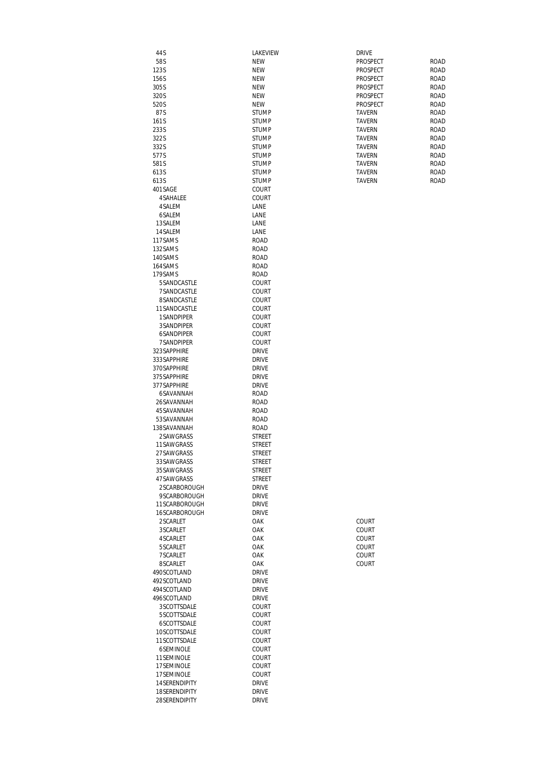| 44 S           | LAKEVIEW                     | <b>DRIVE</b>  |             |
|----------------|------------------------------|---------------|-------------|
| 58S            | <b>NEW</b>                   | PROSPECT      | <b>ROAD</b> |
| 123S           | <b>NEW</b>                   | PROSPECT      | <b>ROAD</b> |
| 156S           | <b>NEW</b>                   | PROSPECT      | <b>ROAD</b> |
| 305S           | <b>NEW</b>                   | PROSPECT      | <b>ROAD</b> |
| 320S           | <b>NEW</b>                   | PROSPECT      | <b>ROAD</b> |
| 520S           | <b>NEW</b>                   | PROSPECT      | <b>ROAD</b> |
| 87S            | <b>STUMP</b>                 | <b>TAVERN</b> | <b>ROAD</b> |
| 161S           | <b>STUMP</b>                 | <b>TAVERN</b> | <b>ROAD</b> |
| 233S           | <b>STUMP</b>                 | <b>TAVERN</b> | <b>ROAD</b> |
| 322S           | <b>STUMP</b>                 | <b>TAVERN</b> | <b>ROAD</b> |
| 332S           | <b>STUMP</b>                 | <b>TAVERN</b> | ROAD        |
| 577S           | <b>STUMP</b>                 | <b>TAVERN</b> | <b>ROAD</b> |
| 581S           | <b>STUMP</b>                 | <b>TAVERN</b> | <b>ROAD</b> |
| 613S           | <b>STUMP</b>                 | <b>TAVERN</b> | ROAD        |
| 613S           | <b>STUMP</b>                 | <b>TAVERN</b> | <b>ROAD</b> |
| 401 SAGE       | COURT                        |               |             |
| 4 SAHALEE      | <b>COURT</b>                 |               |             |
| 4SALEM         | LANE                         |               |             |
| 6SALEM         | LANE                         |               |             |
| 13SALEM        | LANE                         |               |             |
| 14 SALEM       | LANE                         |               |             |
| 117SAMS        |                              |               |             |
|                | <b>ROAD</b>                  |               |             |
| 132SAMS        | <b>ROAD</b>                  |               |             |
| 140SAMS        | <b>ROAD</b>                  |               |             |
| 164SAMS        | <b>ROAD</b>                  |               |             |
| 179SAMS        | <b>ROAD</b>                  |               |             |
| 5SANDCASTLE    | COURT                        |               |             |
| 7SANDCASTLE    | COURT                        |               |             |
| 8SANDCASTLE    | COURT                        |               |             |
| 11SANDCASTLE   | COURT                        |               |             |
| 1SANDPIPER     | <b>COURT</b>                 |               |             |
| 3SANDPIPER     | COURT                        |               |             |
| 6SANDPIPER     | <b>COURT</b>                 |               |             |
| 7SANDPIPER     | <b>COURT</b>                 |               |             |
| 323SAPPHIRE    | <b>DRIVE</b>                 |               |             |
|                |                              |               |             |
| 333SAPPHIRE    | <b>DRIVE</b>                 |               |             |
| 370SAPPHIRE    | <b>DRIVE</b>                 |               |             |
| 375 SAPPHIRE   | <b>DRIVE</b>                 |               |             |
| 377 SAPPHIRE   | <b>DRIVE</b>                 |               |             |
| 6SAVANNAH      | <b>ROAD</b>                  |               |             |
| 26SAVANNAH     | <b>ROAD</b>                  |               |             |
| 45 SAVANNAH    | <b>ROAD</b>                  |               |             |
| 53SAVANNAH     | <b>ROAD</b>                  |               |             |
| 138SAVANNAH    | ROAD                         |               |             |
| 2SAWGRASS      | <b>STREET</b>                |               |             |
| 11SAWGRASS     | <b>STREET</b>                |               |             |
| 27SAWGRASS     | <b>STREET</b>                |               |             |
| 33SAWGRASS     | STREET                       |               |             |
| 35 SAWGRASS    | <b>STREET</b>                |               |             |
| 47SAWGRASS     | STREET                       |               |             |
| 2SCARBOROUGH   |                              |               |             |
| 9SCARBOROUGH   | <b>DRIVE</b><br><b>DRIVE</b> |               |             |
|                |                              |               |             |
| 11SCARBOROUGH  | DRIVE                        |               |             |
| 16SCARBOROUGH  | <b>DRIVE</b>                 |               |             |
| 2SCARLET       | OAK                          | COURT         |             |
| 3SCARLET       | OAK                          | COURT         |             |
| 4SCARLET       | OAK                          | COURT         |             |
| 5SCARLET       | OAK                          | COURT         |             |
| 7SCARLET       | OAK                          | COURT         |             |
| 8SCARLET       | OAK                          | COURT         |             |
| 490SCOTLAND    | <b>DRIVE</b>                 |               |             |
| 492SCOTLAND    | <b>DRIVE</b>                 |               |             |
| 494 SCOTLAND   | <b>DRIVE</b>                 |               |             |
| 496SCOTLAND    | <b>DRIVE</b>                 |               |             |
| 3SCOTTSDALE    | COURT                        |               |             |
| 5SCOTTSDALE    | COURT                        |               |             |
| 6SCOTTSDALE    | COURT                        |               |             |
|                |                              |               |             |
| 10SCOTTSDALE   | COURT                        |               |             |
| 11SCOTTSDALE   | COURT                        |               |             |
| 6SEMINOLE      | COURT                        |               |             |
| 11 SEMINOLE    | COURT                        |               |             |
| 17SEMINOLE     | COURT                        |               |             |
| 17SEMINOLE     | COURT                        |               |             |
| 14 SERENDIPITY | <b>DRIVE</b>                 |               |             |
| 18SERENDIPITY  | <b>DRIVE</b>                 |               |             |
| 28SERENDIPITY  | <b>DRIVE</b>                 |               |             |
|                |                              |               |             |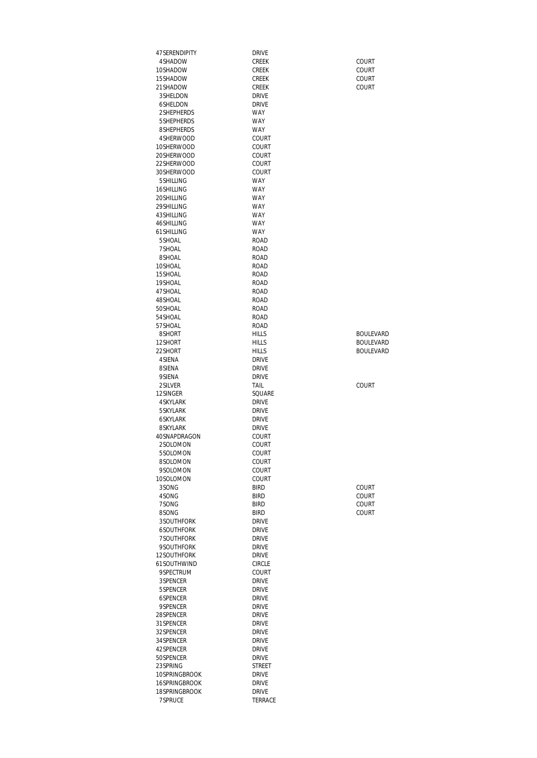|                           | <b>DRIVE</b>                 |                |
|---------------------------|------------------------------|----------------|
| 4SHADOW<br>10SHADOW       | <b>CREEK</b><br><b>CREEK</b> | COURT<br>COURT |
| 15SHADOW                  | <b>CREEK</b>                 | COURT          |
| 21SHADOW                  | <b>CREEK</b>                 | COURT          |
| 3 SHELDON                 | <b>DRIVE</b>                 |                |
| 6SHELDON                  | <b>DRIVE</b>                 |                |
| 2SHEPHERDS                | <b>WAY</b>                   |                |
| 5 SHEPHERDS<br>8SHEPHERDS | <b>WAY</b><br><b>WAY</b>     |                |
| 4SHERWOOD                 | COURT                        |                |
| 10SHERWOOD                | COURT                        |                |
| 20SHERWOOD                | COURT                        |                |
| 22SHERWOOD                | COURT                        |                |
| 30SHERWOOD                | COURT                        |                |
| 5 SHILLING                | <b>WAY</b>                   |                |
| 16SHILLING<br>20SHILLING  | <b>WAY</b><br><b>WAY</b>     |                |
| 29 SHILLING               | <b>WAY</b>                   |                |
| 43 SHILLING               | <b>WAY</b>                   |                |
| 46SHILLING                | <b>WAY</b>                   |                |
| 61 SHILLING               | <b>WAY</b>                   |                |
| 5SHOAL                    | <b>ROAD</b>                  |                |
| 7SHOAL<br>8SHOAL          | <b>ROAD</b><br>ROAD          |                |
| 10SHOAL                   | <b>ROAD</b>                  |                |
| 15SHOAL                   | ROAD                         |                |
| 19SHOAL                   | <b>ROAD</b>                  |                |
| 47 SHOAL                  | <b>ROAD</b>                  |                |
| 48SHOAL                   | ROAD                         |                |
| 50SHOAL<br>54 SHOAL       | <b>ROAD</b><br>ROAD          |                |
| 57SHOAL                   | ROAD                         |                |
| 8SHORT                    | <b>HILLS</b>                 | <b>BOULE</b>   |
| 12SHORT                   | <b>HILLS</b>                 | <b>BOULE</b>   |
| 22SHORT                   | <b>HILLS</b>                 | <b>BOULE\</b>  |
| 4 SIENA                   | <b>DRIVE</b>                 |                |
| 8SIENA<br>9SIENA          | <b>DRIVE</b><br><b>DRIVE</b> |                |
|                           |                              | COURT          |
| 2SILVER                   | TAIL                         |                |
| 12SINGER                  | SQUARE                       |                |
| <b>4SKYLARK</b>           | <b>DRIVE</b>                 |                |
| 5 SKYLARK                 | <b>DRIVE</b>                 |                |
| <b>6SKYLARK</b>           | <b>DRIVE</b>                 |                |
| 8SKYLARK<br>40SNAPDRAGON  | <b>DRIVE</b>                 |                |
| 2SOLOMON                  | COURT<br>COURT               |                |
| 5SOLOMON                  | COURT                        |                |
| 8SOLOMON                  | COURT                        |                |
| 9SOLOMON                  | COURT                        |                |
| 10SOLOMON                 | <b>COURT</b>                 |                |
| 3SONG                     | <b>BIRD</b>                  | COURT          |
| 4SONG<br>7SONG            | <b>BIRD</b><br><b>BIRD</b>   | COURT<br>COURT |
| 8SONG                     | <b>BIRD</b>                  | COURT          |
| 3SOUTHFORK                | <b>DRIVE</b>                 |                |
| 6SOUTHFORK                | <b>DRIVE</b>                 |                |
| 7SOUTHFORK                | <b>DRIVE</b>                 |                |
| 9SOUTHFORK<br>12SOUTHFORK | <b>DRIVE</b><br><b>DRIVE</b> |                |
| 61SOUTHWIND               | <b>CIRCLE</b>                |                |
| 9SPECTRUM                 | COURT                        |                |
| 3SPENCER                  | <b>DRIVE</b>                 |                |
| 5SPENCER                  | <b>DRIVE</b>                 |                |
| 6SPENCER                  | <b>DRIVE</b>                 |                |
| 9SPENCER<br>28SPENCER     | <b>DRIVE</b><br><b>DRIVE</b> |                |
| 31 SPENCER                | <b>DRIVE</b>                 |                |
| 32SPENCER                 | <b>DRIVE</b>                 |                |
| 34 SPENCER                | <b>DRIVE</b>                 |                |
| 42SPENCER                 | <b>DRIVE</b>                 |                |
| 50SPENCER<br>23SPRING     | <b>DRIVE</b>                 |                |
| 10SPRINGBROOK             | STREET<br><b>DRIVE</b>       |                |
| 16SPRINGBROOK             | <b>DRIVE</b>                 |                |
| 18SPRINGBROOK<br>7SPRUCE  | <b>DRIVE</b><br>TERRACE      |                |

**BOULEVARD** BOULEVARD BOULEVARD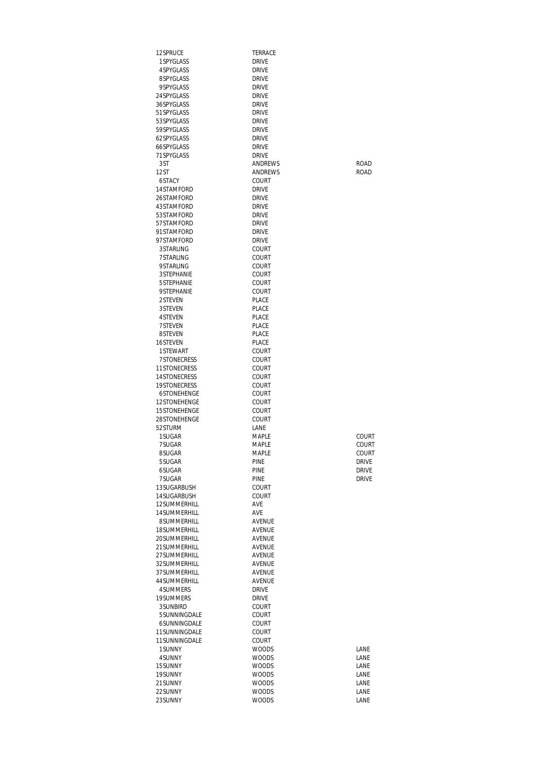| 12SPRUCE                            | TERRACE                      |                |
|-------------------------------------|------------------------------|----------------|
| 1 SPYGLASS                          | <b>DRIVE</b>                 |                |
| 4SPYGLASS                           | DRIVE                        |                |
| 8SPYGLASS<br>9SPYGLASS              | <b>DRIVE</b><br><b>DRIVE</b> |                |
| 24 SPYGLASS                         | <b>DRIVE</b>                 |                |
| 36SPYGLASS                          | <b>DRIVE</b>                 |                |
| 51 SPYGLASS                         | <b>DRIVE</b>                 |                |
| 53SPYGLASS                          | <b>DRIVE</b>                 |                |
| 59SPYGLASS                          | <b>DRIVE</b>                 |                |
| 62SPYGLASS<br>66SPYGLASS            | <b>DRIVE</b><br><b>DRIVE</b> |                |
| 71 SPYGLASS                         | <b>DRIVE</b>                 |                |
| 3ST                                 | ANDREWS                      | <b>ROAD</b>    |
| 12ST                                | <b>ANDRFWS</b>               | <b>ROAD</b>    |
| 6STACY                              | COURT                        |                |
| 14STAMFORD                          | <b>DRIVE</b>                 |                |
| 26STAMFORD<br>43STAMFORD            | <b>DRIVE</b><br><b>DRIVE</b> |                |
| 53STAMFORD                          | <b>DRIVE</b>                 |                |
| 57STAMFORD                          | <b>DRIVE</b>                 |                |
| 91STAMFORD                          | <b>DRIVE</b>                 |                |
| 97STAMFORD                          | <b>DRIVE</b>                 |                |
| 3STARLING                           | COURT                        |                |
| 7STARLING<br>9STARI ING             | COURT<br>COURT               |                |
| <b>3STEPHANIE</b>                   | COURT                        |                |
| 5STEPHANIE                          | COURT                        |                |
| <b>9STFPHANIF</b>                   | COURT                        |                |
| 2STEVEN                             | PI ACF                       |                |
| 3STEVEN                             | PLACE                        |                |
| 4STEVEN<br>7STEVEN                  | PLACE<br>PLACE               |                |
| 8STEVEN                             | PLACE                        |                |
| 16STEVEN                            | PLACE                        |                |
| 1STEWART                            | COURT                        |                |
| 7STONECRESS                         | COURT                        |                |
| <b>11STONECRESS</b>                 | COURT                        |                |
| <b>14STONECRESS</b><br>19STONECRESS | COURT<br>COURT               |                |
| 6STONEHENGE                         | COURT                        |                |
| 12STONEHENGE                        | COURT                        |                |
| 15STONFHENGF                        | COURT                        |                |
| 28STONEHENGE                        | COURT                        |                |
| 52STURM                             | <b>I ANF</b>                 |                |
| 1 SUGAR<br>7SUGAR                   | <b>MAPLE</b><br>MAPLE        | COURT<br>COURT |
| 8SUGAR                              | MAPLE                        | COURT          |
| 5SUGAR                              | PINE                         | <b>DRIVE</b>   |
| 6SUGAR                              | PINE                         | <b>DRIVE</b>   |
| 7SUGAR                              | <b>PINE</b>                  | <b>DRIVE</b>   |
| 13SUGARBUSH                         | COURT                        |                |
| 14SUGARBUSH<br>12SUMMERHILL         | <b>COURT</b><br>AVE          |                |
| 14SUMMERHILL                        | AVE                          |                |
| 8SUMMERHILL                         | AVENUE                       |                |
| 18SUMMERHILL                        | AVENUE                       |                |
| 20SUMMERHILL                        | AVENUE                       |                |
| 21 SUMMERHILL                       | <b>AVENUE</b>                |                |
| 27SUMMERHILL<br>32SUMMERHILL        | AVENUE<br>AVENUE             |                |
| 37SUMMERHILL                        | AVENUE                       |                |
| 44 SUMMERHILL                       | AVENUE                       |                |
| 4SUMMERS                            | <b>DRIVE</b>                 |                |
| 19SUMMERS                           | DRIVE                        |                |
| 3SUNBIRD                            | COURT                        |                |
| 5SUNNINGDALE<br>6SUNNINGDALE        | <b>COURT</b><br>COURT        |                |
| 11SUNNINGDALE                       | COURT                        |                |
| 11SUNNINGDALE                       | COURT                        |                |
| 1SUNNY                              | <b>WOODS</b>                 | LANE           |
| 4SUNNY                              | <b>WOODS</b>                 | LANE           |
| 15SUNNY                             | <b>WOODS</b>                 | LANE           |
| 19SUNNY<br>21SUNNY                  | <b>WOODS</b><br><b>WOODS</b> | LANE<br>LANE   |
| 22SUNNY                             | <b>WOODS</b>                 | LANE           |
| 23SUNNY                             | <b>WOODS</b>                 | LANE           |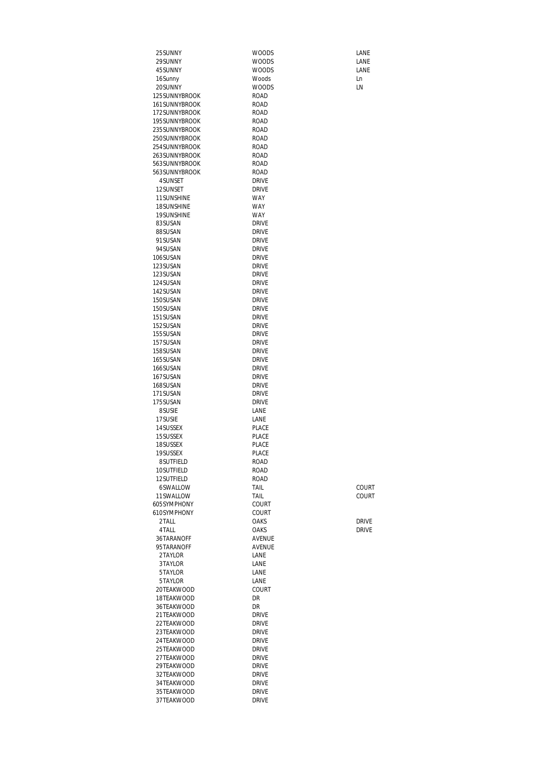| 25 SUNNY                  | <b>WOODS</b>                 | LANE         |
|---------------------------|------------------------------|--------------|
| 29SUNNY                   | <b>WOODS</b>                 | LANE         |
| 45SUNNY                   | <b>WOODS</b><br>Woods        | LANE         |
| 16Sunny<br>20SUNNY        | <b>WOODS</b>                 | Ln<br>LN     |
| 125SUNNYBROOK             | ROAD                         |              |
| 161SUNNYBROOK             | <b>ROAD</b>                  |              |
| 172SUNNYBROOK             | ROAD                         |              |
| 195SUNNYBROOK             | ROAD                         |              |
| 235SUNNYBROOK             | ROAD                         |              |
| 250SUNNYBROOK             | <b>ROAD</b>                  |              |
| 254 SUNNYBROOK            | ROAD                         |              |
| 263SUNNYBROOK             | ROAD                         |              |
| 563SUNNYBROOK             | <b>ROAD</b>                  |              |
| 563SUNNYBROOK             | ROAD                         |              |
| 4SUNSET                   | <b>DRIVE</b>                 |              |
| 12SUNSET                  | <b>DRIVE</b>                 |              |
| 11 SUNSHINE<br>18SUNSHINE | <b>WAY</b><br><b>WAY</b>     |              |
| 19SUNSHINE                | <b>WAY</b>                   |              |
| 83SUSAN                   | <b>DRIVE</b>                 |              |
| 88SUSAN                   | <b>DRIVE</b>                 |              |
| 91SUSAN                   | <b>DRIVE</b>                 |              |
| 94SUSAN                   | <b>DRIVE</b>                 |              |
| 106SUSAN                  | <b>DRIVE</b>                 |              |
| 123SUSAN                  | <b>DRIVE</b>                 |              |
| 123SUSAN                  | <b>DRIVE</b>                 |              |
| 124SUSAN                  | <b>DRIVE</b>                 |              |
| 142SUSAN                  | <b>DRIVE</b>                 |              |
| 150SUSAN                  | <b>DRIVE</b>                 |              |
| 150SUSAN                  | <b>DRIVE</b>                 |              |
| 151 SUSAN<br>152SUSAN     | <b>DRIVE</b><br><b>DRIVE</b> |              |
| 155SUSAN                  | <b>DRIVE</b>                 |              |
| 157SUSAN                  | <b>DRIVE</b>                 |              |
| 158SUSAN                  | <b>DRIVE</b>                 |              |
| 165SUSAN                  | <b>DRIVE</b>                 |              |
| 166SUSAN                  | <b>DRIVE</b>                 |              |
| 167SUSAN                  | <b>DRIVE</b>                 |              |
| 168SUSAN                  | <b>DRIVE</b>                 |              |
| 171SUSAN                  | <b>DRIVE</b>                 |              |
| 175SUSAN                  | <b>DRIVE</b>                 |              |
| 8SUSIE                    | LANE                         |              |
| 17SUSIE                   | LANE                         |              |
| 14 SUSSEX<br>15SUSSEX     | PLACE<br>PLACE               |              |
| 18SUSSEX                  | PLACE                        |              |
| 19SUSSEX                  | PLACE                        |              |
| 8SUTFIELD                 | ROAD                         |              |
| 10SUTFIELD                | <b>ROAD</b>                  |              |
| 12SUTFIELD                | ROAD                         |              |
| 6SWALLOW                  | TAIL                         | COURT        |
| 11SWALLOW                 | TAIL                         | COURT        |
| 605SYMPHONY               | COURT                        |              |
| 610SYMPHONY               | COURT                        |              |
| 2TALL                     | OAKS                         | <b>DRIVE</b> |
| 4TALL<br>36TARANOFF       | OAKS<br>AVENUE               | <b>DRIVE</b> |
| 95TARANOFF                | AVENUE                       |              |
| 2TAYLOR                   | LANE                         |              |
| 3TAYLOR                   | LANE                         |              |
| 5TAYLOR                   | LANE                         |              |
| 5TAYLOR                   | LANE                         |              |
| 20TEAKWOOD                | COURT                        |              |
| 18TEAKWOOD                | DR.                          |              |
| 36TEAKWOOD                | DR                           |              |
| 21TEAKWOOD                | <b>DRIVE</b>                 |              |
| 22TEAKWOOD                | <b>DRIVE</b>                 |              |
| 23TEAKWOOD                | <b>DRIVE</b>                 |              |
| 24 TEAKWOOD<br>25TEAKWOOD | <b>DRIVE</b>                 |              |
| 27TEAKWOOD                | <b>DRIVE</b><br><b>DRIVE</b> |              |
| 29TEAKWOOD                | <b>DRIVE</b>                 |              |
| 32TEAKWOOD                | <b>DRIVE</b>                 |              |
| 34 TEAKWOOD               | <b>DRIVE</b>                 |              |
| 35TEAKWOOD                | <b>DRIVE</b>                 |              |
| 37TEAKWOOD                | <b>DRIVE</b>                 |              |
|                           |                              |              |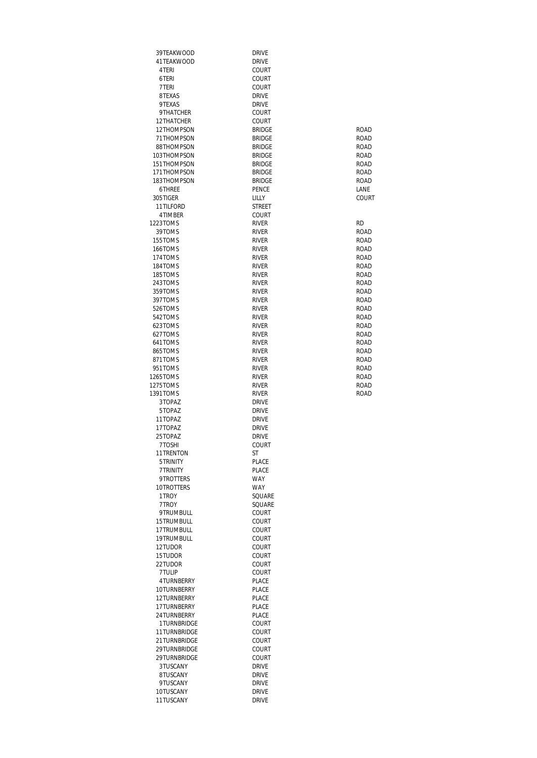| 39TEAKWOOD                 | <b>DRIVE</b>                 |              |
|----------------------------|------------------------------|--------------|
| 41TEAKWOOD                 | <b>DRIVE</b>                 |              |
| 4 TERI                     | COURT                        |              |
| 6TERI                      | COURT                        |              |
| 7 TERI                     | COURT                        |              |
| 8TEXAS<br>9TEXAS           | <b>DRIVE</b><br><b>DRIVE</b> |              |
| 9THATCHER                  | COURT                        |              |
| 12THATCHER                 | COURT                        |              |
| 12THOMPSON                 | <b>BRIDGE</b>                | ROAD         |
| 71THOMPSON                 | <b>BRIDGE</b>                | ROAD         |
| 88THOMPSON                 | <b>BRIDGE</b>                | ROAD         |
| 103THOMPSON                | <b>BRIDGE</b>                | ROAD         |
| 151THOMPSON                | <b>BRIDGE</b>                | <b>ROAD</b>  |
| 171THOMPSON                | <b>BRIDGE</b>                | ROAD         |
| 183THOMPSON                | <b>BRIDGE</b>                | <b>ROAD</b>  |
| 6THREE                     | PENCE                        | LANE         |
| 305TIGER                   | LILLY                        | COURT        |
| 11 TILFORD                 | <b>STREET</b>                |              |
| 4TIMBER                    | COURT                        |              |
| 1223TOMS                   | <b>RIVER</b>                 | <b>RD</b>    |
| 39TOMS<br>155TOMS          | <b>RIVER</b><br><b>RIVER</b> | ROAD<br>ROAD |
| 166TOMS                    | <b>RIVER</b>                 | <b>ROAD</b>  |
| 174TOMS                    | <b>RIVER</b>                 | <b>ROAD</b>  |
| 184TOMS                    | <b>RIVER</b>                 | <b>ROAD</b>  |
| 185TOMS                    | <b>RIVER</b>                 | <b>ROAD</b>  |
| 243TOMS                    | <b>RIVER</b>                 | ROAD         |
| 359TOMS                    | <b>RIVER</b>                 | ROAD         |
| 397TOMS                    | <b>RIVER</b>                 | ROAD         |
| 526TOMS                    | <b>RIVER</b>                 | ROAD         |
| 542TOMS                    | <b>RIVER</b>                 | ROAD         |
| 623TOMS                    | <b>RIVER</b>                 | <b>ROAD</b>  |
| 627TOMS                    | <b>RIVER</b>                 | <b>ROAD</b>  |
| 641TOMS                    | <b>RIVER</b>                 | ROAD         |
| 865TOMS                    | <b>RIVER</b>                 | ROAD         |
| 871TOMS<br>951TOMS         | <b>RIVER</b><br><b>RIVER</b> | ROAD         |
| 1265TOMS                   | <b>RIVER</b>                 | ROAD<br>ROAD |
| 1275TOMS                   | <b>RIVER</b>                 | ROAD         |
| 1391TOMS                   | <b>RIVER</b>                 | <b>ROAD</b>  |
| 3TOPAZ                     | <b>DRIVE</b>                 |              |
| 5TOPAZ                     | <b>DRIVE</b>                 |              |
| 11TOPAZ                    | <b>DRIVE</b>                 |              |
| 17TOPAZ                    | <b>DRIVE</b>                 |              |
| 25TOPAZ                    | <b>DRIVE</b>                 |              |
| 7TOSHI                     | COURT                        |              |
| 11 TRENTON                 | ST                           |              |
| 5TRINITY                   | PLACE                        |              |
| 7 TRINITY                  | PLACE                        |              |
| 9TROTTERS                  | <b>WAY</b><br><b>WAY</b>     |              |
| 10TROTTERS<br>1 TROY       | SQUARE                       |              |
| 7 TROY                     | SQUARE                       |              |
| 9TRUMBULL                  | COURT                        |              |
| 15TRUMBULL                 | COURT                        |              |
| 17TRUMBULL                 | COURT                        |              |
| 19TRUMBULL                 | COURT                        |              |
| 12TUDOR                    | COURT                        |              |
| 15TUDOR                    | COURT                        |              |
| 22TUDOR                    | COURT                        |              |
| 7 TULIP                    | COURT                        |              |
| 4TURNBERRY                 | PLACE                        |              |
| 10TURNBERRY                | PLACE                        |              |
| 12TURNBERRY                | PLACE                        |              |
| 17TURNBERRY                | <b>PLACE</b>                 |              |
| 24TURNBERRY<br>1TURNBRIDGE | PLACE<br>COURT               |              |
| 11TURNBRIDGE               | COURT                        |              |
| 21TURNBRIDGE               | COURT                        |              |
| 29TURNBRIDGE               | COURT                        |              |
| 29TURNBRIDGE               | COURT                        |              |
| 3TUSCANY                   | <b>DRIVE</b>                 |              |
| 8TUSCANY                   | <b>DRIVE</b>                 |              |
| 9TUSCANY                   | <b>DRIVE</b>                 |              |
| 10TUSCANY                  | <b>DRIVE</b>                 |              |
| 11TUSCANY                  | <b>DRIVE</b>                 |              |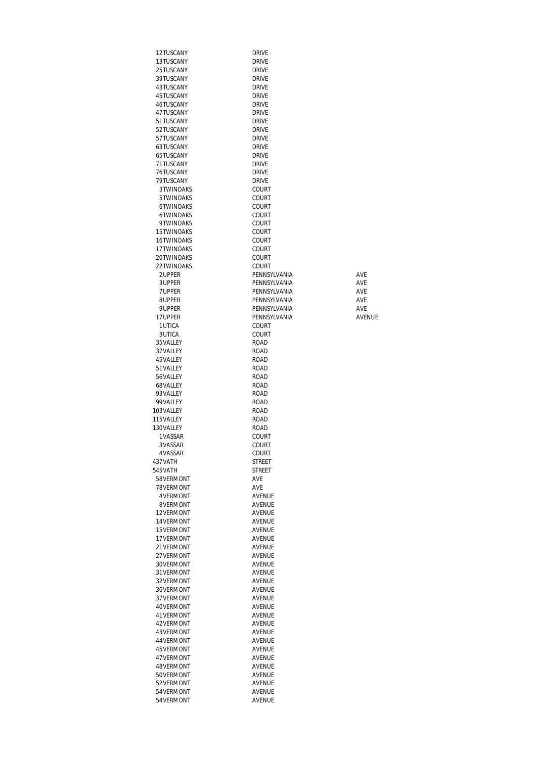| 12TUSCANY       | DRIVE         |        |
|-----------------|---------------|--------|
| 13TUSCANY       | DRIVE         |        |
| 25TUSCANY       | DRIVE         |        |
| 39TUSCANY       | <b>DRIVE</b>  |        |
| 43TUSCANY       | DRIVE         |        |
| 45TUSCANY       | <b>DRIVE</b>  |        |
| 46TUSCANY       | <b>DRIVE</b>  |        |
| 47TUSCANY       | <b>DRIVE</b>  |        |
| 51TUSCANY       | <b>DRIVE</b>  |        |
| 52TUSCANY       | <b>DRIVE</b>  |        |
| 57TUSCANY       | <b>DRIVE</b>  |        |
| 63TUSCANY       | <b>DRIVE</b>  |        |
| 65TUSCANY       | <b>DRIVE</b>  |        |
| 71TUSCANY       | <b>DRIVE</b>  |        |
| 76TUSCANY       | <b>DRIVE</b>  |        |
|                 |               |        |
| 79TUSCANY       | <b>DRIVE</b>  |        |
| 3TWINOAKS       | COURT         |        |
| 5TWINOAKS       | COURT         |        |
| 6TWINOAKS       | COURT         |        |
| 6TWINOAKS       | COURT         |        |
| 9TWINOAKS       | COURT         |        |
| 15TWINOAKS      | COURT         |        |
| 16TWINOAKS      | COURT         |        |
| 17TWINOAKS      | COURT         |        |
| 20TWINOAKS      | COURT         |        |
| 22TWINOAKS      | COURT         |        |
| 2UPPER          | PENNSYLVANIA  | AVE    |
| 3UPPER          | PFNNSYI VANIA | AVE    |
| 7UPPER          | PENNSYLVANIA  | AVE    |
| 8UPPER          | PENNSYLVANIA  | AVE    |
| 9UPPER          | PENNSYLVANIA  | AVE    |
| 17UPPER         | PENNSYLVANIA  | AVENUE |
| 1UTICA          | COURT         |        |
| 3UTICA          | COURT         |        |
| 35 VALLEY       | ROAD          |        |
| 37 VALLEY       | ROAD          |        |
| 45 VALLEY       | ROAD          |        |
| 51 VALLEY       | ROAD          |        |
| 56 VALLEY       | ROAD          |        |
| 68VALLEY        | ROAD          |        |
| 93 VALLEY       | ROAD          |        |
| 99 VALLEY       | ROAD          |        |
| 103 VALLEY      | ROAD          |        |
| 115VALLEY       | ROAD          |        |
| 130VALLEY       | ROAD          |        |
| 1 VASSAR        | COURT         |        |
| 3 VASSAR        | COURT         |        |
| 4VASSAR         | COURT         |        |
| 437 VATH        | STREET        |        |
| 545VATH         | STREET        |        |
| 58VERMONT       | AVE           |        |
| 78VERMONT       | AVE           |        |
| <b>4VERMONT</b> | AVENUE        |        |
| 8VERMONT        | AVENUE        |        |
| 12VERMONT       | AVENUE        |        |
| 14 VERMONT      | AVENUE        |        |
| 15 VERMONT      | AVENUE        |        |
| 17 VERMONT      | AVENUE        |        |
| 21 VERMONT      | AVENUE        |        |
| 27 VERMONT      | <b>AVENUE</b> |        |
| 30VERMONT       | AVENUE        |        |
| 31 VERMONT      | AVENUE        |        |
| 32VERMONT       | AVENUE        |        |
| 36VERMONT       | AVENUE        |        |
| 37 VERMONT      | AVENUE        |        |
| 40VERMONT       | AVENUE        |        |
| 41 VERMONT      | AVENUE        |        |
| 42 VERMONT      | AVENUE        |        |
|                 |               |        |
| 43VERMONT       | AVENUE        |        |
| 44 VERMONT      | AVENUE        |        |
| 45 VERMONT      | AVENUE        |        |
| 47 VERMONT      | AVENUE        |        |
| 48VERMONT       | AVENUE        |        |
| 50VERMONT       | AVENUE        |        |
| 52 VERMONT      | AVENUE        |        |
| 54 VERMONT      | AVENUE        |        |
| 54 VERMONT      | AVENUE        |        |

| drive            |
|------------------|
| drive            |
| drive            |
| drive            |
| drive            |
| drive            |
| drive            |
| drive            |
| drive            |
| drive            |
| drive            |
| <b>DRIVE</b>     |
| <b>DRIVE</b>     |
| COURT            |
| COURT            |
| COURT            |
| COURT            |
| COURT            |
| COURT            |
| COURT            |
| COURT            |
| COURT            |
| COURT            |
| PENNSYLVANIA     |
| PENNSYLVANIA     |
| PENNSYLVANIA     |
| PENNSYLVANIA     |
| PENNSYLVANIA     |
|                  |
| PENNSYLVANIA     |
| COURT            |
| COURT            |
| road             |
| road             |
| ROAD             |
| <b>ROAD</b>      |
|                  |
| ROAD             |
| ROAD             |
| ROAD             |
| ROAD             |
| road             |
| road             |
| ROAD             |
| COURT            |
| COURT            |
| COURT            |
| STREET           |
| <b>STREET</b>    |
| AVE              |
| ave              |
| AVENUE           |
| AVENUE           |
| AVENUE           |
| AVENUE           |
|                  |
| AVENUE<br>AVENUE |
|                  |
| AVENUE           |
| AVENUE           |
| AVENUE           |
| AVENUE           |
| AVENUE           |
| AVENUE           |
| AVENUE           |
| AVENUE           |
| AVENUE           |
| AVENUE           |
| AVENUE           |
| AVENUE           |
| AVENUE           |
| AVENUE           |
| AVENUE           |
| AVENUE<br>AVENUE |

| AVF           |
|---------------|
| AVF           |
| AVF           |
| AVF           |
| AVF           |
| <b>AVFNUF</b> |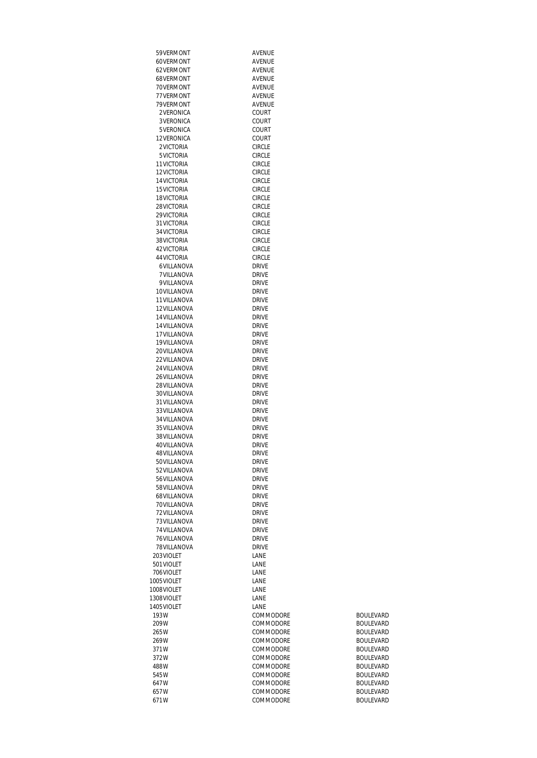| 59 VERMONT   | AVENUE        |                  |
|--------------|---------------|------------------|
| 60VERMONT    | AVENUE        |                  |
|              |               |                  |
| 62VERMONT    | AVENUE        |                  |
| 68VERMONT    | AVENUE        |                  |
| 70VERMONT    | AVENUE        |                  |
| 77 VERMONT   | AVENUE        |                  |
| 79 VERMONT   | <b>AVENUE</b> |                  |
| 2VERONICA    | COURT         |                  |
| 3 VERONICA   | COURT         |                  |
| 5 VERONICA   | <b>COURT</b>  |                  |
| 12 VERONICA  | COURT         |                  |
| 2VICTORIA    | <b>CIRCLE</b> |                  |
| 5VICTORIA    | <b>CIRCLE</b> |                  |
| 11 VICTORIA  | <b>CIRCLE</b> |                  |
|              |               |                  |
| 12VICTORIA   | <b>CIRCLE</b> |                  |
| 14 VICTORIA  | <b>CIRCLE</b> |                  |
| 15 VICTORIA  | <b>CIRCLE</b> |                  |
| 18 VICTORIA  | <b>CIRCLE</b> |                  |
| 28 VICTORIA  | <b>CIRCLE</b> |                  |
| 29 VICTORIA  | <b>CIRCLE</b> |                  |
| 31 VICTORIA  | <b>CIRCLE</b> |                  |
| 34 VICTORIA  | <b>CIRCLE</b> |                  |
| 38 VICTORIA  | <b>CIRCLE</b> |                  |
| 42 VICTORIA  | <b>CIRCLE</b> |                  |
| 44 VICTORIA  | <b>CIRCLE</b> |                  |
| 6VILLANOVA   | <b>DRIVE</b>  |                  |
| 7 VILLANOVA  | <b>DRIVE</b>  |                  |
| 9VILLANOVA   | <b>DRIVE</b>  |                  |
| 10VILLANOVA  | <b>DRIVE</b>  |                  |
| 11 VILLANOVA | <b>DRIVE</b>  |                  |
| 12VILLANOVA  | <b>DRIVE</b>  |                  |
|              |               |                  |
| 14 VILLANOVA | <b>DRIVE</b>  |                  |
| 14 VILLANOVA | <b>DRIVE</b>  |                  |
| 17 VILLANOVA | <b>DRIVE</b>  |                  |
| 19 VILLANOVA | <b>DRIVE</b>  |                  |
| 20 VILLANOVA | <b>DRIVE</b>  |                  |
| 22 VILLANOVA | <b>DRIVE</b>  |                  |
| 24 VILLANOVA | <b>DRIVE</b>  |                  |
| 26 VILLANOVA | <b>DRIVE</b>  |                  |
| 28 VILLANOVA | <b>DRIVE</b>  |                  |
| 30VILLANOVA  | <b>DRIVE</b>  |                  |
| 31 VILLANOVA | <b>DRIVE</b>  |                  |
| 33 VILLANOVA | <b>DRIVE</b>  |                  |
| 34 VILLANOVA | <b>DRIVE</b>  |                  |
| 35 VILLANOVA | <b>DRIVE</b>  |                  |
| 38VILLANOVA  | <b>DRIVE</b>  |                  |
|              | <b>DRIVE</b>  |                  |
| 40VILLANOVA  |               |                  |
| 48 VILLANOVA | <b>DRIVE</b>  |                  |
| 50VILLANOVA  | <b>DRIVE</b>  |                  |
| 52 VILLANOVA | <b>DRIVE</b>  |                  |
| 56VILLANOVA  | <b>DRIVE</b>  |                  |
| 58 VILLANOVA | <b>DRIVE</b>  |                  |
| 68VILLANOVA  | <b>DRIVE</b>  |                  |
| 70VILLANOVA  | <b>DRIVE</b>  |                  |
| 72VILLANOVA  | DRIVE         |                  |
| 73VILLANOVA  | <b>DRIVE</b>  |                  |
| 74 VILLANOVA | <b>DRIVE</b>  |                  |
| 76VILLANOVA  | <b>DRIVE</b>  |                  |
| 78 VILLANOVA | <b>DRIVE</b>  |                  |
| 203VIOLET    | LANE          |                  |
| 501 VIOLET   | LANE          |                  |
| 706VIOLET    | LANE          |                  |
| 1005 VIOLET  | LANE          |                  |
| 1008VIOLET   | LANE          |                  |
| 1308VIOLET   | LANE          |                  |
|              |               |                  |
| 1405 VIOLET  | LANE          |                  |
| 193W         | COMMODORE     | BOULEVARD        |
| 209W         | COMMODORE     | BOULEVARD        |
| 265W         | COMMODORE     | <b>BOULEVARD</b> |
| 269W         | COMMODORE     | <b>BOULEVARD</b> |
| 371W         | COMMODORE     | BOULEVARD        |
| 372W         | COMMODORE     | <b>BOULEVARD</b> |
| 488W         | COMMODORE     | <b>BOULEVARD</b> |
| 545W         | COMMODORE     | <b>BOULEVARD</b> |
| 647W         | COMMODORE     | <b>BOULEVARD</b> |
| 657W         | COMMODORE     | <b>BOULEVARD</b> |
| 671W         | COMMODORE     | <b>BOULEVARD</b> |
|              |               |                  |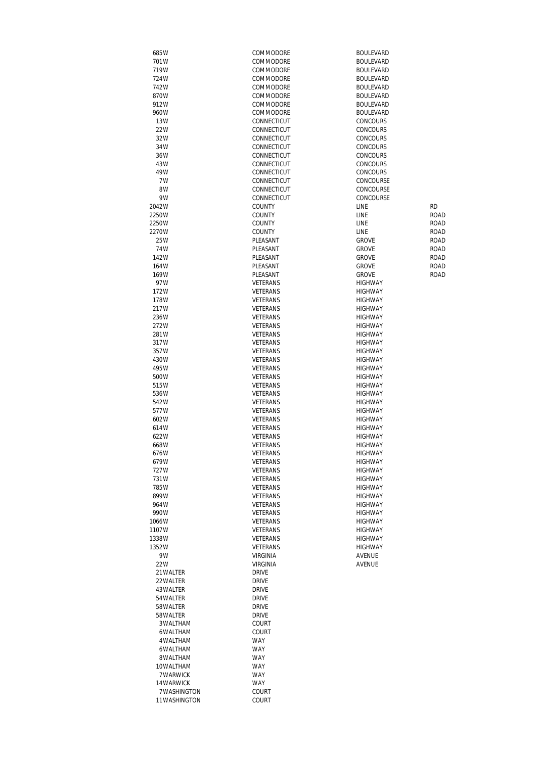| 685W               | COMMODORE       | <b>BOULEVARD</b> |             |
|--------------------|-----------------|------------------|-------------|
| 701W               | COMMODORE       | <b>BOULEVARD</b> |             |
| 719W               | COMMODORE       | <b>BOULEVARD</b> |             |
| 724W               | COMMODORE       | <b>BOULEVARD</b> |             |
| 742W               | COMMODORE       | <b>BOULEVARD</b> |             |
| 870W               | COMMODORE       | <b>BOULEVARD</b> |             |
| 912W               | COMMODORE       | <b>BOULEVARD</b> |             |
| 960W               | COMMODORE       | <b>BOULEVARD</b> |             |
| 13W                | CONNECTICUT     | <b>CONCOURS</b>  |             |
| 22W                | CONNECTICUT     | <b>CONCOURS</b>  |             |
| 32W                | CONNECTICUT     | <b>CONCOURS</b>  |             |
| 34W                | CONNECTICUT     | <b>CONCOURS</b>  |             |
| 36W                | CONNECTICUT     | CONCOURS         |             |
| 43W                | CONNECTICUT     | CONCOURS         |             |
| 49W                | CONNECTICUT     | <b>CONCOURS</b>  |             |
| 7W                 | CONNECTICUT     | CONCOURSE        |             |
| 8W                 | CONNECTICUT     | CONCOURSE        |             |
| 9W                 | CONNECTICUT     | CONCOURSE        |             |
| 2042W              | <b>COUNTY</b>   | LINE             | <b>RD</b>   |
| 2250W              | <b>COUNTY</b>   | LINE             | <b>ROAD</b> |
| 2250W              | <b>COUNTY</b>   | LINE             | ROAD        |
| 2270W              | <b>COUNTY</b>   | LINE             | ROAD        |
| 25W                | PLEASANT        | <b>GROVE</b>     | ROAD        |
| 74W                | PLEASANT        | <b>GROVE</b>     | ROAD        |
| 142W               | PLEASANT        | <b>GROVE</b>     | <b>ROAD</b> |
| 164W               | PLEASANT        | <b>GROVE</b>     | ROAD        |
| 169W               | PLEASANT        | <b>GROVE</b>     | <b>ROAD</b> |
| 97W                | VETERANS        | <b>HIGHWAY</b>   |             |
| 172W               | VETERANS        | <b>HIGHWAY</b>   |             |
| 178W               | VETERANS        | <b>HIGHWAY</b>   |             |
| 217W               | VETERANS        | <b>HIGHWAY</b>   |             |
| 236W               | VETERANS        | <b>HIGHWAY</b>   |             |
| 272W               | VETERANS        | <b>HIGHWAY</b>   |             |
|                    | <b>VETERANS</b> | <b>HIGHWAY</b>   |             |
| 281W               |                 |                  |             |
| 317W               | VETERANS        | <b>HIGHWAY</b>   |             |
| 357W               | VETERANS        | <b>HIGHWAY</b>   |             |
| 430W               | VETERANS        | <b>HIGHWAY</b>   |             |
| 495W               | VETERANS        | <b>HIGHWAY</b>   |             |
| 500W               | VETERANS        | <b>HIGHWAY</b>   |             |
| 515W               | VETERANS        | <b>HIGHWAY</b>   |             |
| 536W               | VETERANS        | <b>HIGHWAY</b>   |             |
| 542W               | <b>VETERANS</b> | <b>HIGHWAY</b>   |             |
| 577W               | VETERANS        | <b>HIGHWAY</b>   |             |
| 602W               | VETERANS        | <b>HIGHWAY</b>   |             |
| 614W               | VETERANS        | <b>HIGHWAY</b>   |             |
| 622W               | VETERANS        | <b>HIGHWAY</b>   |             |
| 668W               | VETERANS        | <b>HIGHWAY</b>   |             |
| 676W               | VETERANS        | <b>HIGHWAY</b>   |             |
| 679W               | VETERANS        | <b>HIGHWAY</b>   |             |
| 727W               | VETERANS        | <b>HIGHWAY</b>   |             |
| 731W               | VETERANS        | <b>HIGHWAY</b>   |             |
| 785W               | <b>VETERANS</b> | <b>HIGHWAY</b>   |             |
| 899W               | VETERANS        | <b>HIGHWAY</b>   |             |
| 964W               | VETERANS        | <b>HIGHWAY</b>   |             |
| 990W               | VETERANS        | <b>HIGHWAY</b>   |             |
| 1066W              | VETERANS        | <b>HIGHWAY</b>   |             |
| 1107W              | VETERANS        | <b>HIGHWAY</b>   |             |
| 1338W              | VETERANS        | <b>HIGHWAY</b>   |             |
| 1352W              | VETERANS        | <b>HIGHWAY</b>   |             |
| 9W                 | <b>VIRGINIA</b> | AVENUE           |             |
| 22W                | <b>VIRGINIA</b> | AVENUE           |             |
| 21 WALTER          | <b>DRIVE</b>    |                  |             |
| 22 WALTER          | <b>DRIVE</b>    |                  |             |
| 43 WALTER          | <b>DRIVE</b>    |                  |             |
| 54 WALTER          | <b>DRIVE</b>    |                  |             |
| 58 WALTER          | <b>DRIVE</b>    |                  |             |
| 58 WALTER          | <b>DRIVE</b>    |                  |             |
| 3 WALTHAM          | COURT           |                  |             |
| 6WALTHAM           | <b>COURT</b>    |                  |             |
| 4 WALTHAM          | <b>WAY</b>      |                  |             |
|                    | <b>WAY</b>      |                  |             |
| 6WALTHAM           |                 |                  |             |
| 8WALTHAM           | <b>WAY</b>      |                  |             |
| 10WALTHAM          | <b>WAY</b>      |                  |             |
| 7 WARWICK          | <b>WAY</b>      |                  |             |
| 14 WARWICK         | <b>WAY</b>      |                  |             |
| <b>7WASHINGTON</b> | <b>COURT</b>    |                  |             |
| 11WASHINGTON       | COURT           |                  |             |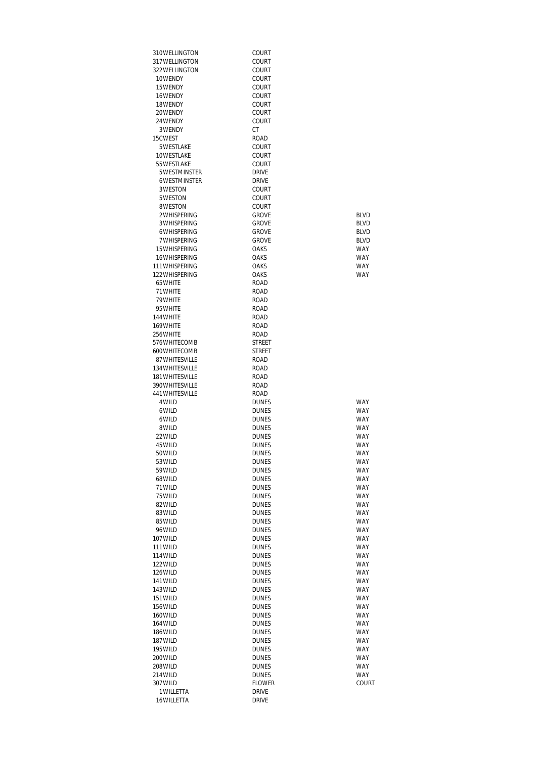| 310WELLINGTON                    | COURT                         |                            |
|----------------------------------|-------------------------------|----------------------------|
| 317 WELLINGTON<br>322 WELLINGTON | COURT<br>COURT                |                            |
| 10WFNDY                          | COURT                         |                            |
| 15WENDY                          | COURT                         |                            |
| 16WENDY                          | COURT                         |                            |
| 18WENDY                          | COURT                         |                            |
| 20WFNDY                          | COURT                         |                            |
| 24 WENDY                         | COURT                         |                            |
| 3WENDY                           | СT                            |                            |
| 15CWEST<br>5 WESTLAKE            | ROAD<br>COURT                 |                            |
| 10WESTLAKE                       | COURT                         |                            |
| 55 WESTLAKE                      | COURT                         |                            |
| 5WESTMINSTER                     | <b>DRIVE</b>                  |                            |
| 6WESTMINSTER                     | <b>DRIVE</b>                  |                            |
| 3WESTON                          | COURT                         |                            |
| 5WESTON                          | COURT                         |                            |
| 8WESTON                          | <b>COURT</b>                  |                            |
| 2WHISPERING<br>3 WHISPERING      | <b>GROVE</b><br><b>GROVE</b>  | <b>BLVD</b><br><b>BLVD</b> |
| 6WHISPERING                      | <b>GROVE</b>                  | <b>BLVD</b>                |
| <b>7WHISPERING</b>               | <b>GROVE</b>                  | <b>BLVD</b>                |
| 15 WHISPERING                    | <b>OAKS</b>                   | <b>WAY</b>                 |
| 16 WHISPERING                    | <b>OAKS</b>                   | <b>WAY</b>                 |
| 111 WHISPERING                   | OAKS                          | <b>WAY</b>                 |
| 122 WHISPERING                   | <b>OAKS</b>                   | <b>WAY</b>                 |
| 65WHITE                          | <b>ROAD</b>                   |                            |
| 71 WHITE<br>79 WHITE             | <b>ROAD</b><br><b>ROAD</b>    |                            |
| 95 WHITE                         | <b>ROAD</b>                   |                            |
| 144 WHITE                        | <b>ROAD</b>                   |                            |
| 169 WHITE                        | <b>ROAD</b>                   |                            |
| 256 WHITE                        | ROAD                          |                            |
| 576 WHITECOMB                    | STREET                        |                            |
| 600 WHITE COMB<br>87 WHITESVILLE | <b>STREET</b><br><b>ROAD</b>  |                            |
| 134 WHITESVILLE                  | ROAD                          |                            |
| 181 WHITESVILLE                  | ROAD                          |                            |
| 390 WHITESVILLE                  | ROAD                          |                            |
| 441 WHITESVILLE                  | ROAD                          |                            |
| 4 WILD                           | <b>DUNES</b>                  | <b>WAY</b>                 |
| 6WILD                            | <b>DUNES</b>                  | <b>WAY</b>                 |
| 6WILD<br>8 WILD                  | <b>DUNES</b><br><b>DUNES</b>  | <b>WAY</b><br>WAY          |
| 22 WILD                          | <b>DUNES</b>                  | <b>WAY</b>                 |
| 45 WILD                          | <b>DUNES</b>                  | <b>WAY</b>                 |
| 50 WILD                          | DUNES                         | WAY                        |
| 53 WILD                          | <b>DUNES</b>                  | <b>WAY</b>                 |
| 59 WILD                          | <b>DUNES</b>                  | <b>WAY</b>                 |
| 68 WILD<br>71 WILD               | <b>DUNES</b>                  | <b>WAY</b>                 |
| 75 WILD                          | <b>DUNES</b><br><b>DUNES</b>  | <b>WAY</b><br><b>WAY</b>   |
| 82 WILD                          | <b>DUNES</b>                  | <b>WAY</b>                 |
| 83WILD                           | <b>DUNES</b>                  | <b>WAY</b>                 |
| 85 WILD                          | <b>DUNES</b>                  | <b>WAY</b>                 |
| 96 WILD                          | <b>DUNES</b>                  | <b>WAY</b>                 |
| 107 WILD                         | <b>DUNES</b>                  | WAY                        |
| 111 WILD<br>114 WILD             | <b>DUNES</b><br><b>DUNES</b>  | WAY<br><b>WAY</b>          |
| 122 WILD                         | <b>DUNES</b>                  | <b>WAY</b>                 |
| 126 WILD                         | <b>DUNES</b>                  | <b>WAY</b>                 |
| 141 WILD                         | <b>DUNES</b>                  | <b>WAY</b>                 |
| 143 WILD                         | <b>DUNES</b>                  | <b>WAY</b>                 |
| 151 WILD                         | <b>DUNES</b>                  | <b>WAY</b>                 |
| 156 WILD                         | <b>DUNES</b>                  | <b>WAY</b>                 |
| 160 WILD<br>164 WILD             | <b>DUNES</b><br><b>DUNES</b>  | <b>WAY</b><br><b>WAY</b>   |
| 186 WILD                         | <b>DUNES</b>                  | <b>WAY</b>                 |
| 187 WILD                         | <b>DUNES</b>                  | <b>WAY</b>                 |
| 195 WILD                         | <b>DUNES</b>                  | WAY                        |
| 200 WILD                         | <b>DUNES</b>                  | WAY                        |
| 208 WILD                         | <b>DUNES</b>                  | <b>WAY</b>                 |
| 214 WILD<br>307 WILD             | <b>DUNES</b><br><b>FLOWER</b> | <b>WAY</b><br>COURT        |
| 1 WILLETTA                       | <b>DRIVE</b>                  |                            |
| 16WILLETTA                       | <b>DRIVE</b>                  |                            |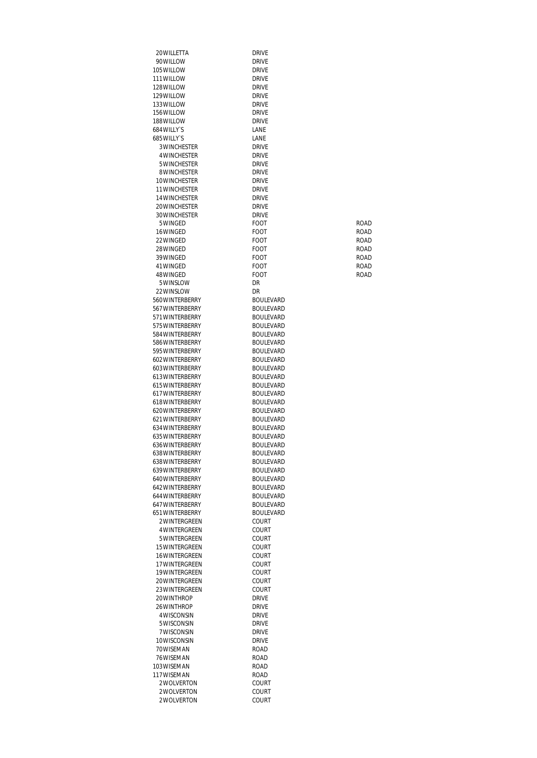| 20 WILLETTA                        | <b>DRIVE</b>                         |              |
|------------------------------------|--------------------------------------|--------------|
| 90WILLOW                           | <b>DRIVE</b>                         |              |
| 105 WILLOW                         | <b>DRIVE</b>                         |              |
| 111 WILLOW                         | <b>DRIVE</b>                         |              |
| 128 WILLOW                         | <b>DRIVE</b>                         |              |
| 129WII10W                          | <b>DRIVE</b>                         |              |
| 133WII1OW<br>156WILLOW             | <b>DRIVE</b><br><b>DRIVE</b>         |              |
| 188 WILLOW                         | <b>DRIVE</b>                         |              |
| 684 WILLY'S                        | LANE                                 |              |
| 685 WILLY'S                        | LANE                                 |              |
| <b>3WINCHESTER</b>                 | <b>DRIVE</b>                         |              |
| 4 WINCHESTER                       | <b>DRIVE</b>                         |              |
| 5 WINCHESTER                       | <b>DRIVE</b>                         |              |
| 8 WINCHESTER<br>10WINCHESTER       | <b>DRIVE</b><br><b>DRIVE</b>         |              |
| <b>11 WINCHESTER</b>               | <b>DRIVE</b>                         |              |
| 14 WINCHESTER                      | <b>DRIVE</b>                         |              |
| 20 WINCHESTER                      | <b>DRIVE</b>                         |              |
| 30 WINCHESTER                      | <b>DRIVE</b>                         |              |
| 5 WINGED                           | FOOT                                 | ROAD         |
| 16WINGED                           | FOOT                                 | ROAD         |
| 22WINGED<br>28 WINGED              | FOOT<br>FOOT                         | ROAD<br>ROAD |
| 39 WINGED                          | FOOT                                 | <b>ROAD</b>  |
| 41 WINGED                          | FOOT                                 | ROAD         |
| 48 WINGED                          | FOOT                                 | ROAD         |
| 5WINSLOW                           | DR                                   |              |
| 22 WINSLOW                         | DR                                   |              |
| 560 WINTERBERRY                    | <b>BOULEVARD</b>                     |              |
| 567 WINTERBERRY                    | <b>BOULEVARD</b>                     |              |
| 571 WINTERBERRY<br>575 WINTERBERRY | <b>BOULEVARD</b><br><b>BOULEVARD</b> |              |
| 584 WINTERBERRY                    | <b>BOULEVARD</b>                     |              |
| 586 WINTERBERRY                    | <b>BOULEVARD</b>                     |              |
| 595 WINTERBERRY                    | <b>BOULEVARD</b>                     |              |
| 602 WINTERBERRY                    | <b>BOULEVARD</b>                     |              |
| 603 WINTERBERRY                    | <b>BOULEVARD</b>                     |              |
| 613 WINTERBERRY<br>615 WINTERBERRY | <b>BOULEVARD</b><br><b>BOULEVARD</b> |              |
| 617 WINTERBERRY                    | <b>BOULEVARD</b>                     |              |
| 618 WINTERBERRY                    | <b>BOULFVARD</b>                     |              |
| 620 WINTERBERRY                    | <b>BOULEVARD</b>                     |              |
| 621 WINTERBERRY                    | <b>BOULFVARD</b>                     |              |
| 634 WINTERBERRY                    | <b>BOULEVARD</b>                     |              |
| 635 WINTERBERRY                    | <b>BOULEVARD</b>                     |              |
| 636 WINTERBERRY<br>638 WINTERBERRY | <b>BOULEVARD</b><br><b>BOULEVARD</b> |              |
| 638 WINTERBERRY                    | <b>BOULEVARD</b>                     |              |
| 639 WINTERBERRY                    | <b>BOULEVARD</b>                     |              |
| 640 WINTERBERRY                    | <b>BOULEVARD</b>                     |              |
| 642 WINTERBERRY                    | <b>BOULEVARD</b>                     |              |
| 644 WINTERBERRY                    | <b>BOULEVARD</b>                     |              |
| 647 WINTERBERRY                    | <b>BOULEVARD</b>                     |              |
| 651 WINTERBERRY<br>2 WINTERGREEN   | <b>BOULEVARD</b><br><b>COURT</b>     |              |
| <b>4 WINTERGREEN</b>               | COURT                                |              |
| 5WINTERGREEN                       | COURT                                |              |
| 15 WINTERGREEN                     | COURT                                |              |
| 16 WINTERGREEN                     | COURT                                |              |
| 17 WINTERGREEN                     | COURT                                |              |
| 19 WINTERGREEN<br>20WINTERGREEN    | COURT<br>COURT                       |              |
| 23WINTERGREEN                      | COURT                                |              |
| 20WINTHROP                         | <b>DRIVE</b>                         |              |
| 26 WINTHROP                        | <b>DRIVE</b>                         |              |
| 4 WISCONSIN                        | <b>DRIVE</b>                         |              |
| 5WISCONSIN                         | <b>DRIVE</b>                         |              |
| 7 WISCONSIN                        | <b>DRIVE</b>                         |              |
| 10WISCONSIN<br>70WISEMAN           | <b>DRIVE</b><br>ROAD                 |              |
| 76 WISEMAN                         | ROAD                                 |              |
| 103 WISEMAN                        | ROAD                                 |              |
| 117 WISEMAN                        | ROAD                                 |              |
| 2 WOLVERTON                        | COURT                                |              |
| 2 WOLVERTON                        | COURT                                |              |
| 2WOLVERTON                         | <b>COURT</b>                         |              |

| )RIVE                                                          |  |
|----------------------------------------------------------------|--|
|                                                                |  |
| RIVE                                                           |  |
|                                                                |  |
| )RIVE                                                          |  |
| )RIVE                                                          |  |
| )RIVE                                                          |  |
| RIVE                                                           |  |
|                                                                |  |
| )RIVE                                                          |  |
| ANE                                                            |  |
| ANE                                                            |  |
| )RIVE                                                          |  |
| )RIVE                                                          |  |
|                                                                |  |
| )RIVE                                                          |  |
| RIVE                                                           |  |
| )RIVE                                                          |  |
| )RIVE                                                          |  |
| )RIVE                                                          |  |
|                                                                |  |
| )RIVE                                                          |  |
| )RIVE                                                          |  |
| OOT                                                            |  |
| <b>OOT</b>                                                     |  |
| <b>OOT</b>                                                     |  |
|                                                                |  |
| $\Omega$<br>ЭT                                                 |  |
| <b>OOT</b>                                                     |  |
| OC<br>$\mathfrak{I}$                                           |  |
| <b>OOT</b>                                                     |  |
|                                                                |  |
| )R                                                             |  |
| ЭR                                                             |  |
| <b>SOULEVARD</b>                                               |  |
| <b>OULEVARD</b>                                                |  |
| <b>OULEVARD</b>                                                |  |
|                                                                |  |
| <b>OULEVARD</b>                                                |  |
| <b>OULEVARD</b>                                                |  |
| <b>OULEVARD</b>                                                |  |
| <b>OULEVARD</b>                                                |  |
| <b>OULEVARD</b>                                                |  |
|                                                                |  |
| <b>SOULEVARE</b><br>)                                          |  |
| <b>OULEVARD</b>                                                |  |
| <b>OULEVARD</b>                                                |  |
| <b>OULEVARD</b>                                                |  |
|                                                                |  |
| <b>OULEVARD</b>                                                |  |
|                                                                |  |
| <b>OULEVARD</b><br>€                                           |  |
|                                                                |  |
| <b>OULEVARD</b>                                                |  |
| <b>SOULEVARE</b><br>)                                          |  |
| <b>OULEVARD</b>                                                |  |
| <b>OULEVARD</b>                                                |  |
| <b>OULEVARD</b>                                                |  |
|                                                                |  |
| <b>SOULEVARD</b>                                               |  |
| <b>SOULEVARD</b>                                               |  |
| <b>OULEVARD</b>                                                |  |
| <b>OULEVARD</b>                                                |  |
| <b>OULEVARD</b>                                                |  |
| <b>OULEVARD</b>                                                |  |
|                                                                |  |
|                                                                |  |
| <b>OULEVARD</b><br>:OURT                                       |  |
| :ourt                                                          |  |
| :OURT                                                          |  |
|                                                                |  |
| :OURT                                                          |  |
|                                                                |  |
| :OURT<br>:OURT                                                 |  |
| :Ourt                                                          |  |
|                                                                |  |
| :OURT                                                          |  |
| :Ourt                                                          |  |
| )RIVE                                                          |  |
|                                                                |  |
|                                                                |  |
|                                                                |  |
| )RIVE<br>RIVE<br>)RIVE                                         |  |
|                                                                |  |
|                                                                |  |
|                                                                |  |
|                                                                |  |
|                                                                |  |
|                                                                |  |
|                                                                |  |
|                                                                |  |
| )RIVE<br>)RIVE<br>:OAD<br>OAD<br>:OAD<br>OAD<br>:Ourt<br>:OURT |  |

| ROAD |
|------|
| ROAD |
| ROAD |
| ROAD |
| ROAD |
| ROAD |
|      |